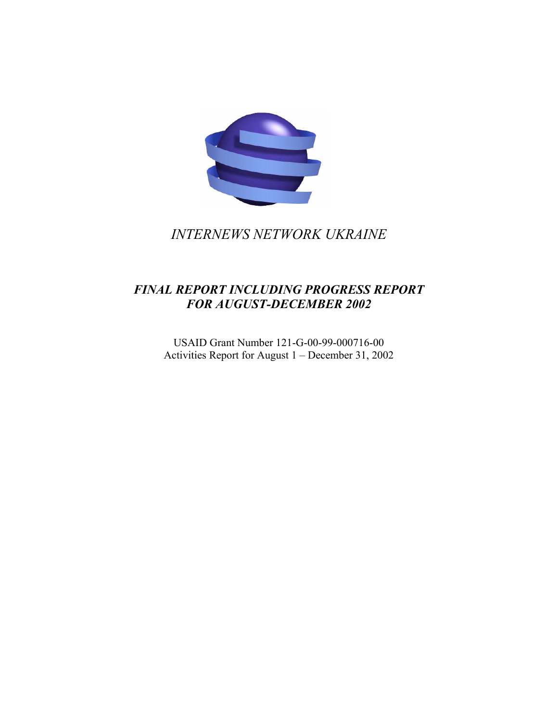

*INTERNEWS NETWORK UKRAINE* 

# *FINAL REPORT INCLUDING PROGRESS REPORT FOR AUGUST-DECEMBER 2002*

USAID Grant Number 121-G-00-99-000716-00 Activities Report for August 1 – December 31, 2002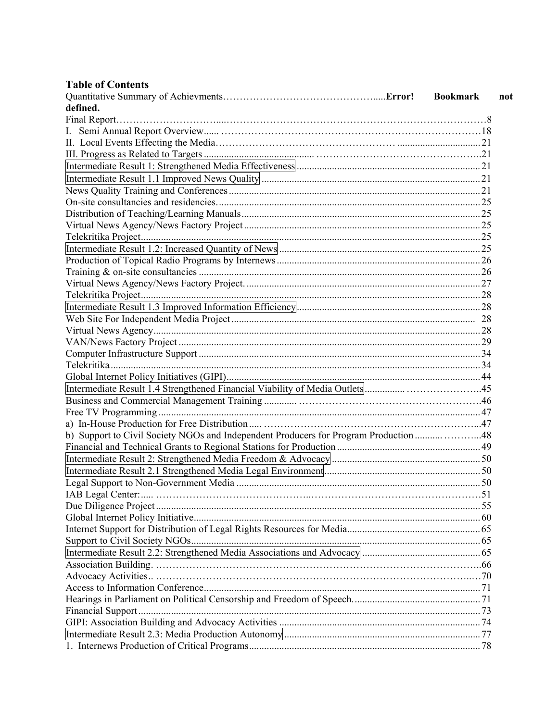| <b>Table of Contents</b>                                                             |                        |
|--------------------------------------------------------------------------------------|------------------------|
|                                                                                      | <b>Bookmark</b><br>not |
| defined.                                                                             |                        |
|                                                                                      |                        |
|                                                                                      |                        |
|                                                                                      |                        |
|                                                                                      |                        |
|                                                                                      |                        |
|                                                                                      |                        |
|                                                                                      |                        |
|                                                                                      |                        |
|                                                                                      |                        |
|                                                                                      |                        |
|                                                                                      |                        |
|                                                                                      |                        |
|                                                                                      |                        |
|                                                                                      |                        |
|                                                                                      |                        |
|                                                                                      |                        |
|                                                                                      |                        |
|                                                                                      |                        |
|                                                                                      |                        |
|                                                                                      |                        |
|                                                                                      |                        |
|                                                                                      |                        |
|                                                                                      |                        |
|                                                                                      |                        |
|                                                                                      |                        |
|                                                                                      |                        |
|                                                                                      |                        |
| b) Support to Civil Society NGOs and Independent Producers for Program Production 48 |                        |
|                                                                                      |                        |
|                                                                                      |                        |
|                                                                                      |                        |
|                                                                                      |                        |
|                                                                                      |                        |
|                                                                                      |                        |
|                                                                                      |                        |
|                                                                                      |                        |
|                                                                                      |                        |
|                                                                                      |                        |
|                                                                                      |                        |
|                                                                                      |                        |
|                                                                                      |                        |
|                                                                                      |                        |
|                                                                                      |                        |
|                                                                                      |                        |
|                                                                                      |                        |
|                                                                                      |                        |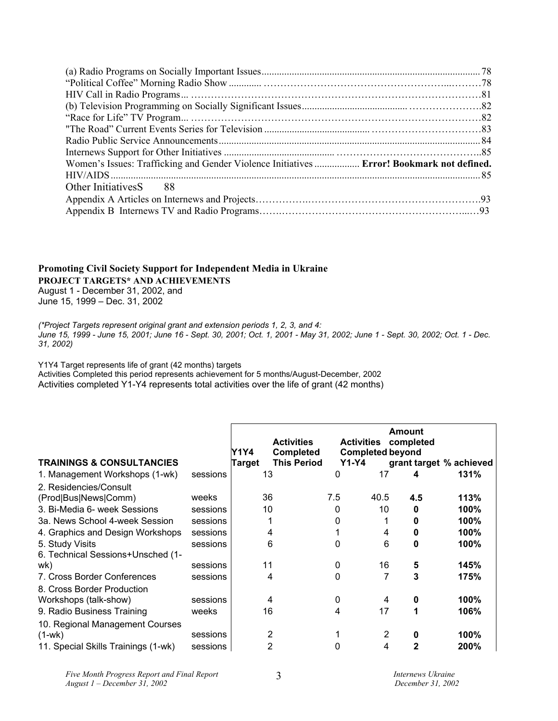| Women's Issues: Trafficking and Gender Violence Initiatives  Error! Bookmark not defined. |  |
|-------------------------------------------------------------------------------------------|--|
|                                                                                           |  |
| Other Initiatives S 88                                                                    |  |
|                                                                                           |  |
|                                                                                           |  |

# **Promoting Civil Society Support for Independent Media in Ukraine PROJECT TARGETS\* AND ACHIEVEMENTS**

August 1 - December 31, 2002, and June 15, 1999 – Dec. 31, 2002

*(\*Project Targets represent original grant and extension periods 1, 2, 3, and 4: June 15, 1999 - June 15, 2001; June 16 - Sept. 30, 2001; Oct. 1, 2001 - May 31, 2002; June 1 - Sept. 30, 2002; Oct. 1 - Dec. 31, 2002)* 

Y1Y4 Target represents life of grant (42 months) targets

Activities Completed this period represents achievement for 5 months/August-December, 2002 Activities completed Y1-Y4 represents total activities over the life of grant (42 months)

| <b>TRAININGS &amp; CONSULTANCIES</b> |          | Y1Y4<br>Target | <b>Activities</b><br><b>Completed</b><br><b>This Period</b> | <b>Activities</b><br><b>Y1-Y4</b> |      | <b>Amount</b><br>completed<br><b>Completed beyond</b><br>grant target % achieved |      |
|--------------------------------------|----------|----------------|-------------------------------------------------------------|-----------------------------------|------|----------------------------------------------------------------------------------|------|
| 1. Management Workshops (1-wk)       | sessions |                | 13                                                          | 0                                 | 17   | 4                                                                                | 131% |
| 2. Residencies/Consult               |          |                |                                                             |                                   |      |                                                                                  |      |
| (Prod Bus News Comm)                 | weeks    |                | 36                                                          | 7.5                               | 40.5 | 4.5                                                                              | 113% |
| 3. Bi-Media 6- week Sessions         | sessions |                | 10                                                          | 0                                 | 10   | ŋ                                                                                | 100% |
| 3a. News School 4-week Session       | sessions |                |                                                             |                                   |      |                                                                                  | 100% |
| 4. Graphics and Design Workshops     | sessions |                | 4                                                           |                                   | 4    |                                                                                  | 100% |
| 5. Study Visits                      | sessions |                | 6                                                           | O                                 | 6    | 0                                                                                | 100% |
| 6. Technical Sessions+Unsched (1-    |          |                |                                                             |                                   |      |                                                                                  |      |
| wk)                                  | sessions |                | 11                                                          | 0                                 | 16   | 5                                                                                | 145% |
| 7. Cross Border Conferences          | sessions |                | 4                                                           | ŋ                                 |      | 3                                                                                | 175% |
| 8. Cross Border Production           |          |                |                                                             |                                   |      |                                                                                  |      |
| Workshops (talk-show)                | sessions |                | 4                                                           | $\Omega$                          | 4    |                                                                                  | 100% |
| 9. Radio Business Training           | weeks    |                | 16                                                          |                                   | 17   |                                                                                  | 106% |
| 10. Regional Management Courses      |          |                |                                                             |                                   |      |                                                                                  |      |
| $(1-wk)$                             | sessions |                | 2                                                           |                                   | 2    |                                                                                  | 100% |
| 11. Special Skills Trainings (1-wk)  | sessions |                | 2                                                           |                                   | 4    |                                                                                  | 200% |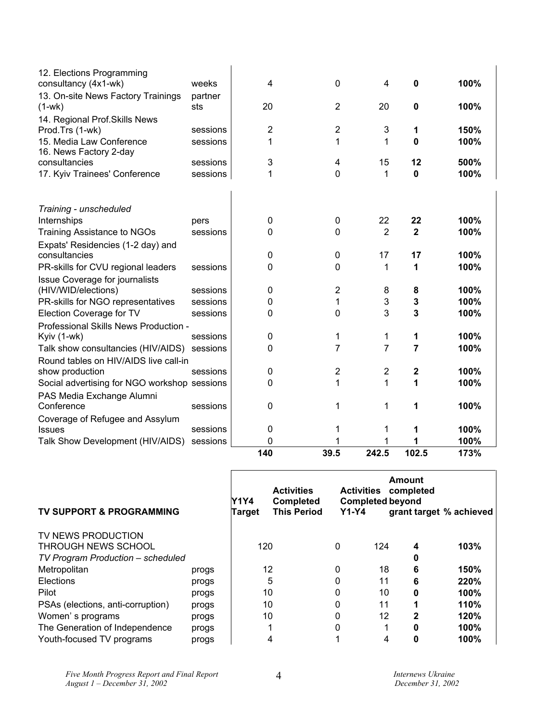| 12. Elections Programming                          |                |                |                |                |                |      |
|----------------------------------------------------|----------------|----------------|----------------|----------------|----------------|------|
| consultancy (4x1-wk)                               | weeks          | 4              | $\mathbf 0$    | 4              | 0              | 100% |
| 13. On-site News Factory Trainings<br>$(1-wk)$     | partner<br>sts | 20             | 2              | 20             | 0              | 100% |
| 14. Regional Prof. Skills News                     |                |                |                |                |                |      |
| Prod.Trs (1-wk)                                    | sessions       | $\overline{2}$ | $\overline{2}$ | 3              | 1              | 150% |
| 15. Media Law Conference<br>16. News Factory 2-day | sessions       | 1              | 1              | 1              | 0              | 100% |
| consultancies                                      | sessions       | 3              | 4              | 15             | 12             | 500% |
| 17. Kyiv Trainees' Conference                      | sessions       | 1              | 0              | 1              | 0              | 100% |
| Training - unscheduled                             |                |                |                |                |                |      |
| Internships                                        | pers           | 0              | 0              | 22             | 22             | 100% |
| Training Assistance to NGOs                        | sessions       | 0              | 0              | $\overline{2}$ | $\overline{2}$ | 100% |
| Expats' Residencies (1-2 day) and                  |                |                |                |                |                |      |
| consultancies                                      |                | 0              | 0              | 17             | 17             | 100% |
| PR-skills for CVU regional leaders                 | sessions       | 0              | 0              | 1              | 1              | 100% |
| <b>Issue Coverage for journalists</b>              |                |                |                |                |                |      |
| (HIV/WID/elections)                                | sessions       | 0              | $\overline{2}$ | 8              | 8              | 100% |
| PR-skills for NGO representatives                  | sessions       | 0              | 1              | 3              | 3              | 100% |
| Election Coverage for TV                           | sessions       | 0              | 0              | 3              | 3              | 100% |
| Professional Skills News Production -              |                |                |                |                |                |      |
| Kyiv (1-wk)                                        | sessions       | 0              | 1              | 1              | 1              | 100% |
| Talk show consultancies (HIV/AIDS) sessions        |                | 0              | 7              | $\overline{7}$ | 7              | 100% |
| Round tables on HIV/AIDS live call-in              |                |                |                |                |                |      |
| show production                                    | sessions       | 0              | $\overline{2}$ | $\overline{2}$ | 2              | 100% |
| Social advertising for NGO workshop sessions       |                | 0              | 1              | 1              | 1              | 100% |
| PAS Media Exchange Alumni                          |                |                |                |                |                |      |
| Conference                                         | sessions       | 0              | 1              | 1              | 1              | 100% |
| Coverage of Refugee and Assylum                    |                |                |                |                |                |      |
| <b>Issues</b>                                      | sessions       | 0              | 1              | 1              | 1              | 100% |
| Talk Show Development (HIV/AIDS)                   | sessions       | 0              |                | 1              |                | 100% |
|                                                    |                | 140            | 39.5           | 242.5          | 102.5          | 173% |

| TV SUPPORT & PROGRAMMING                  |       | Y1Y4<br>Target | <b>Activities</b><br><b>Completed</b><br><b>This Period</b> | <b>Activities</b><br><b>Completed beyond</b><br>$Y1-Y4$ |     | <b>Amount</b><br>completed | grant target % achieved |
|-------------------------------------------|-------|----------------|-------------------------------------------------------------|---------------------------------------------------------|-----|----------------------------|-------------------------|
| TV NEWS PRODUCTION<br>THROUGH NEWS SCHOOL |       | 120            |                                                             | $\Omega$                                                | 124 | 4                          | 103%                    |
| TV Program Production - scheduled         |       |                |                                                             |                                                         |     | 0                          |                         |
| Metropolitan                              | progs | 12             |                                                             | 0                                                       | 18  | 6                          | 150%                    |
| Elections                                 | progs |                | 5                                                           | 0                                                       | 11  | 6                          | 220%                    |
| Pilot                                     | progs | 10             |                                                             | 0                                                       | 10  | 0                          | 100%                    |
| PSAs (elections, anti-corruption)         | progs | 10             |                                                             | 0                                                       | 11  |                            | 110%                    |
| Women's programs                          | progs | 10             |                                                             | 0                                                       | 12  | 2                          | 120%                    |
| The Generation of Independence            | progs |                |                                                             | 0                                                       |     |                            | 100%                    |
| Youth-focused TV programs                 | progs |                |                                                             |                                                         | 4   | 0                          | 100%                    |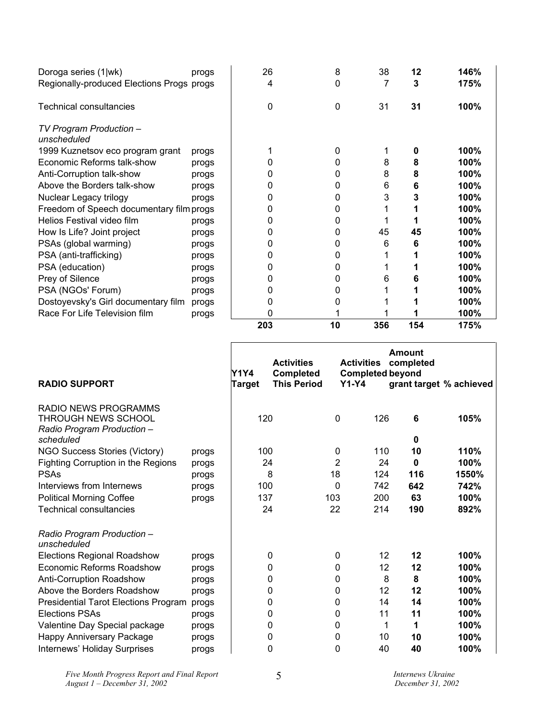| Doroga series (1 wk)                      | progs | 26  | 8  | 38  | 12  | 146% |
|-------------------------------------------|-------|-----|----|-----|-----|------|
| Regionally-produced Elections Progs progs |       | 4   | 0  |     | 3   | 175% |
| <b>Technical consultancies</b>            |       | 0   | 0  | 31  | 31  | 100% |
| TV Program Production -<br>unscheduled    |       |     |    |     |     |      |
| 1999 Kuznetsov eco program grant          | progs |     | 0  |     | n   | 100% |
| Economic Reforms talk-show                | progs |     |    | 8   | 8   | 100% |
| Anti-Corruption talk-show                 | progs |     |    | 8   | 8   | 100% |
| Above the Borders talk-show               | progs |     | 0  | 6   | 6   | 100% |
| Nuclear Legacy trilogy                    | progs |     | O  | 3   |     | 100% |
| Freedom of Speech documentary film progs  |       |     |    |     |     | 100% |
| Helios Festival video film                | progs |     |    |     |     | 100% |
| How Is Life? Joint project                | progs |     | 0  | 45  | 45  | 100% |
| PSAs (global warming)                     | progs |     |    | 6   | 6   | 100% |
| PSA (anti-trafficking)                    | progs |     |    |     |     | 100% |
| PSA (education)                           | progs |     | O  |     |     | 100% |
| Prey of Silence                           | progs | ი   | O  | 6   |     | 100% |
| PSA (NGOs' Forum)                         | progs |     |    |     |     | 100% |
| Dostoyevsky's Girl documentary film       | progs |     |    |     |     | 100% |
| Race For Life Television film             | progs | 0   |    |     |     | 100% |
|                                           |       | 203 | 10 | 356 | 154 | 175% |

|       | Y1Y4<br>Target                            | <b>Activities</b><br><b>Completed</b> |                                                                                        |                              | Amount<br>completed          | grant target % achieved                                                                                                                       |
|-------|-------------------------------------------|---------------------------------------|----------------------------------------------------------------------------------------|------------------------------|------------------------------|-----------------------------------------------------------------------------------------------------------------------------------------------|
|       |                                           |                                       | $\mathbf 0$                                                                            |                              | 6                            | 105%                                                                                                                                          |
|       |                                           |                                       |                                                                                        |                              |                              | 110%                                                                                                                                          |
|       |                                           |                                       |                                                                                        |                              | 0                            | 100%                                                                                                                                          |
|       |                                           |                                       | 18                                                                                     |                              |                              | 1550%                                                                                                                                         |
|       |                                           |                                       | 0                                                                                      |                              | 642                          | 742%                                                                                                                                          |
|       |                                           |                                       | 103                                                                                    |                              | 63                           | 100%                                                                                                                                          |
|       |                                           |                                       | 22                                                                                     |                              | 190                          | 892%                                                                                                                                          |
|       |                                           |                                       |                                                                                        |                              |                              |                                                                                                                                               |
| progs |                                           |                                       | 0                                                                                      |                              | 12                           | 100%                                                                                                                                          |
| progs |                                           |                                       | $\mathbf{0}$                                                                           |                              | 12                           | 100%                                                                                                                                          |
| progs |                                           |                                       | 0                                                                                      |                              | 8                            | 100%                                                                                                                                          |
| progs |                                           |                                       | 0                                                                                      |                              | 12                           | 100%                                                                                                                                          |
| progs |                                           |                                       | 0                                                                                      |                              | 14                           | 100%                                                                                                                                          |
| progs |                                           |                                       | 0                                                                                      |                              | 11                           | 100%                                                                                                                                          |
| progs |                                           |                                       | 0                                                                                      |                              | 1                            | 100%                                                                                                                                          |
| progs |                                           |                                       | 0                                                                                      |                              | 10                           | 100%                                                                                                                                          |
| progs |                                           |                                       | 0                                                                                      |                              | 40                           | 100%                                                                                                                                          |
|       | progs<br>progs<br>progs<br>progs<br>progs |                                       | 120<br>100<br>24<br>8<br>100<br>137<br>24<br>0<br>0<br>0<br>0<br>0<br>0<br>0<br>0<br>0 | <b>This Period</b><br>0<br>2 | <b>Activities</b><br>$Y1-Y4$ | <b>Completed beyond</b><br>126<br>0<br>110<br>10<br>24<br>124<br>116<br>742<br>200<br>214<br>12<br>12<br>8<br>12<br>14<br>11<br>1<br>10<br>40 |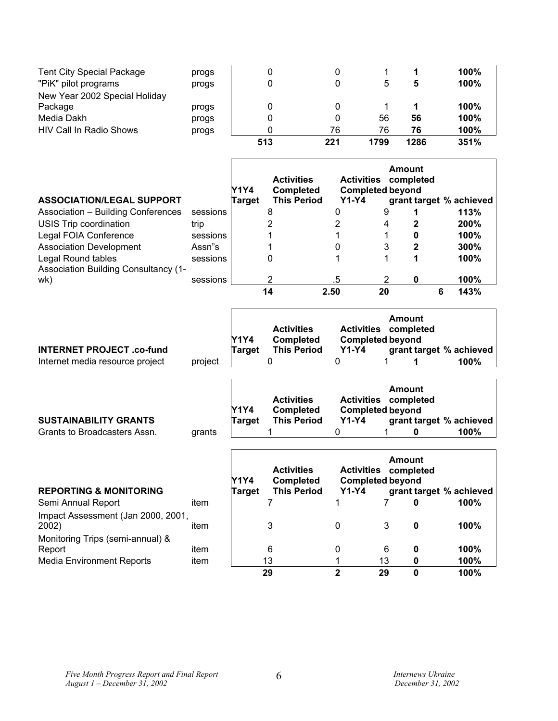| <b>Tent City Special Package</b><br>"PiK" pilot programs | progs<br>progs | 0   |     |      |      | 100%<br>100% |
|----------------------------------------------------------|----------------|-----|-----|------|------|--------------|
| New Year 2002 Special Holiday                            |                |     |     |      |      |              |
| Package                                                  | progs          | 0   |     |      |      | 100%         |
| Media Dakh                                               | progs          | 0   | 0   | 56   | 56   | 100%         |
| HIV Call In Radio Shows                                  | progs          |     | 76  | 76   | 76   | 100%         |
|                                                          |                | 513 | 221 | 1799 | 1286 | 351%         |

 $\mathbf{r}$ 

| <b>ASSOCIATION/LEGAL SUPPORT</b>                                  |          | Y1Y4<br>Target | <b>Activities</b><br><b>Completed</b><br><b>This Period</b> | <b>Activities</b><br><b>Completed beyond</b><br>$Y1-Y4$ | <b>Amount</b><br>completed |   | grant target % achieved |
|-------------------------------------------------------------------|----------|----------------|-------------------------------------------------------------|---------------------------------------------------------|----------------------------|---|-------------------------|
| Association - Building Conferences                                | sessions |                | 8                                                           |                                                         | 9                          |   | 113%                    |
| USIS Trip coordination                                            | trip     |                |                                                             |                                                         | 4                          |   | 200%                    |
| Legal FOIA Conference                                             | sessions |                |                                                             |                                                         |                            | 0 | 100%                    |
| <b>Association Development</b>                                    | Assn"s   |                |                                                             | 0                                                       | 3                          | 2 | 300%                    |
| Legal Round tables<br><b>Association Building Consultancy (1-</b> | sessions |                | 0                                                           |                                                         |                            |   | 100%                    |
| wk)                                                               | sessions |                | 2                                                           | .5                                                      |                            | 0 | 100%                    |
|                                                                   |          |                | 14                                                          | 2.50                                                    | 20                         |   | 143%<br>6               |

|                                 |         | Y1Y4   | <b>Activities</b><br><b>Completed</b> | <b>Activities</b><br><b>Completed beyond</b> | Amount<br>completed |                         |
|---------------------------------|---------|--------|---------------------------------------|----------------------------------------------|---------------------|-------------------------|
| <b>INTERNET PROJECT.co-fund</b> |         | Target | <b>This Period</b>                    | <b>Y1-Y4</b>                                 |                     | grant target % achieved |
| Internet media resource project | project |        |                                       |                                              |                     | 100%                    |

|                              |        | Y1Y4   | <b>Activities</b><br><b>Completed</b> | Activities completed<br><b>Completed beyond</b> | Amount |                         |
|------------------------------|--------|--------|---------------------------------------|-------------------------------------------------|--------|-------------------------|
| <b>SUSTAINABILITY GRANTS</b> |        | Tarɑet | <b>This Period</b>                    | <b>Y1-Y4</b>                                    |        | grant target % achieved |
| Grants to Broadcasters Assn. | grants |        |                                       |                                                 |        | 100%                    |

| <b>REPORTING &amp; MONITORING</b>           |      | Y1Y4<br>Target | <b>Activities</b><br><b>Completed</b><br><b>This Period</b> | <b>Activities</b><br><b>Completed beyond</b><br>$Y1-Y4$ |    | <b>Amount</b><br>completed | grant target % achieved |
|---------------------------------------------|------|----------------|-------------------------------------------------------------|---------------------------------------------------------|----|----------------------------|-------------------------|
| Semi Annual Report                          | item |                |                                                             |                                                         |    | 0                          | 100%                    |
| Impact Assessment (Jan 2000, 2001,<br>2002) | item |                | 3                                                           | 0                                                       | 3  | 0                          | 100%                    |
| Monitoring Trips (semi-annual) &            |      |                |                                                             |                                                         |    |                            |                         |
| Report                                      | item |                | 6                                                           | 0                                                       | 6  | 0                          | 100%                    |
| <b>Media Environment Reports</b>            | item |                | 13                                                          |                                                         | 13 | 0                          | 100%                    |
|                                             |      |                | 29                                                          | 2                                                       | 29 | 0                          | 100%                    |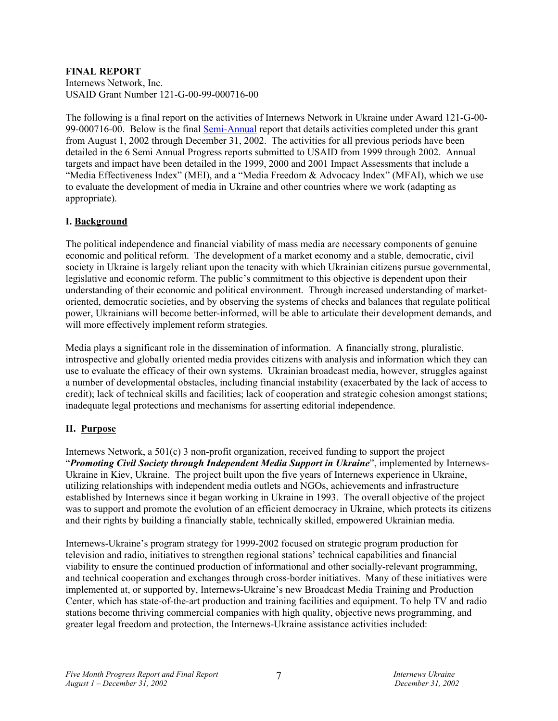# **FINAL REPORT**

Internews Network, Inc. USAID Grant Number 121-G-00-99-000716-00

The following is a final report on the activities of Internews Network in Ukraine under Award 121-G-00- 99-000716-00. Below is the final Semi-Annual report that details activities completed under this grant from August 1, 2002 through December 31, 2002. The activities for all previous periods have been detailed in the 6 Semi Annual Progress reports submitted to USAID from 1999 through 2002. Annual targets and impact have been detailed in the 1999, 2000 and 2001 Impact Assessments that include a "Media Effectiveness Index" (MEI), and a "Media Freedom & Advocacy Index" (MFAI), which we use to evaluate the development of media in Ukraine and other countries where we work (adapting as appropriate).

# **I. Background**

The political independence and financial viability of mass media are necessary components of genuine economic and political reform. The development of a market economy and a stable, democratic, civil society in Ukraine is largely reliant upon the tenacity with which Ukrainian citizens pursue governmental, legislative and economic reform. The public's commitment to this objective is dependent upon their understanding of their economic and political environment. Through increased understanding of marketoriented, democratic societies, and by observing the systems of checks and balances that regulate political power, Ukrainians will become better-informed, will be able to articulate their development demands, and will more effectively implement reform strategies.

Media plays a significant role in the dissemination of information. A financially strong, pluralistic, introspective and globally oriented media provides citizens with analysis and information which they can use to evaluate the efficacy of their own systems. Ukrainian broadcast media, however, struggles against a number of developmental obstacles, including financial instability (exacerbated by the lack of access to credit); lack of technical skills and facilities; lack of cooperation and strategic cohesion amongst stations; inadequate legal protections and mechanisms for asserting editorial independence.

# **II. Purpose**

Internews Network, a 501(c) 3 non-profit organization, received funding to support the project "*Promoting Civil Society through Independent Media Support in Ukraine*", implemented by Internews-Ukraine in Kiev, Ukraine. The project built upon the five years of Internews experience in Ukraine, utilizing relationships with independent media outlets and NGOs, achievements and infrastructure established by Internews since it began working in Ukraine in 1993. The overall objective of the project was to support and promote the evolution of an efficient democracy in Ukraine, which protects its citizens and their rights by building a financially stable, technically skilled, empowered Ukrainian media.

Internews-Ukraine's program strategy for 1999-2002 focused on strategic program production for television and radio, initiatives to strengthen regional stations' technical capabilities and financial viability to ensure the continued production of informational and other socially-relevant programming, and technical cooperation and exchanges through cross-border initiatives. Many of these initiatives were implemented at, or supported by, Internews-Ukraine's new Broadcast Media Training and Production Center, which has state-of-the-art production and training facilities and equipment. To help TV and radio stations become thriving commercial companies with high quality, objective news programming, and greater legal freedom and protection, the Internews-Ukraine assistance activities included: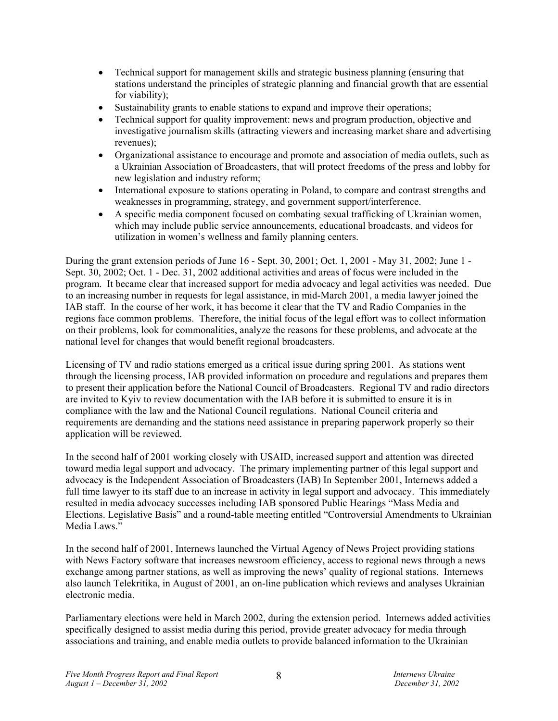- Technical support for management skills and strategic business planning (ensuring that stations understand the principles of strategic planning and financial growth that are essential for viability);
- Sustainability grants to enable stations to expand and improve their operations;
- Technical support for quality improvement: news and program production, objective and investigative journalism skills (attracting viewers and increasing market share and advertising revenues);
- Organizational assistance to encourage and promote and association of media outlets, such as a Ukrainian Association of Broadcasters, that will protect freedoms of the press and lobby for new legislation and industry reform;
- International exposure to stations operating in Poland, to compare and contrast strengths and weaknesses in programming, strategy, and government support/interference.
- A specific media component focused on combating sexual trafficking of Ukrainian women, which may include public service announcements, educational broadcasts, and videos for utilization in women's wellness and family planning centers.

During the grant extension periods of June 16 - Sept. 30, 2001; Oct. 1, 2001 - May 31, 2002; June 1 - Sept. 30, 2002; Oct. 1 - Dec. 31, 2002 additional activities and areas of focus were included in the program. It became clear that increased support for media advocacy and legal activities was needed. Due to an increasing number in requests for legal assistance, in mid-March 2001, a media lawyer joined the IAB staff. In the course of her work, it has become it clear that the TV and Radio Companies in the regions face common problems. Therefore, the initial focus of the legal effort was to collect information on their problems, look for commonalities, analyze the reasons for these problems, and advocate at the national level for changes that would benefit regional broadcasters.

Licensing of TV and radio stations emerged as a critical issue during spring 2001. As stations went through the licensing process, IAB provided information on procedure and regulations and prepares them to present their application before the National Council of Broadcasters. Regional TV and radio directors are invited to Kyiv to review documentation with the IAB before it is submitted to ensure it is in compliance with the law and the National Council regulations. National Council criteria and requirements are demanding and the stations need assistance in preparing paperwork properly so their application will be reviewed.

In the second half of 2001 working closely with USAID, increased support and attention was directed toward media legal support and advocacy. The primary implementing partner of this legal support and advocacy is the Independent Association of Broadcasters (IAB) In September 2001, Internews added a full time lawyer to its staff due to an increase in activity in legal support and advocacy. This immediately resulted in media advocacy successes including IAB sponsored Public Hearings "Mass Media and Elections. Legislative Basis" and a round-table meeting entitled "Controversial Amendments to Ukrainian Media Laws."

In the second half of 2001, Internews launched the Virtual Agency of News Project providing stations with News Factory software that increases newsroom efficiency, access to regional news through a news exchange among partner stations, as well as improving the news' quality of regional stations. Internews also launch Telekritika, in August of 2001, an on-line publication which reviews and analyses Ukrainian electronic media.

Parliamentary elections were held in March 2002, during the extension period. Internews added activities specifically designed to assist media during this period, provide greater advocacy for media through associations and training, and enable media outlets to provide balanced information to the Ukrainian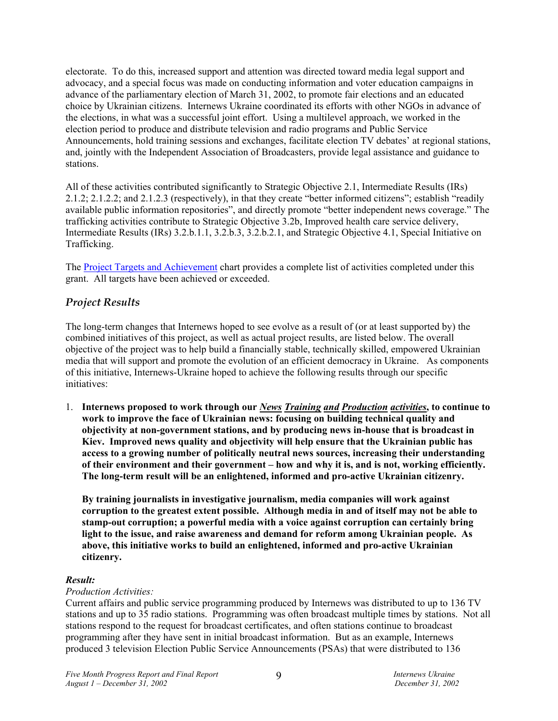electorate. To do this, increased support and attention was directed toward media legal support and advocacy, and a special focus was made on conducting information and voter education campaigns in advance of the parliamentary election of March 31, 2002, to promote fair elections and an educated choice by Ukrainian citizens. Internews Ukraine coordinated its efforts with other NGOs in advance of the elections, in what was a successful joint effort. Using a multilevel approach, we worked in the election period to produce and distribute television and radio programs and Public Service Announcements, hold training sessions and exchanges, facilitate election TV debates' at regional stations, and, jointly with the Independent Association of Broadcasters, provide legal assistance and guidance to stations.

All of these activities contributed significantly to Strategic Objective 2.1, Intermediate Results (IRs) 2.1.2; 2.1.2.2; and 2.1.2.3 (respectively), in that they create "better informed citizens"; establish "readily available public information repositories", and directly promote "better independent news coverage." The trafficking activities contribute to Strategic Objective 3.2b, Improved health care service delivery, Intermediate Results (IRs) 3.2.b.1.1, 3.2.b.3, 3.2.b.2.1, and Strategic Objective 4.1, Special Initiative on Trafficking.

The Project Targets and Achievement chart provides a complete list of activities completed under this grant. All targets have been achieved or exceeded.

# *Project Results*

The long-term changes that Internews hoped to see evolve as a result of (or at least supported by) the combined initiatives of this project, as well as actual project results, are listed below. The overall objective of the project was to help build a financially stable, technically skilled, empowered Ukrainian media that will support and promote the evolution of an efficient democracy in Ukraine. As components of this initiative, Internews-Ukraine hoped to achieve the following results through our specific initiatives:

1. **Internews proposed to work through our** *News Training and Production activities***, to continue to work to improve the face of Ukrainian news: focusing on building technical quality and objectivity at non-government stations, and by producing news in-house that is broadcast in Kiev. Improved news quality and objectivity will help ensure that the Ukrainian public has access to a growing number of politically neutral news sources, increasing their understanding of their environment and their government – how and why it is, and is not, working efficiently. The long-term result will be an enlightened, informed and pro-active Ukrainian citizenry.** 

**By training journalists in investigative journalism, media companies will work against corruption to the greatest extent possible. Although media in and of itself may not be able to stamp-out corruption; a powerful media with a voice against corruption can certainly bring light to the issue, and raise awareness and demand for reform among Ukrainian people. As above, this initiative works to build an enlightened, informed and pro-active Ukrainian citizenry.** 

# *Result:*

### *Production Activities:*

Current affairs and public service programming produced by Internews was distributed to up to 136 TV stations and up to 35 radio stations. Programming was often broadcast multiple times by stations. Not all stations respond to the request for broadcast certificates, and often stations continue to broadcast programming after they have sent in initial broadcast information. But as an example, Internews produced 3 television Election Public Service Announcements (PSAs) that were distributed to 136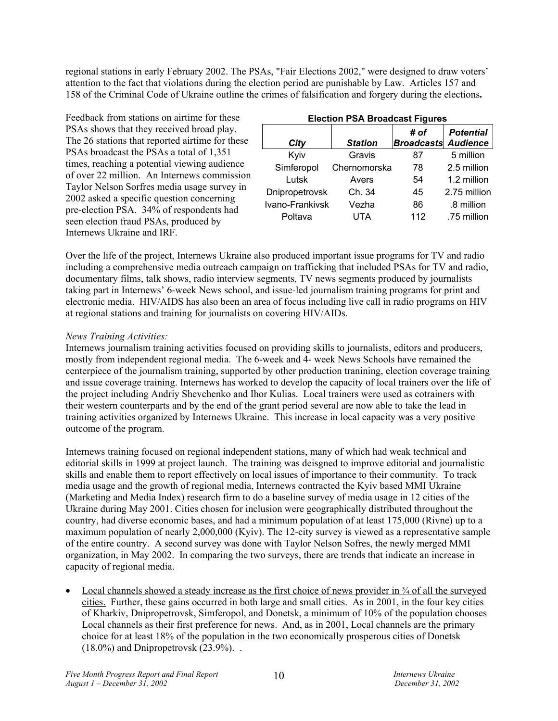regional stations in early February 2002. The PSAs, "Fair Elections 2002," were designed to draw voters' attention to the fact that violations during the election period are punishable by Law. Articles 157 and 158 of the Criminal Code of Ukraine outline the crimes of falsification and forgery during the elections**.** 

Feedback from stations on airtime for these PSAs shows that they received broad play. The 26 stations that reported airtime for these PSAs broadcast the PSAs a total of 1,351 times, reaching a potential viewing audience of over 22 million. An Internews commission Taylor Nelson Sorfres media usage survey in 2002 asked a specific question concerning pre-election PSA. 34% of respondents had seen election fraud PSAs, produced by Internews Ukraine and IRF.

| <b>Election PSA Broadcast Figures</b> |                |                                    |                  |  |
|---------------------------------------|----------------|------------------------------------|------------------|--|
| City                                  | <b>Station</b> | # of<br><b>Broadcasts Audience</b> | <b>Potential</b> |  |
| Kyiv                                  | Gravis         | 87                                 | 5 million        |  |
| Simferopol                            | Chernomorska   | 78                                 | 2.5 million      |  |
| Lutsk                                 | Avers          | 54                                 | 1.2 million      |  |
| Dnipropetrovsk                        | Ch. 34         | 45                                 | 2.75 million     |  |
| Ivano-Frankivsk                       | Vezha          | 86                                 | .8 million       |  |
| Poltava                               | UTA            | 112                                | .75 million      |  |

Over the life of the project, Internews Ukraine also produced important issue programs for TV and radio including a comprehensive media outreach campaign on trafficking that included PSAs for TV and radio, documentary films, talk shows, radio interview segments, TV news segments produced by journalists taking part in Internews' 6-week News school, and issue-led journalism training programs for print and electronic media. HIV/AIDS has also been an area of focus including live call in radio programs on HIV at regional stations and training for journalists on covering HIV/AIDs.

# *News Training Activities:*

Internews journalism training activities focused on providing skills to journalists, editors and producers, mostly from independent regional media. The 6-week and 4- week News Schools have remained the centerpiece of the journalism training, supported by other production tranining, election coverage training and issue coverage training. Internews has worked to develop the capacity of local trainers over the life of the project including Andriy Shevchenko and Ihor Kulias. Local trainers were used as cotrainers with their western counterparts and by the end of the grant period several are now able to take the lead in training activities organized by Internews Ukraine. This increase in local capacity was a very positive outcome of the program.

Internews training focused on regional independent stations, many of which had weak technical and editorial skills in 1999 at project launch. The training was deisgned to improve editorial and journalistic skills and enable them to report effectively on local issues of importance to their community. To track media usage and the growth of regional media, Internews contracted the Kyiv based MMI Ukraine (Marketing and Media Index) research firm to do a baseline survey of media usage in 12 cities of the Ukraine during May 2001. Cities chosen for inclusion were geographically distributed throughout the country, had diverse economic bases, and had a minimum population of at least 175,000 (Rivne) up to a maximum population of nearly 2,000,000 (Kyiv). The 12-city survey is viewed as a representative sample of the entire country. A second survey was done with Taylor Nelson Sofres, the newly merged MMI organization, in May 2002. In comparing the two surveys, there are trends that indicate an increase in capacity of regional media.

• Local channels showed a steady increase as the first choice of news provider in  $\frac{3}{4}$  of all the surveyed cities. Further, these gains occurred in both large and small cities. As in 2001, in the four key cities of Kharkiv, Dnipropetrovsk, Simferopol, and Donetsk, a minimum of 10% of the population chooses Local channels as their first preference for news. And, as in 2001, Local channels are the primary choice for at least 18% of the population in the two economically prosperous cities of Donetsk  $(18.0\%)$  and Dnipropetrovsk  $(23.9\%).$ .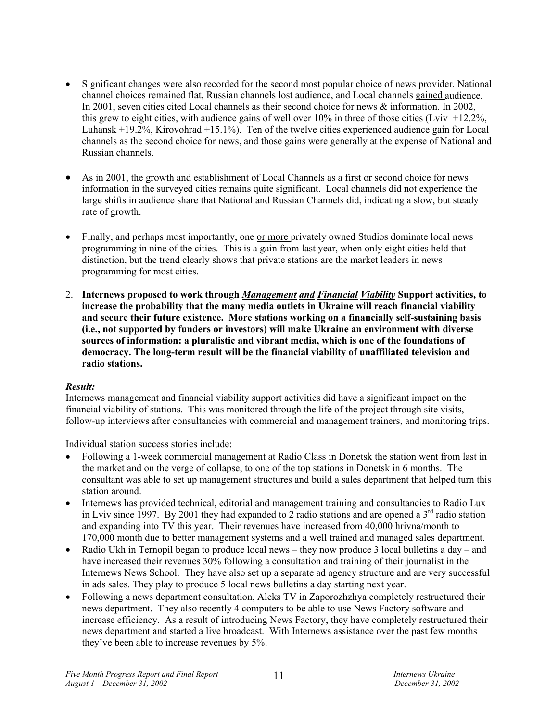- Significant changes were also recorded for the second most popular choice of news provider. National channel choices remained flat, Russian channels lost audience, and Local channels gained audience. In 2001, seven cities cited Local channels as their second choice for news & information. In 2002, this grew to eight cities, with audience gains of well over  $10\%$  in three of those cities (Lviv +12.2%, Luhansk +19.2%, Kirovohrad +15.1%). Ten of the twelve cities experienced audience gain for Local channels as the second choice for news, and those gains were generally at the expense of National and Russian channels.
- As in 2001, the growth and establishment of Local Channels as a first or second choice for news information in the surveyed cities remains quite significant. Local channels did not experience the large shifts in audience share that National and Russian Channels did, indicating a slow, but steady rate of growth.
- Finally, and perhaps most importantly, one or more privately owned Studios dominate local news programming in nine of the cities. This is a gain from last year, when only eight cities held that distinction, but the trend clearly shows that private stations are the market leaders in news programming for most cities.
- 2. **Internews proposed to work through** *Management and Financial Viability* **Support activities, to increase the probability that the many media outlets in Ukraine will reach financial viability and secure their future existence. More stations working on a financially self-sustaining basis (i.e., not supported by funders or investors) will make Ukraine an environment with diverse sources of information: a pluralistic and vibrant media, which is one of the foundations of democracy. The long-term result will be the financial viability of unaffiliated television and radio stations.**

### *Result:*

Internews management and financial viability support activities did have a significant impact on the financial viability of stations. This was monitored through the life of the project through site visits, follow-up interviews after consultancies with commercial and management trainers, and monitoring trips.

Individual station success stories include:

- Following a 1-week commercial management at Radio Class in Donetsk the station went from last in the market and on the verge of collapse, to one of the top stations in Donetsk in 6 months. The consultant was able to set up management structures and build a sales department that helped turn this station around.
- Internews has provided technical, editorial and management training and consultancies to Radio Lux in Lviv since 1997. By 2001 they had expanded to 2 radio stations and are opened a  $3<sup>rd</sup>$  radio station and expanding into TV this year. Their revenues have increased from 40,000 hrivna/month to 170,000 month due to better management systems and a well trained and managed sales department.
- Radio Ukh in Ternopil began to produce local news they now produce 3 local bulletins a day and have increased their revenues 30% following a consultation and training of their journalist in the Internews News School. They have also set up a separate ad agency structure and are very successful in ads sales. They play to produce 5 local news bulletins a day starting next year.
- Following a news department consultation, Aleks TV in Zaporozhzhya completely restructured their news department. They also recently 4 computers to be able to use News Factory software and increase efficiency. As a result of introducing News Factory, they have completely restructured their news department and started a live broadcast. With Internews assistance over the past few months they've been able to increase revenues by 5%.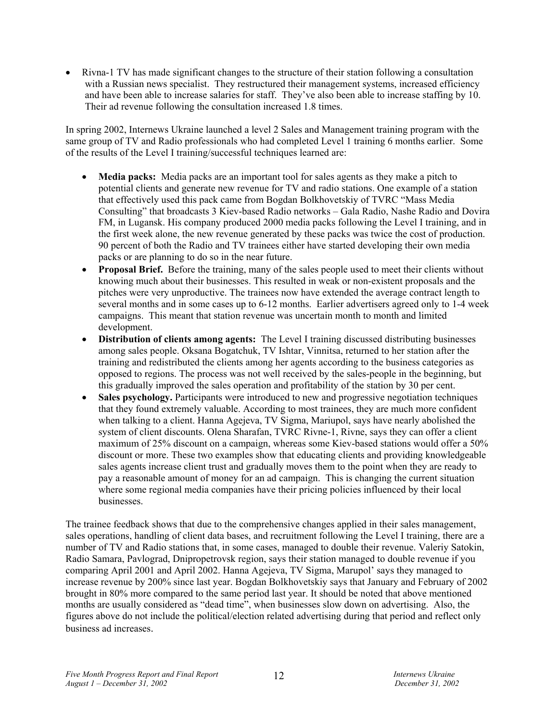• Rivna-1 TV has made significant changes to the structure of their station following a consultation with a Russian news specialist. They restructured their management systems, increased efficiency and have been able to increase salaries for staff. They've also been able to increase staffing by 10. Their ad revenue following the consultation increased 1.8 times.

In spring 2002, Internews Ukraine launched a level 2 Sales and Management training program with the same group of TV and Radio professionals who had completed Level 1 training 6 months earlier. Some of the results of the Level I training/successful techniques learned are:

- **Media packs:** Media packs are an important tool for sales agents as they make a pitch to potential clients and generate new revenue for TV and radio stations. One example of a station that effectively used this pack came from Bogdan Bolkhovetskiy of TVRC "Mass Media Consulting" that broadcasts 3 Kiev-based Radio networks – Gala Radio, Nashe Radio and Dovira FM, in Lugansk. His company produced 2000 media packs following the Level I training, and in the first week alone, the new revenue generated by these packs was twice the cost of production. 90 percent of both the Radio and TV trainees either have started developing their own media packs or are planning to do so in the near future.
- **Proposal Brief.** Before the training, many of the sales people used to meet their clients without knowing much about their businesses. This resulted in weak or non-existent proposals and the pitches were very unproductive. The trainees now have extended the average contract length to several months and in some cases up to 6-12 months. Earlier advertisers agreed only to 1-4 week campaigns. This meant that station revenue was uncertain month to month and limited development.
- **Distribution of clients among agents:** The Level I training discussed distributing businesses among sales people. Oksana Bogatchuk, TV Ishtar, Vinnitsa, returned to her station after the training and redistributed the clients among her agents according to the business categories as opposed to regions. The process was not well received by the sales-people in the beginning, but this gradually improved the sales operation and profitability of the station by 30 per cent.
- **Sales psychology.** Participants were introduced to new and progressive negotiation techniques that they found extremely valuable. According to most trainees, they are much more confident when talking to a client. Hanna Agejeva, TV Sigma, Mariupol, says have nearly abolished the system of client discounts. Olena Sharafan, TVRC Rivne-1, Rivne, says they can offer a client maximum of 25% discount on a campaign, whereas some Kiev-based stations would offer a 50% discount or more. These two examples show that educating clients and providing knowledgeable sales agents increase client trust and gradually moves them to the point when they are ready to pay a reasonable amount of money for an ad campaign. This is changing the current situation where some regional media companies have their pricing policies influenced by their local businesses.

The trainee feedback shows that due to the comprehensive changes applied in their sales management, sales operations, handling of client data bases, and recruitment following the Level I training, there are a number of TV and Radio stations that, in some cases, managed to double their revenue. Valeriy Satokin, Radio Samara, Pavlograd, Dnipropetrovsk region, says their station managed to double revenue if you comparing April 2001 and April 2002. Hanna Agejeva, TV Sigma, Marupol' says they managed to increase revenue by 200% since last year. Bogdan Bolkhovetskiy says that January and February of 2002 brought in 80% more compared to the same period last year. It should be noted that above mentioned months are usually considered as "dead time", when businesses slow down on advertising. Also, the figures above do not include the political/election related advertising during that period and reflect only business ad increases.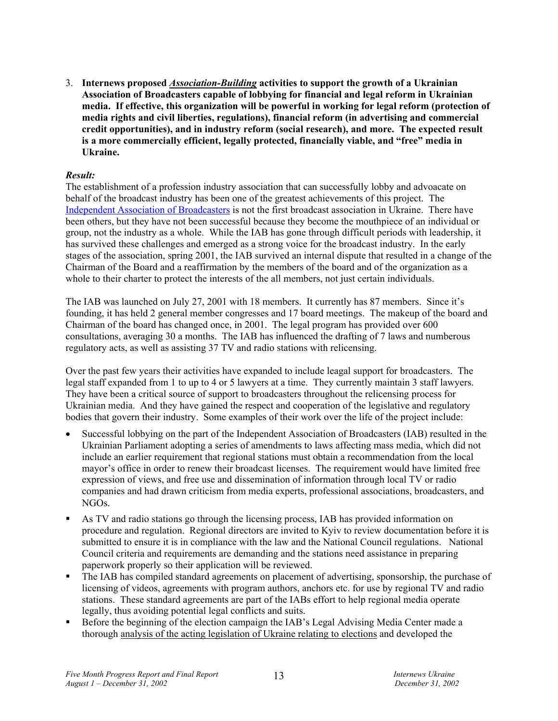3. **Internews proposed** *Association-Building* **activities to support the growth of a Ukrainian Association of Broadcasters capable of lobbying for financial and legal reform in Ukrainian media. If effective, this organization will be powerful in working for legal reform (protection of media rights and civil liberties, regulations), financial reform (in advertising and commercial credit opportunities), and in industry reform (social research), and more. The expected result is a more commercially efficient, legally protected, financially viable, and "free" media in Ukraine.**

# *Result:*

The establishment of a profession industry association that can successfully lobby and advoacate on behalf of the broadcast industry has been one of the greatest achievements of this project. The Independent Association of Broadcasters is not the first broadcast association in Ukraine. There have been others, but they have not been successful because they become the mouthpiece of an individual or group, not the industry as a whole. While the IAB has gone through difficult periods with leadership, it has survived these challenges and emerged as a strong voice for the broadcast industry. In the early stages of the association, spring 2001, the IAB survived an internal dispute that resulted in a change of the Chairman of the Board and a reaffirmation by the members of the board and of the organization as a whole to their charter to protect the interests of the all members, not just certain individuals.

The IAB was launched on July 27, 2001 with 18 members. It currently has 87 members. Since it's founding, it has held 2 general member congresses and 17 board meetings. The makeup of the board and Chairman of the board has changed once, in 2001. The legal program has provided over 600 consultations, averaging 30 a months. The IAB has influenced the drafting of 7 laws and numberous regulatory acts, as well as assisting 37 TV and radio stations with relicensing.

Over the past few years their activities have expanded to include leagal support for broadcasters. The legal staff expanded from 1 to up to 4 or 5 lawyers at a time. They currently maintain 3 staff lawyers. They have been a critical source of support to broadcasters throughout the relicensing process for Ukrainian media. And they have gained the respect and cooperation of the legislative and regulatory bodies that govern their industry. Some examples of their work over the life of the project include:

- Successful lobbying on the part of the Independent Association of Broadcasters (IAB) resulted in the Ukrainian Parliament adopting a series of amendments to laws affecting mass media, which did not include an earlier requirement that regional stations must obtain a recommendation from the local mayor's office in order to renew their broadcast licenses. The requirement would have limited free expression of views, and free use and dissemination of information through local TV or radio companies and had drawn criticism from media experts, professional associations, broadcasters, and NGOs.
- As TV and radio stations go through the licensing process, IAB has provided information on procedure and regulation. Regional directors are invited to Kyiv to review documentation before it is submitted to ensure it is in compliance with the law and the National Council regulations. National Council criteria and requirements are demanding and the stations need assistance in preparing paperwork properly so their application will be reviewed.
- The IAB has compiled standard agreements on placement of advertising, sponsorship, the purchase of licensing of videos, agreements with program authors, anchors etc. for use by regional TV and radio stations. These standard agreements are part of the IABs effort to help regional media operate legally, thus avoiding potential legal conflicts and suits.
- Before the beginning of the election campaign the IAB's Legal Advising Media Center made a thorough analysis of the acting legislation of Ukraine relating to elections and developed the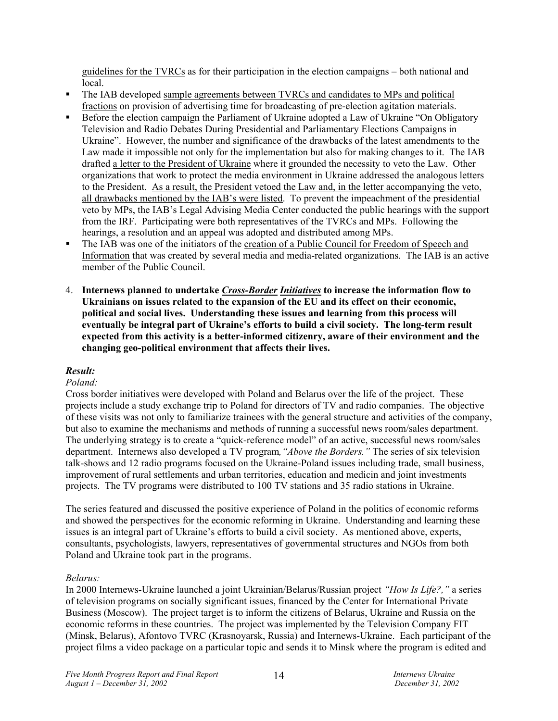guidelines for the TVRCs as for their participation in the election campaigns – both national and local.

- The IAB developed sample agreements between TVRCs and candidates to MPs and political fractions on provision of advertising time for broadcasting of pre-election agitation materials.
- Before the election campaign the Parliament of Ukraine adopted a Law of Ukraine "On Obligatory Television and Radio Debates During Presidential and Parliamentary Elections Campaigns in Ukraine". However, the number and significance of the drawbacks of the latest amendments to the Law made it impossible not only for the implementation but also for making changes to it. The IAB drafted a letter to the President of Ukraine where it grounded the necessity to veto the Law. Other organizations that work to protect the media environment in Ukraine addressed the analogous letters to the President. As a result, the President vetoed the Law and, in the letter accompanying the veto, all drawbacks mentioned by the IAB's were listed. To prevent the impeachment of the presidential veto by MPs, the IAB's Legal Advising Media Center conducted the public hearings with the support from the IRF. Participating were both representatives of the TVRCs and MPs. Following the hearings, a resolution and an appeal was adopted and distributed among MPs.
- The IAB was one of the initiators of the creation of a Public Council for Freedom of Speech and Information that was created by several media and media-related organizations. The IAB is an active member of the Public Council.
- 4. **Internews planned to undertake** *Cross-Border Initiatives* **to increase the information flow to Ukrainians on issues related to the expansion of the EU and its effect on their economic, political and social lives. Understanding these issues and learning from this process will eventually be integral part of Ukraine's efforts to build a civil society. The long-term result expected from this activity is a better-informed citizenry, aware of their environment and the changing geo-political environment that affects their lives.**

# *Result:*

# *Poland:*

Cross border initiatives were developed with Poland and Belarus over the life of the project. These projects include a study exchange trip to Poland for directors of TV and radio companies. The objective of these visits was not only to familiarize trainees with the general structure and activities of the company, but also to examine the mechanisms and methods of running a successful news room/sales department. The underlying strategy is to create a "quick-reference model" of an active, successful news room/sales department. Internews also developed a TV program*,"Above the Borders."* The series of six television talk-shows and 12 radio programs focused on the Ukraine-Poland issues including trade, small business, improvement of rural settlements and urban territories, education and medicin and joint investments projects. The TV programs were distributed to 100 TV stations and 35 radio stations in Ukraine.

The series featured and discussed the positive experience of Poland in the politics of economic reforms and showed the perspectives for the economic reforming in Ukraine. Understanding and learning these issues is an integral part of Ukraine's efforts to build a civil society. As mentioned above, experts, consultants, psychologists, lawyers, representatives of governmental structures and NGOs from both Poland and Ukraine took part in the programs.

### *Belarus:*

In 2000 Internews-Ukraine launched a joint Ukrainian/Belarus/Russian project *"How Is Life?,"* a series of television programs on socially significant issues, financed by the Center for International Private Business (Moscow). The project target is to inform the citizens of Belarus, Ukraine and Russia on the economic reforms in these countries. The project was implemented by the Television Company FIT (Minsk, Belarus), Afontovo TVRC (Krasnoyarsk, Russia) and Internews-Ukraine. Each participant of the project films a video package on a particular topic and sends it to Minsk where the program is edited and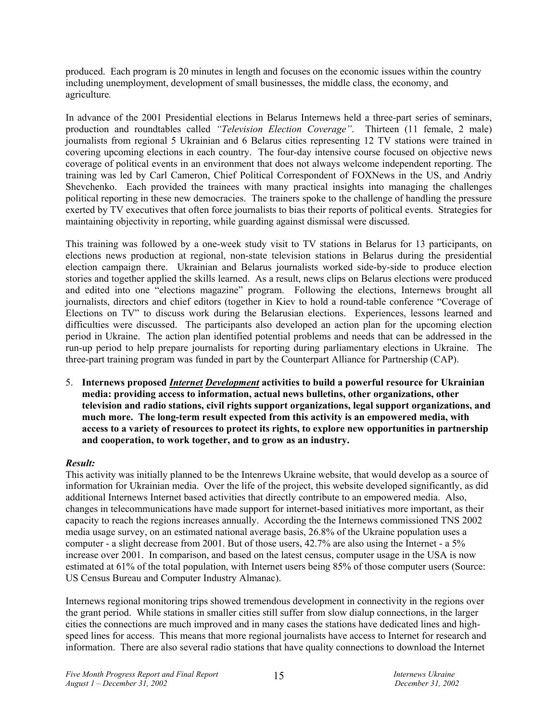produced. Each program is 20 minutes in length and focuses on the economic issues within the country including unemployment, development of small businesses, the middle class, the economy, and agriculture*.* 

In advance of the 2001 Presidential elections in Belarus Internews held a three-part series of seminars, production and roundtables called *"Television Election Coverage"*. Thirteen (11 female, 2 male) journalists from regional 5 Ukrainian and 6 Belarus cities representing 12 TV stations were trained in covering upcoming elections in each country. The four-day intensive course focused on objective news coverage of political events in an environment that does not always welcome independent reporting. The training was led by Carl Cameron, Chief Political Correspondent of FOXNews in the US, and Andriy Shevchenko. Each provided the trainees with many practical insights into managing the challenges political reporting in these new democracies. The trainers spoke to the challenge of handling the pressure exerted by TV executives that often force journalists to bias their reports of political events. Strategies for maintaining objectivity in reporting, while guarding against dismissal were discussed.

This training was followed by a one-week study visit to TV stations in Belarus for 13 participants, on elections news production at regional, non-state television stations in Belarus during the presidential election campaign there. Ukrainian and Belarus journalists worked side-by-side to produce election stories and together applied the skills learned. As a result, news clips on Belarus elections were produced and edited into one "elections magazine" program. Following the elections, Internews brought all journalists, directors and chief editors (together in Kiev to hold a round-table conference "Coverage of Elections on TV" to discuss work during the Belarusian elections. Experiences, lessons learned and difficulties were discussed. The participants also developed an action plan for the upcoming election period in Ukraine. The action plan identified potential problems and needs that can be addressed in the run-up period to help prepare journalists for reporting during parliamentary elections in Ukraine. The three-part training program was funded in part by the Counterpart Alliance for Partnership (CAP).

5. **Internews proposed** *Internet Development* **activities to build a powerful resource for Ukrainian media: providing access to information, actual news bulletins, other organizations, other television and radio stations, civil rights support organizations, legal support organizations, and much more. The long-term result expected from this activity is an empowered media, with access to a variety of resources to protect its rights, to explore new opportunities in partnership and cooperation, to work together, and to grow as an industry.**

# *Result:*

This activity was initially planned to be the Intenrews Ukraine website, that would develop as a source of information for Ukrainian media. Over the life of the project, this website developed significantly, as did additional Internews Internet based activities that directly contribute to an empowered media. Also, changes in telecommunications have made support for internet-based initiatives more important, as their capacity to reach the regions increases annually. According the the Internews commissioned TNS 2002 media usage survey, on an estimated national average basis, 26.8% of the Ukraine population uses a computer - a slight decrease from 2001. But of those users, 42.7% are also using the Internet - a 5% increase over 2001. In comparison, and based on the latest census, computer usage in the USA is now estimated at 61% of the total population, with Internet users being 85% of those computer users (Source: US Census Bureau and Computer Industry Almanac).

Internews regional monitoring trips showed tremendous development in connectivity in the regions over the grant period. While stations in smaller cities still suffer from slow dialup connections, in the larger cities the connections are much improved and in many cases the stations have dedicated lines and highspeed lines for access. This means that more regional journalists have access to Internet for research and information. There are also several radio stations that have quality connections to download the Internet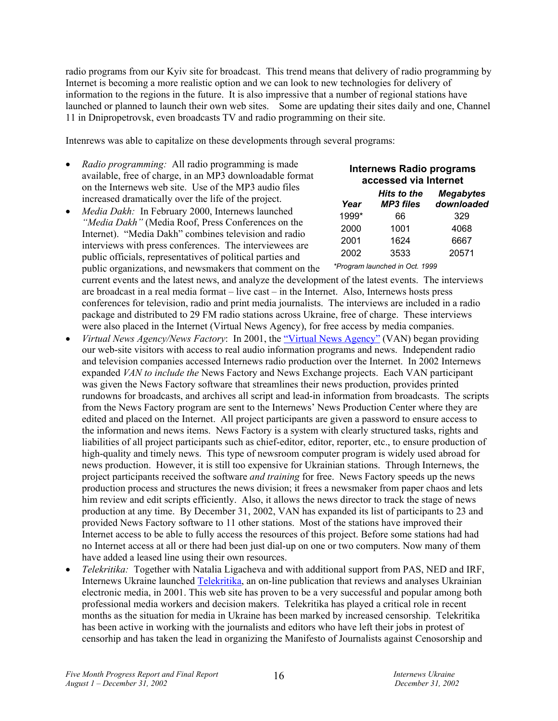radio programs from our Kyiv site for broadcast. This trend means that delivery of radio programming by Internet is becoming a more realistic option and we can look to new technologies for delivery of information to the regions in the future. It is also impressive that a number of regional stations have launched or planned to launch their own web sites. Some are updating their sites daily and one, Channel 11 in Dnipropetrovsk, even broadcasts TV and radio programming on their site.

Intenrews was able to capitalize on these developments through several programs:

- *Radio programming:* All radio programming is made available, free of charge, in an MP3 downloadable format on the Internews web site. Use of the MP3 audio files increased dramatically over the life of the project.
- *Media Dakh:* In February 2000, Internews launched *"Media Dakh"* (Media Roof, Press Conferences on the Internet). "Media Dakh" combines television and radio interviews with press conferences. The interviewees are public officials, representatives of political parties and public organizations, and newsmakers that comment on the current events and the latest news, and analyze the development of the latest events. The interviews are broadcast in a real media format – live cast – in the Internet. Also, Internews hosts press conferences for television, radio and print media journalists. The interviews are included in a radio package and distributed to 29 FM radio stations across Ukraine, free of charge. These interviews were also placed in the Internet (Virtual News Agency), for free access by media companies. *Year MP3 files*  1999\* 66 329 2000 1001 4068 2001 1624 6667 2002 3533 20571 *\*Program launched in Oct. 1999*
- *Virtual News Agency/News Factory*: In 2001, the "Virtual News Agency" (VAN) began providing our web-site visitors with access to real audio information programs and news. Independent radio and television companies accessed Internews radio production over the Internet. In 2002 Internews expanded *VAN to include the* News Factory and News Exchange projects. Each VAN participant was given the News Factory software that streamlines their news production, provides printed rundowns for broadcasts, and archives all script and lead-in information from broadcasts. The scripts from the News Factory program are sent to the Internews' News Production Center where they are edited and placed on the Internet. All project participants are given a password to ensure access to the information and news items. News Factory is a system with clearly structured tasks, rights and liabilities of all project participants such as chief-editor, editor, reporter, etc., to ensure production of high-quality and timely news. This type of newsroom computer program is widely used abroad for news production. However, it is still too expensive for Ukrainian stations. Through Internews, the project participants received the software *and training* for free. News Factory speeds up the news production process and structures the news division; it frees a newsmaker from paper chaos and lets him review and edit scripts efficiently. Also, it allows the news director to track the stage of news production at any time. By December 31, 2002, VAN has expanded its list of participants to 23 and provided News Factory software to 11 other stations. Most of the stations have improved their Internet access to be able to fully access the resources of this project. Before some stations had had no Internet access at all or there had been just dial-up on one or two computers. Now many of them have added a leased line using their own resources.
- *Telekritika:* Together with Natalia Ligacheva and with additional support from PAS, NED and IRF, Internews Ukraine launched Telekritika, an on-line publication that reviews and analyses Ukrainian electronic media, in 2001. This web site has proven to be a very successful and popular among both professional media workers and decision makers. Telekritika has played a critical role in recent months as the situation for media in Ukraine has been marked by increased censorship. Telekritika has been active in working with the journalists and editors who have left their jobs in protest of censorhip and has taken the lead in organizing the Manifesto of Journalists against Cenosorship and

**Internews Radio programs accessed via Internet** 

> *Megabytes downloaded*

*Hits to the*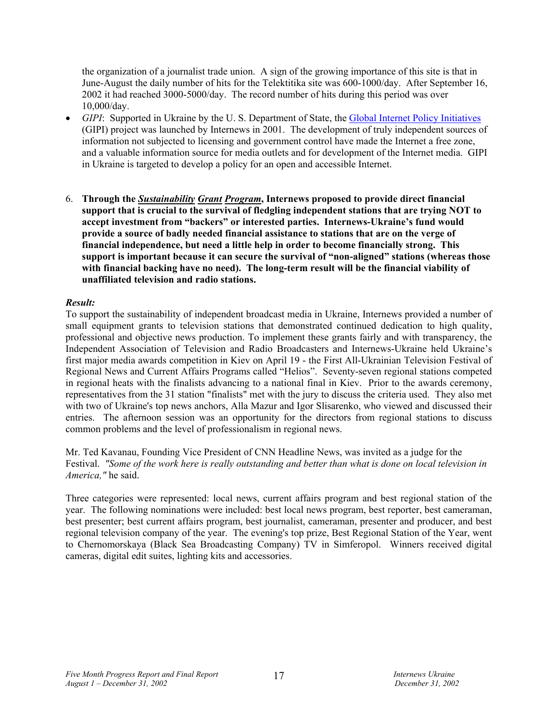the organization of a journalist trade union. A sign of the growing importance of this site is that in June-August the daily number of hits for the Telektitika site was 600-1000/day. After September 16, 2002 it had reached 3000-5000/day. The record number of hits during this period was over 10,000/day.

- *GIPI*: Supported in Ukraine by the U. S. Department of State, the Global Internet Policy Initiatives (GIPI) project was launched by Internews in 2001. The development of truly independent sources of information not subjected to licensing and government control have made the Internet a free zone, and a valuable information source for media outlets and for development of the Internet media. GIPI in Ukraine is targeted to develop a policy for an open and accessible Internet.
- 6. **Through the** *Sustainability Grant Program***, Internews proposed to provide direct financial support that is crucial to the survival of fledgling independent stations that are trying NOT to accept investment from "backers" or interested parties. Internews-Ukraine's fund would provide a source of badly needed financial assistance to stations that are on the verge of financial independence, but need a little help in order to become financially strong. This support is important because it can secure the survival of "non-aligned" stations (whereas those with financial backing have no need). The long-term result will be the financial viability of unaffiliated television and radio stations.**

# *Result:*

To support the sustainability of independent broadcast media in Ukraine, Internews provided a number of small equipment grants to television stations that demonstrated continued dedication to high quality, professional and objective news production. To implement these grants fairly and with transparency, the Independent Association of Television and Radio Broadcasters and Internews-Ukraine held Ukraine's first major media awards competition in Kiev on April 19 - the First All-Ukrainian Television Festival of Regional News and Current Affairs Programs called "Helios". Seventy-seven regional stations competed in regional heats with the finalists advancing to a national final in Kiev. Prior to the awards ceremony, representatives from the 31 station "finalists" met with the jury to discuss the criteria used. They also met with two of Ukraine's top news anchors, Alla Mazur and Igor Slisarenko, who viewed and discussed their entries. The afternoon session was an opportunity for the directors from regional stations to discuss common problems and the level of professionalism in regional news.

Mr. Ted Kavanau, Founding Vice President of CNN Headline News, was invited as a judge for the Festival. *"Some of the work here is really outstanding and better than what is done on local television in America,"* he said.

Three categories were represented: local news, current affairs program and best regional station of the year. The following nominations were included: best local news program, best reporter, best cameraman, best presenter; best current affairs program, best journalist, cameraman, presenter and producer, and best regional television company of the year. The evening's top prize, Best Regional Station of the Year, went to Chernomorskaya (Black Sea Broadcasting Company) TV in Simferopol. Winners received digital cameras, digital edit suites, lighting kits and accessories.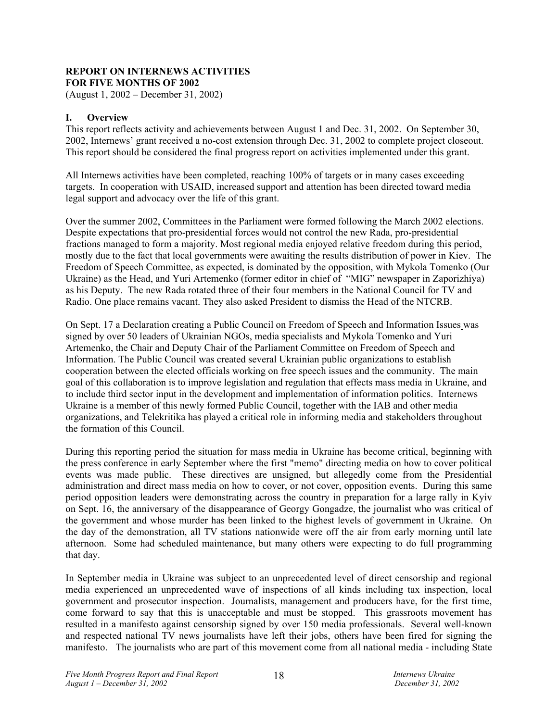# **REPORT ON INTERNEWS ACTIVITIES FOR FIVE MONTHS OF 2002**

(August 1, 2002 – December 31, 2002)

# **I. Overview**

This report reflects activity and achievements between August 1 and Dec. 31, 2002. On September 30, 2002, Internews' grant received a no-cost extension through Dec. 31, 2002 to complete project closeout. This report should be considered the final progress report on activities implemented under this grant.

All Internews activities have been completed, reaching 100% of targets or in many cases exceeding targets. In cooperation with USAID, increased support and attention has been directed toward media legal support and advocacy over the life of this grant.

Over the summer 2002, Committees in the Parliament were formed following the March 2002 elections. Despite expectations that pro-presidential forces would not control the new Rada, pro-presidential fractions managed to form a majority. Most regional media enjoyed relative freedom during this period, mostly due to the fact that local governments were awaiting the results distribution of power in Kiev. The Freedom of Speech Committee, as expected, is dominated by the opposition, with Mykola Tomenko (Our Ukraine) as the Head, and Yuri Artemenko (former editor in chief of "MIG" newspaper in Zaporizhiya) as his Deputy. The new Rada rotated three of their four members in the National Council for TV and Radio. One place remains vacant. They also asked President to dismiss the Head of the NTCRB.

On Sept. 17 a Declaration creating a Public Council on Freedom of Speech and Information Issues was signed by over 50 leaders of Ukrainian NGOs, media specialists and Mykola Tomenko and Yuri Artemenko, the Chair and Deputy Chair of the Parliament Committee on Freedom of Speech and Information. The Public Council was created several Ukrainian public organizations to establish cooperation between the elected officials working on free speech issues and the community. The main goal of this collaboration is to improve legislation and regulation that effects mass media in Ukraine, and to include third sector input in the development and implementation of information politics. Internews Ukraine is a member of this newly formed Public Council, together with the IAB and other media organizations, and Telekritika has played a critical role in informing media and stakeholders throughout the formation of this Council.

During this reporting period the situation for mass media in Ukraine has become critical, beginning with the press conference in early September where the first "memo" directing media on how to cover political events was made public. These directives are unsigned, but allegedly come from the Presidential administration and direct mass media on how to cover, or not cover, opposition events. During this same period opposition leaders were demonstrating across the country in preparation for a large rally in Kyiv on Sept. 16, the anniversary of the disappearance of Georgy Gongadze, the journalist who was critical of the government and whose murder has been linked to the highest levels of government in Ukraine. On the day of the demonstration, all TV stations nationwide were off the air from early morning until late afternoon. Some had scheduled maintenance, but many others were expecting to do full programming that day.

In September media in Ukraine was subject to an unprecedented level of direct censorship and regional media experienced an unprecedented wave of inspections of all kinds including tax inspection, local government and prosecutor inspection. Journalists, management and producers have, for the first time, come forward to say that this is unacceptable and must be stopped. This grassroots movement has resulted in a manifesto against censorship signed by over 150 media professionals. Several well-known and respected national TV news journalists have left their jobs, others have been fired for signing the manifesto. The journalists who are part of this movement come from all national media - including State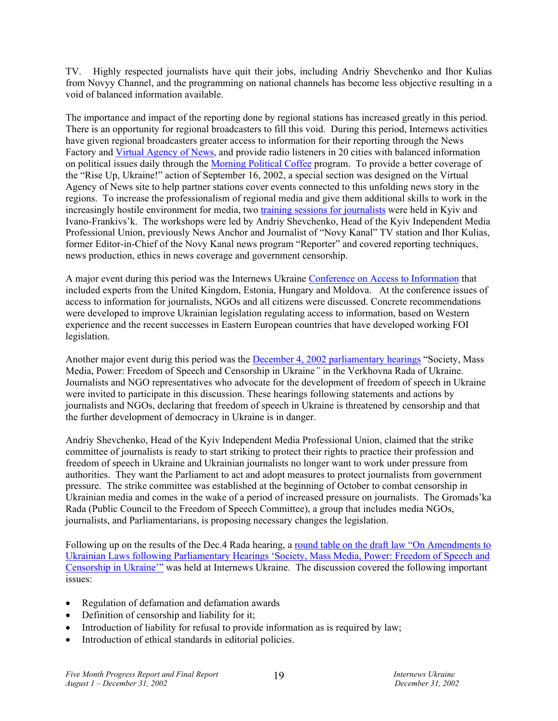TV. Highly respected journalists have quit their jobs, including Andriy Shevchenko and Ihor Kulias from Novyy Channel, and the programming on national channels has become less objective resulting in a void of balanced information available.

The importance and impact of the reporting done by regional stations has increased greatly in this period. There is an opportunity for regional broadcasters to fill this void. During this period, Internews activities have given regional broadcasters greater access to information for their reporting through the News Factory and Virtual Agency of News, and provide radio listeners in 20 cities with balanced information on political issues daily through the Morning Political Coffee program. To provide a better coverage of the "Rise Up, Ukraine!" action of September 16, 2002, a special section was designed on the Virtual Agency of News site to help partner stations cover events connected to this unfolding news story in the regions. To increase the professionalism of regional media and give them additional skills to work in the increasingly hostile environment for media, two training sessions for journalists were held in Kyiv and Ivano-Frankivs'k. The workshops were led by Andriy Shevchenko, Head of the Kyiv Independent Media Professional Union, previously News Anchor and Journalist of "Novy Kanal" TV station and Ihor Kulias, former Editor-in-Chief of the Novy Kanal news program "Reporter" and covered reporting techniques, news production, ethics in news coverage and government censorship.

A major event during this period was the Internews Ukraine Conference on Access to Information that included experts from the United Kingdom, Estonia, Hungary and Moldova. At the conference issues of access to information for journalists, NGOs and all citizens were discussed. Concrete recommendations were developed to improve Ukrainian legislation regulating access to information, based on Western experience and the recent successes in Eastern European countries that have developed working FOI legislation.

Another major event durig this period was the December 4, 2002 parliamentary hearings "Society, Mass Media, Power: Freedom of Speech and Censorship in Ukraine*"* in the Verkhovna Rada of Ukraine. Journalists and NGO representatives who advocate for the development of freedom of speech in Ukraine were invited to participate in this discussion. These hearings following statements and actions by journalists and NGOs, declaring that freedom of speech in Ukraine is threatened by censorship and that the further development of democracy in Ukraine is in danger.

Andriy Shevchenko, Head of the Kyiv Independent Media Professional Union, claimed that the strike committee of journalists is ready to start striking to protect their rights to practice their profession and freedom of speech in Ukraine and Ukrainian journalists no longer want to work under pressure from authorities. They want the Parliament to act and adopt measures to protect journalists from government pressure. The strike committee was established at the beginning of October to combat censorship in Ukrainian media and comes in the wake of a period of increased pressure on journalists. The Gromads'ka Rada (Public Council to the Freedom of Speech Committee), a group that includes media NGOs, journalists, and Parliamentarians, is proposing necessary changes the legislation.

Following up on the results of the Dec.4 Rada hearing, a round table on the draft law "On Amendments to Ukrainian Laws following Parliamentary Hearings 'Society, Mass Media, Power: Freedom of Speech and Censorship in Ukraine'" was held at Internews Ukraine. The discussion covered the following important issues:

- Regulation of defamation and defamation awards
- Definition of censorship and liability for it;
- Introduction of liability for refusal to provide information as is required by law;
- Introduction of ethical standards in editorial policies.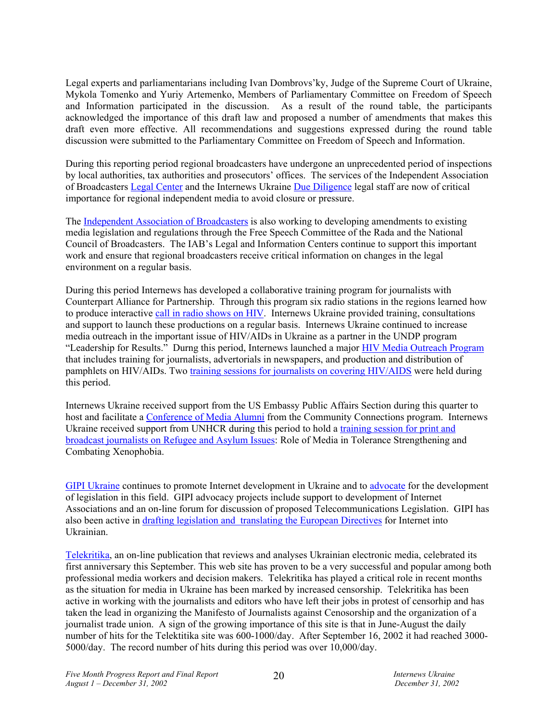Legal experts and parliamentarians including Ivan Dombrovs'ky, Judge of the Supreme Court of Ukraine, Mykola Tomenko and Yuriy Artemenko, Members of Parliamentary Committee on Freedom of Speech and Information participated in the discussion. As a result of the round table, the participants acknowledged the importance of this draft law and proposed a number of amendments that makes this draft even more effective. All recommendations and suggestions expressed during the round table discussion were submitted to the Parliamentary Committee on Freedom of Speech and Information.

During this reporting period regional broadcasters have undergone an unprecedented period of inspections by local authorities, tax authorities and prosecutors' offices. The services of the Independent Association of Broadcasters Legal Center and the Internews Ukraine Due Diligence legal staff are now of critical importance for regional independent media to avoid closure or pressure.

The Independent Association of Broadcasters is also working to developing amendments to existing media legislation and regulations through the Free Speech Committee of the Rada and the National Council of Broadcasters. The IAB's Legal and Information Centers continue to support this important work and ensure that regional broadcasters receive critical information on changes in the legal environment on a regular basis.

During this period Internews has developed a collaborative training program for journalists with Counterpart Alliance for Partnership. Through this program six radio stations in the regions learned how to produce interactive call in radio shows on HIV. Internews Ukraine provided training, consultations and support to launch these productions on a regular basis. Internews Ukraine continued to increase media outreach in the important issue of HIV/AIDs in Ukraine as a partner in the UNDP program "Leadership for Results." Durng this period, Internews launched a major HIV Media Outreach Program that includes training for journalists, advertorials in newspapers, and production and distribution of pamphlets on HIV/AIDs. Two training sessions for journalists on covering HIV/AIDS were held during this period.

Internews Ukraine received support from the US Embassy Public Affairs Section during this quarter to host and facilitate a Conference of Media Alumni from the Community Connections program. Internews Ukraine received support from UNHCR during this period to hold a training session for print and broadcast journalists on Refugee and Asylum Issues: Role of Media in Tolerance Strengthening and Combating Xenophobia.

GIPI Ukraine continues to promote Internet development in Ukraine and to advocate for the development of legislation in this field. GIPI advocacy projects include support to development of Internet Associations and an on-line forum for discussion of proposed Telecommunications Legislation. GIPI has also been active in drafting legislation and translating the European Directives for Internet into Ukrainian.

Telekritika, an on-line publication that reviews and analyses Ukrainian electronic media, celebrated its first anniversary this September. This web site has proven to be a very successful and popular among both professional media workers and decision makers. Telekritika has played a critical role in recent months as the situation for media in Ukraine has been marked by increased censorship. Telekritika has been active in working with the journalists and editors who have left their jobs in protest of censorhip and has taken the lead in organizing the Manifesto of Journalists against Cenosorship and the organization of a journalist trade union. A sign of the growing importance of this site is that in June-August the daily number of hits for the Telektitika site was 600-1000/day. After September 16, 2002 it had reached 3000- 5000/day. The record number of hits during this period was over 10,000/day.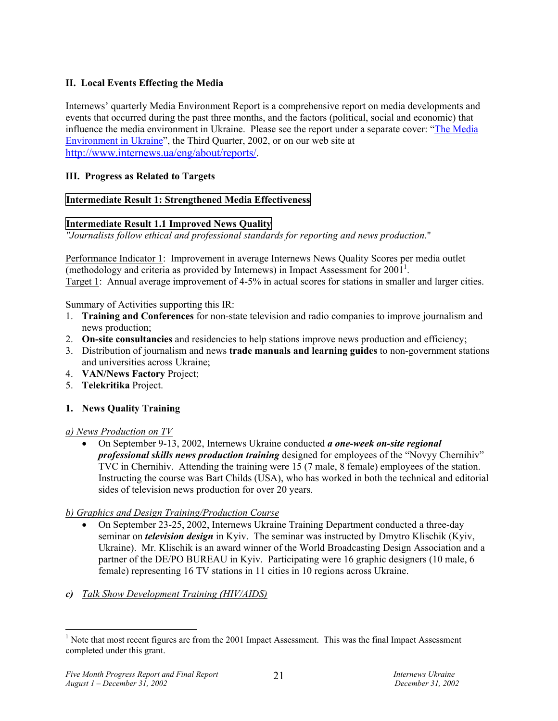# **II. Local Events Effecting the Media**

Internews' quarterly Media Environment Report is a comprehensive report on media developments and events that occurred during the past three months, and the factors (political, social and economic) that influence the media environment in Ukraine. Please see the report under a separate cover: "The Media Environment in Ukraine", the Third Quarter, 2002, or on our web site at http://www.internews.ua/eng/about/reports/.

# **III. Progress as Related to Targets**

# **Intermediate Result 1: Strengthened Media Effectiveness**

# **Intermediate Result 1.1 Improved News Quality**

*"Journalists follow ethical and professional standards for reporting and news production*."

Performance Indicator 1: Improvement in average Internews News Quality Scores per media outlet (methodology and criteria as provided by Internews) in Impact Assessment for  $2001^1$ . Target 1: Annual average improvement of 4-5% in actual scores for stations in smaller and larger cities.

Summary of Activities supporting this IR:

- 1. **Training and Conferences** for non-state television and radio companies to improve journalism and news production;
- 2. **On-site consultancies** and residencies to help stations improve news production and efficiency;
- 3. Distribution of journalism and news **trade manuals and learning guides** to non-government stations and universities across Ukraine;
- 4. **VAN/News Factory** Project;
- 5. **Telekritika** Project.

# **1. News Quality Training**

# *a) News Production on TV*

• On September 9-13, 2002, Internews Ukraine conducted *a one-week on-site regional professional skills news production training* designed for employees of the "Novyy Chernihiv" TVC in Chernihiv. Attending the training were 15 (7 male, 8 female) employees of the station. Instructing the course was Bart Childs (USA), who has worked in both the technical and editorial sides of television news production for over 20 years.

# *b) Graphics and Design Training/Production Course*

- On September 23-25, 2002, Internews Ukraine Training Department conducted a three-day seminar on *television design* in Kyiv. The seminar was instructed by Dmytro Klischik (Kyiv, Ukraine). Mr. Klischik is an award winner of the World Broadcasting Design Association and a partner of the DE/PO BUREAU in Kyiv. Participating were 16 graphic designers (10 male, 6 female) representing 16 TV stations in 11 cities in 10 regions across Ukraine.
- *c) Talk Show Development Training (HIV/AIDS)*

 $\overline{a}$ 

 $<sup>1</sup>$  Note that most recent figures are from the 2001 Impact Assessment. This was the final Impact Assessment</sup> completed under this grant.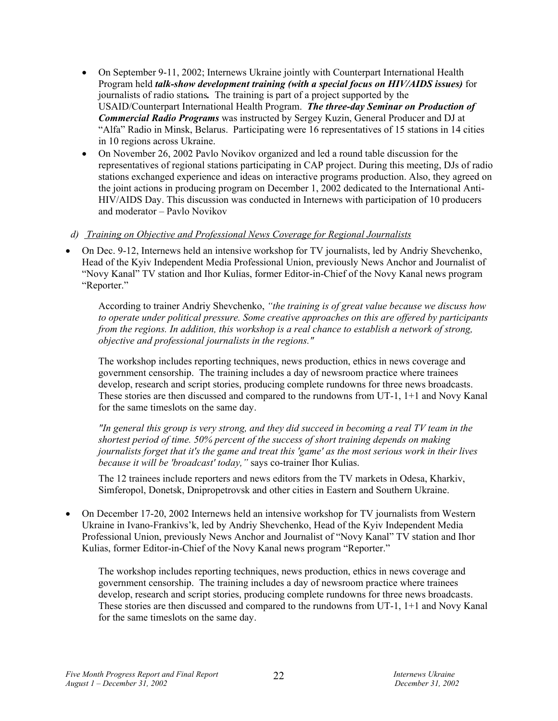- On September 9-11, 2002; Internews Ukraine jointly with Counterpart International Health Program held *talk-show development training (with a special focus on HIV/AIDS issues)* for journalists of radio stations*.* The training is part of a project supported by the USAID/Counterpart International Health Program. *The three-day Seminar on Production of Commercial Radio Programs* was instructed by Sergey Kuzin, General Producer and DJ at "Alfa" Radio in Minsk, Belarus. Participating were 16 representatives of 15 stations in 14 cities in 10 regions across Ukraine.
- On November 26, 2002 Pavlo Novikov organized and led a round table discussion for the representatives of regional stations participating in CAP project. During this meeting, DJs of radio stations exchanged experience and ideas on interactive programs production. Also, they agreed on the joint actions in producing program on December 1, 2002 dedicated to the International Anti-HIV/AIDS Day. This discussion was conducted in Internews with participation of 10 producers and moderator – Pavlo Novikov

# *d) Training on Objective and Professional News Coverage for Regional Journalists*

• On Dec. 9-12, Internews held an intensive workshop for TV journalists, led by Andriy Shevchenko, Head of the Kyiv Independent Media Professional Union, previously News Anchor and Journalist of "Novy Kanal" TV station and Ihor Kulias, former Editor-in-Chief of the Novy Kanal news program "Reporter."

According to trainer Andriy Shevchenko, *"the training is of great value because we discuss how to operate under political pressure. Some creative approaches on this are offered by participants from the regions. In addition, this workshop is a real chance to establish a network of strong, objective and professional journalists in the regions."*

The workshop includes reporting techniques, news production, ethics in news coverage and government censorship. The training includes a day of newsroom practice where trainees develop, research and script stories, producing complete rundowns for three news broadcasts. These stories are then discussed and compared to the rundowns from UT-1, 1+1 and Novy Kanal for the same timeslots on the same day.

*"In general this group is very strong, and they did succeed in becoming a real TV team in the shortest period of time. 50% percent of the success of short training depends on making journalists forget that it's the game and treat this 'game' as the most serious work in their lives because it will be 'broadcast' today,"* says co-trainer Ihor Kulias.

The 12 trainees include reporters and news editors from the TV markets in Odesa, Kharkiv, Simferopol, Donetsk, Dnipropetrovsk and other cities in Eastern and Southern Ukraine.

• On December 17-20, 2002 Internews held an intensive workshop for TV journalists from Western Ukraine in Ivano-Frankivs'k, led by Andriy Shevchenko, Head of the Kyiv Independent Media Professional Union, previously News Anchor and Journalist of "Novy Kanal" TV station and Ihor Kulias, former Editor-in-Chief of the Novy Kanal news program "Reporter."

The workshop includes reporting techniques, news production, ethics in news coverage and government censorship. The training includes a day of newsroom practice where trainees develop, research and script stories, producing complete rundowns for three news broadcasts. These stories are then discussed and compared to the rundowns from UT-1, 1+1 and Novy Kanal for the same timeslots on the same day.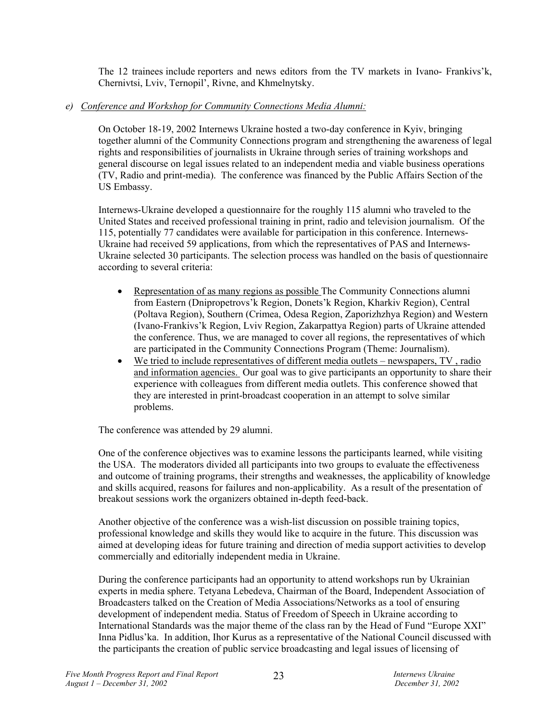The 12 trainees include reporters and news editors from the TV markets in Ivano- Frankivs'k, Chernivtsi, Lviv, Ternopil', Rivne, and Khmelnytsky.

# *e) Conference and Workshop for Community Connections Media Alumni:*

On October 18-19, 2002 Internews Ukraine hosted a two-day conference in Kyiv, bringing together alumni of the Community Connections program and strengthening the awareness of legal rights and responsibilities of journalists in Ukraine through series of training workshops and general discourse on legal issues related to an independent media and viable business operations (TV, Radio and print-media). The conference was financed by the Public Affairs Section of the US Embassy.

Internews-Ukraine developed a questionnaire for the roughly 115 alumni who traveled to the United States and received professional training in print, radio and television journalism. Of the 115, potentially 77 candidates were available for participation in this conference. Internews-Ukraine had received 59 applications, from which the representatives of PAS and Internews-Ukraine selected 30 participants. The selection process was handled on the basis of questionnaire according to several criteria:

- Representation of as many regions as possible The Community Connections alumni from Eastern (Dnipropetrovs'k Region, Donets'k Region, Kharkiv Region), Central (Poltava Region), Southern (Crimea, Odesa Region, Zaporizhzhya Region) and Western (Ivano-Frankivs'k Region, Lviv Region, Zakarpattya Region) parts of Ukraine attended the conference. Thus, we are managed to cover all regions, the representatives of which are participated in the Community Connections Program (Theme: Journalism).
- We tried to include representatives of different media outlets newspapers, TV, radio and information agencies. Our goal was to give participants an opportunity to share their experience with colleagues from different media outlets. This conference showed that they are interested in print-broadcast cooperation in an attempt to solve similar problems.

The conference was attended by 29 alumni.

One of the conference objectives was to examine lessons the participants learned, while visiting the USA. The moderators divided all participants into two groups to evaluate the effectiveness and outcome of training programs, their strengths and weaknesses, the applicability of knowledge and skills acquired, reasons for failures and non-applicability. As a result of the presentation of breakout sessions work the organizers obtained in-depth feed-back.

Another objective of the conference was a wish-list discussion on possible training topics, professional knowledge and skills they would like to acquire in the future. This discussion was aimed at developing ideas for future training and direction of media support activities to develop commercially and editorially independent media in Ukraine.

During the conference participants had an opportunity to attend workshops run by Ukrainian experts in media sphere. Tetyana Lebedeva, Chairman of the Board, Independent Association of Broadcasters talked on the Creation of Media Associations/Networks as a tool of ensuring development of independent media. Status of Freedom of Speech in Ukraine according to International Standards was the major theme of the class ran by the Head of Fund "Europe XXI" Inna Pidlus'ka. In addition, Ihor Kurus as a representative of the National Council discussed with the participants the creation of public service broadcasting and legal issues of licensing of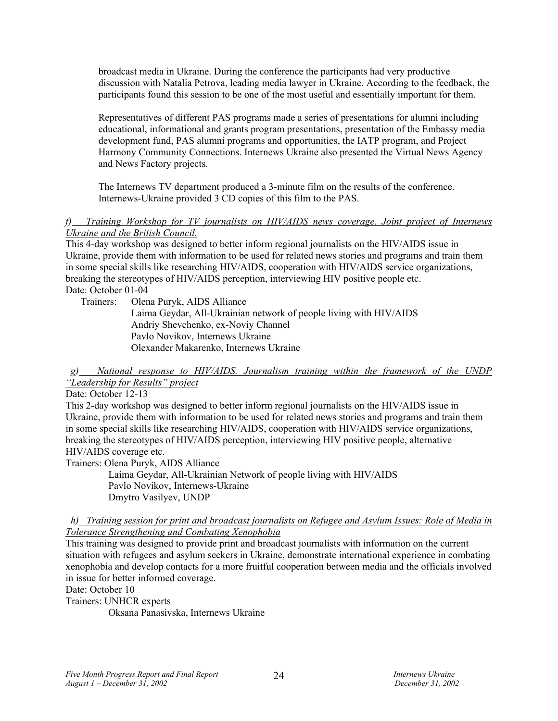broadcast media in Ukraine. During the conference the participants had very productive discussion with Natalia Petrova, leading media lawyer in Ukraine. According to the feedback, the participants found this session to be one of the most useful and essentially important for them.

Representatives of different PAS programs made a series of presentations for alumni including educational, informational and grants program presentations, presentation of the Embassy media development fund, PAS alumni programs and opportunities, the IATP program, and Project Harmony Community Connections. Internews Ukraine also presented the Virtual News Agency and News Factory projects.

The Internews TV department produced a 3-minute film on the results of the conference. Internews-Ukraine provided 3 CD copies of this film to the PAS.

### *f) Training Workshop for TV journalists on HIV/AIDS news coverage. Joint project of Internews Ukraine and the British Council.*

This 4-day workshop was designed to better inform regional journalists on the HIV/AIDS issue in Ukraine, provide them with information to be used for related news stories and programs and train them in some special skills like researching HIV/AIDS, cooperation with HIV/AIDS service organizations, breaking the stereotypes of HIV/AIDS perception, interviewing HIV positive people etc. Date: October 01-04

Trainers: Olena Puryk, AIDS Alliance

 Laima Geydar, All-Ukrainian network of people living with HIV/AIDS Andriy Shevchenko, ex-Noviy Channel Pavlo Novikov, Internews Ukraine Olexander Makarenko, Internews Ukraine

# *g) National response to HIV/AIDS. Journalism training within the framework of the UNDP "Leadership for Results" project*

Date: October 12-13

This 2-day workshop was designed to better inform regional journalists on the HIV/AIDS issue in Ukraine, provide them with information to be used for related news stories and programs and train them in some special skills like researching HIV/AIDS, cooperation with HIV/AIDS service organizations, breaking the stereotypes of HIV/AIDS perception, interviewing HIV positive people, alternative HIV/AIDS coverage etc.

Trainers: Olena Puryk, AIDS Alliance

 Laima Geydar, All-Ukrainian Network of people living with HIV/AIDS Pavlo Novikov, Internews-Ukraine Dmytro Vasilyev, UNDP

### *h) Training session for print and broadcast journalists on Refugee and Asylum Issues: Role of Media in Tolerance Strengthening and Combating Xenophobia*

This training was designed to provide print and broadcast journalists with information on the current situation with refugees and asylum seekers in Ukraine, demonstrate international experience in combating xenophobia and develop contacts for a more fruitful cooperation between media and the officials involved in issue for better informed coverage.

Date: October 10

Trainers: UNHCR experts

Oksana Panasivska, Internews Ukraine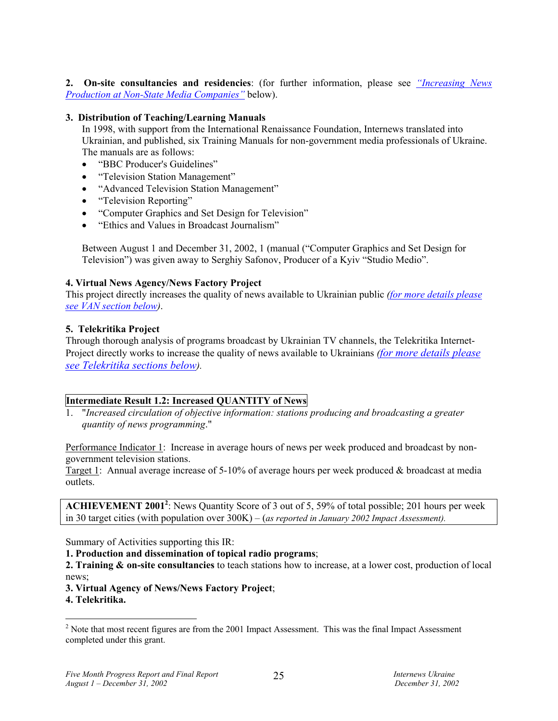**2. On-site consultancies and residencies**: (for further information, please see *"Increasing News Production at Non-State Media Companies"* below).

# **3. Distribution of Teaching/Learning Manuals**

In 1998, with support from the International Renaissance Foundation, Internews translated into Ukrainian, and published, six Training Manuals for non-government media professionals of Ukraine. The manuals are as follows:

- "BBC Producer's Guidelines"
- "Television Station Management"
- "Advanced Television Station Management"
- "Television Reporting"
- "Computer Graphics and Set Design for Television"
- "Ethics and Values in Broadcast Journalism"

Between August 1 and December 31, 2002, 1 (manual ("Computer Graphics and Set Design for Television") was given away to Serghiy Safonov, Producer of a Kyiv "Studio Medio".

### **4. Virtual News Agency/News Factory Project**

This project directly increases the quality of news available to Ukrainian public *(for more details please see VAN section below)*.

### **5. Telekritika Project**

Through thorough analysis of programs broadcast by Ukrainian TV channels, the Telekritika Internet-Project directly works to increase the quality of news available to Ukrainians *(for more details please see Telekritika sections below).* 

# **Intermediate Result 1.2: Increased QUANTITY of News**

1. "*Increased circulation of objective information: stations producing and broadcasting a greater quantity of news programming*."

Performance Indicator 1: Increase in average hours of news per week produced and broadcast by nongovernment television stations.

Target 1: Annual average increase of 5-10% of average hours per week produced & broadcast at media outlets.

ACHIEVEMENT 2001<sup>2</sup>: News Quantity Score of 3 out of 5, 59% of total possible; 201 hours per week in 30 target cities (with population over 300K) – (*as reported in January 2002 Impact Assessment).* 

Summary of Activities supporting this IR:

**1. Production and dissemination of topical radio programs**;

**2. Training & on-site consultancies** to teach stations how to increase, at a lower cost, production of local news;

**3. Virtual Agency of News/News Factory Project**;

**4. Telekritika.** 

 $\overline{a}$ 

 $2^{2}$  Note that most recent figures are from the 2001 Impact Assessment. This was the final Impact Assessment completed under this grant.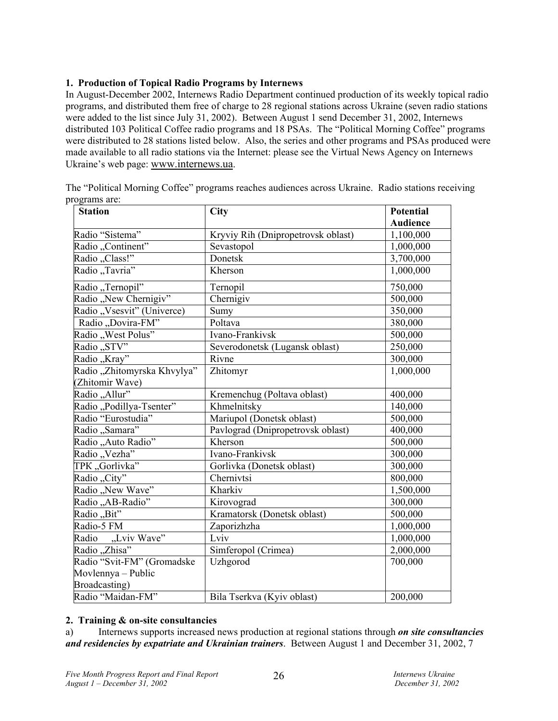# **1. Production of Topical Radio Programs by Internews**

In August-December 2002, Internews Radio Department continued production of its weekly topical radio programs, and distributed them free of charge to 28 regional stations across Ukraine (seven radio stations were added to the list since July 31, 2002). Between August 1 send December 31, 2002, Internews distributed 103 Political Coffee radio programs and 18 PSAs. The "Political Morning Coffee" programs were distributed to 28 stations listed below. Also, the series and other programs and PSAs produced were made available to all radio stations via the Internet: please see the Virtual News Agency on Internews Ukraine's web page: www.internews.ua.

| <b>Station</b>                                 | City                               | Potential       |
|------------------------------------------------|------------------------------------|-----------------|
|                                                |                                    | <b>Audience</b> |
| Radio "Sistema"                                | Kryviy Rih (Dnipropetrovsk oblast) | 1,100,000       |
| Radio "Continent"                              | Sevastopol                         | 1,000,000       |
| Radio "Class!"                                 | Donetsk                            | 3,700,000       |
| Radio "Tavria"                                 | Kherson                            | 1,000,000       |
| Radio "Ternopil"                               | Ternopil                           | 750,000         |
| Radio "New Chernigiv"                          | Chernigiv                          | 500,000         |
| Radio "Vsesvit" (Univerce)                     | Sumy                               | 350,000         |
| Radio "Dovira-FM"                              | Poltava                            | 380,000         |
| Radio "West Polus"                             | Ivano-Frankivsk                    | 500,000         |
| Radio "STV"                                    | Severodonetsk (Lugansk oblast)     | 250,000         |
| Radio "Kray"                                   | Rivne                              | 300,000         |
| Radio "Zhitomyrska Khvylya"<br>(Zhitomir Wave) | Zhitomyr                           | 1,000,000       |
| Radio "Allur"                                  | Kremenchug (Poltava oblast)        | 400,000         |
| Radio "Podillya-Tsenter"                       | Khmelnitsky                        | 140,000         |
| Radio "Eurostudia"                             | Mariupol (Donetsk oblast)          | 500,000         |
| Radio "Samara"                                 | Pavlograd (Dnipropetrovsk oblast)  | 400,000         |
| Radio "Auto Radio"                             | Kherson                            | 500,000         |
| Radio "Vezha"                                  | Ivano-Frankivsk                    | 300,000         |
| TPK "Gorlivka"                                 | Gorlivka (Donetsk oblast)          | 300,000         |
| Radio "City"                                   | Chernivtsi                         | 800,000         |
| Radio "New Wave"                               | Kharkiv                            | 1,500,000       |
| Radio "AB-Radio"                               | Kirovograd                         | 300,000         |
| Radio "Bit"                                    | Kramatorsk (Donetsk oblast)        | 500,000         |
| Radio-5 FM                                     | Zaporizhzha                        | 1,000,000       |
| Radio "Lviv Wave"                              | Lviv                               | 1,000,000       |
| Radio "Zhisa"                                  | Simferopol (Crimea)                | 2,000,000       |
| Radio "Svit-FM" (Gromadske                     | Uzhgorod                           | 700,000         |
| Movlennya – Public                             |                                    |                 |
| Broadcasting)                                  |                                    |                 |
| Radio "Maidan-FM"                              | Bila Tserkva (Kyiv oblast)         | 200,000         |

The "Political Morning Coffee" programs reaches audiences across Ukraine. Radio stations receiving programs are:

# **2. Training & on-site consultancies**

a) Internews supports increased news production at regional stations through *on site consultancies and residencies by expatriate and Ukrainian trainers*. Between August 1 and December 31, 2002, 7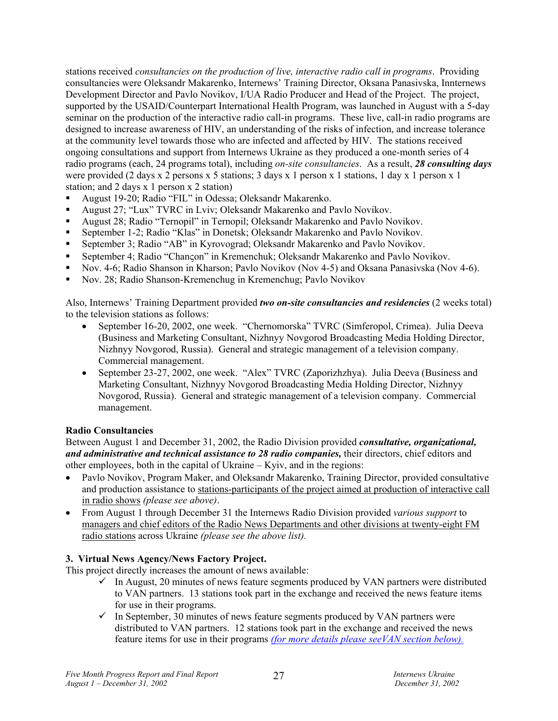stations received *consultancies on the production of live, interactive radio call in programs*. Providing consultancies were Oleksandr Makarenko, Internews' Training Director, Oksana Panasivska, Innternews Development Director and Pavlo Novikov, I/UA Radio Producer and Head of the Project. The project, supported by the USAID/Counterpart International Health Program, was launched in August with a 5-day seminar on the production of the interactive radio call-in programs. These live, call-in radio programs are designed to increase awareness of HIV, an understanding of the risks of infection, and increase tolerance at the community level towards those who are infected and affected by HIV. The stations received ongoing consultations and support from Internews Ukraine as they produced a one-month series of 4 radio programs (each, 24 programs total), including *on-site consultancies*. As a result, *28 consulting days* were provided (2 days x 2 persons x 5 stations; 3 days x 1 person x 1 stations, 1 day x 1 person x 1 station; and 2 days x 1 person x 2 station)

- August 19-20; Radio "FIL" in Odessa; Oleksandr Makarenko.
- August 27; "Lux" TVRC in Lviv; Oleksandr Makarenko and Pavlo Novikov.
- August 28; Radio "Ternopil" in Ternopil; Oleksandr Makarenko and Pavlo Novikov.
- September 1-2; Radio "Klas" in Donetsk; Oleksandr Makarenko and Pavlo Novikov.
- September 3; Radio "AB" in Kyrovograd; Oleksandr Makarenko and Pavlo Novikov.
- September 4; Radio "Chançon" in Kremenchuk; Oleksandr Makarenko and Pavlo Novikov.
- Nov. 4-6; Radio Shanson in Kharson; Pavlo Novikov (Nov 4-5) and Oksana Panasivska (Nov 4-6).
- Nov. 28; Radio Shanson-Kremenchug in Kremenchug; Pavlo Novikov

Also, Internews' Training Department provided *two on-site consultancies and residencies* (2 weeks total) to the television stations as follows:

- September 16-20, 2002, one week. "Chernomorska" TVRC (Simferopol, Crimea). Julia Deeva (Business and Marketing Consultant, Nizhnyy Novgorod Broadcasting Media Holding Director, Nizhnyy Novgorod, Russia). General and strategic management of a television company. Commercial management.
- September 23-27, 2002, one week. "Alex" TVRC (Zaporizhzhya). Julia Deeva (Business and Marketing Consultant, Nizhnyy Novgorod Broadcasting Media Holding Director, Nizhnyy Novgorod, Russia). General and strategic management of a television company. Commercial management.

# **Radio Consultancies**

Between August 1 and December 31, 2002, the Radio Division provided *consultative, organizational, and administrative and technical assistance to 28 radio companies,* their directors, chief editors and other employees, both in the capital of Ukraine – Kyiv, and in the regions:

- Pavlo Novikov, Program Maker, and Oleksandr Makarenko, Training Director, provided consultative and production assistance to stations-participants of the project aimed at production of interactive call in radio shows *(please see above)*.
- From August 1 through December 31 the Internews Radio Division provided *various support* to managers and chief editors of the Radio News Departments and other divisions at twenty-eight FM radio stations across Ukraine *(please see the above list).*

# **3. Virtual News Agency/News Factory Project.**

This project directly increases the amount of news available:

- $\checkmark$  In August, 20 minutes of news feature segments produced by VAN partners were distributed to VAN partners. 13 stations took part in the exchange and received the news feature items for use in their programs.
- $\checkmark$  In September, 30 minutes of news feature segments produced by VAN partners were distributed to VAN partners. 12 stations took part in the exchange and received the news feature items for use in their programs *(for more details please seeVAN section below).*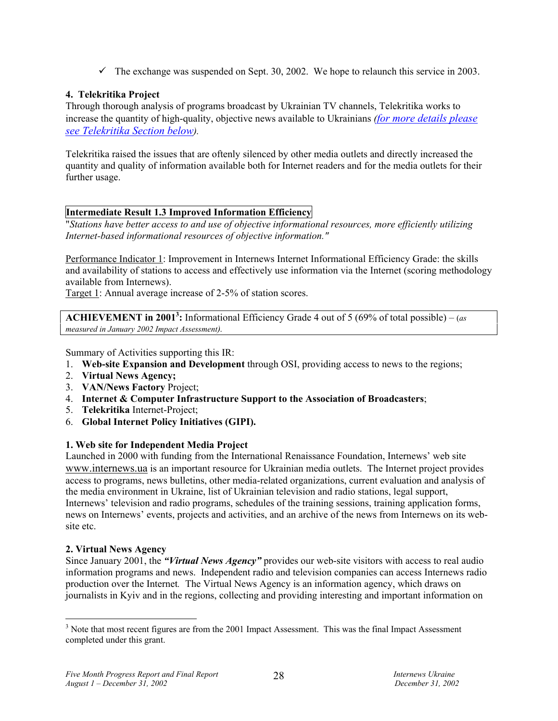$\checkmark$  The exchange was suspended on Sept. 30, 2002. We hope to relaunch this service in 2003.

# **4. Telekritika Project**

Through thorough analysis of programs broadcast by Ukrainian TV channels, Telekritika works to increase the quantity of high-quality, objective news available to Ukrainians *(for more details please see Telekritika Section below).* 

Telekritika raised the issues that are oftenly silenced by other media outlets and directly increased the quantity and quality of information available both for Internet readers and for the media outlets for their further usage.

# **Intermediate Result 1.3 Improved Information Efficiency**

"*Stations have better access to and use of objective informational resources, more efficiently utilizing Internet-based informational resources of objective information."* 

Performance Indicator 1: Improvement in Internews Internet Informational Efficiency Grade: the skills and availability of stations to access and effectively use information via the Internet (scoring methodology available from Internews).

Target 1: Annual average increase of 2-5% of station scores.

**ACHIEVEMENT in 20013 :** Informational Efficiency Grade 4 out of 5 (69% of total possible) – (*as measured in January 2002 Impact Assessment).* 

Summary of Activities supporting this IR:

- 1. **Web-site Expansion and Development** through OSI, providing access to news to the regions;
- 2. **Virtual News Agency;**
- 3. **VAN/News Factory** Project;
- 4. **Internet & Computer Infrastructure Support to the Association of Broadcasters**;
- 5. **Telekritika** Internet-Project;
- 6. **Global Internet Policy Initiatives (GIPI).**

# **1. Web site for Independent Media Project**

Launched in 2000 with funding from the International Renaissance Foundation, Internews' web site www.internews.ua is an important resource for Ukrainian media outlets. The Internet project provides access to programs, news bulletins, other media-related organizations, current evaluation and analysis of the media environment in Ukraine, list of Ukrainian television and radio stations, legal support, Internews' television and radio programs, schedules of the training sessions, training application forms, news on Internews' events, projects and activities, and an archive of the news from Internews on its website etc.

# **2. Virtual News Agency**

Since January 2001, the *"Virtual News Agency"* provides our web-site visitors with access to real audio information programs and news. Independent radio and television companies can access Internews radio production over the Internet*.* The Virtual News Agency is an information agency, which draws on journalists in Kyiv and in the regions, collecting and providing interesting and important information on

 $\overline{a}$  $3$  Note that most recent figures are from the 2001 Impact Assessment. This was the final Impact Assessment completed under this grant.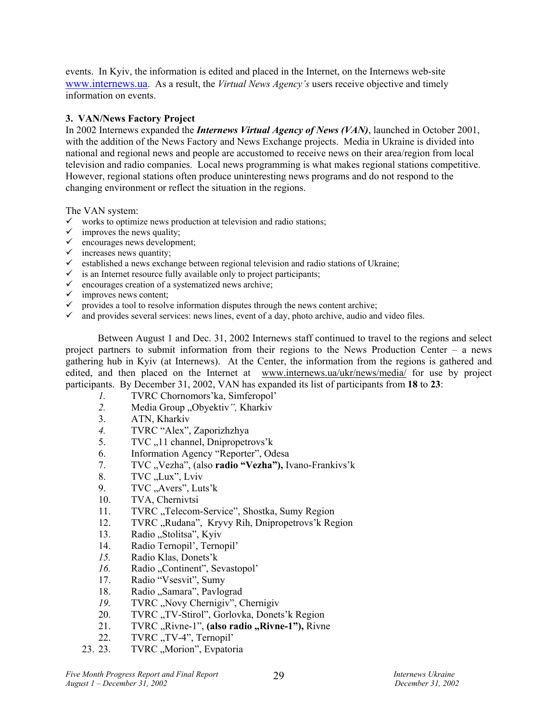events. In Kyiv, the information is edited and placed in the Internet, on the Internews web-site www.internews.ua. As a result, the *Virtual News Agency's* users receive objective and timely information on events.

# **3. VAN/News Factory Project**

In 2002 Internews expanded the *Internews Virtual Agency of News (VAN)*, launched in October 2001, with the addition of the News Factory and News Exchange projects. Media in Ukraine is divided into national and regional news and people are accustomed to receive news on their area/region from local television and radio companies. Local news programming is what makes regional stations competitive. However, regional stations often produce uninteresting news programs and do not respond to the changing environment or reflect the situation in the regions.

The VAN system:

- $\checkmark$  works to optimize news production at television and radio stations;
- $\checkmark$  improves the news quality;
- $\checkmark$  encourages news development;
- $\checkmark$  increases news quantity;
- $\checkmark$  established a news exchange between regional television and radio stations of Ukraine;
- $\checkmark$  is an Internet resource fully available only to project participants;
- $\checkmark$  encourages creation of a systematized news archive;
- $\checkmark$  improves news content;
- $\checkmark$  provides a tool to resolve information disputes through the news content archive;
- $\checkmark$  and provides several services: news lines, event of a day, photo archive, audio and video files.

Between August 1 and Dec. 31, 2002 Internews staff continued to travel to the regions and select project partners to submit information from their regions to the News Production Center – a news gathering hub in Kyiv (at Internews). At the Center, the information from the regions is gathered and edited, and then placed on the Internet at www.internews.ua/ukr/news/media/ for use by project participants. By December 31, 2002, VAN has expanded its list of participants from **18** to **23**:

- *1.* TVRC Chornomors'ka, Simferopol'
- 2. Media Group "Obyektiv", Kharkiv
- 3. ATN, Kharkiv
- *4.* TVRC "Alex", Zaporizhzhya
- 5. TVC <sub>n</sub>11 channel, Dnipropetrovs'k
- 6. Information Agency "Reporter", Odesa
- 7. TVC "Vezha", (also **radio "Vezha"),** Ivano-Frankivs'k
- 8.  $TVC, Lux$ <sup>"</sup>, Lviv
- 9. TVC "Avers", Luts'k
- 10. TVA, Chernivtsi
- 11. TVRC "Telecom-Service", Shostka, Sumy Region
- 12. TVRC "Rudana", Kryvy Rih, Dnipropetrovs' k Region
- 13. Radio "Stolitsa", Kyiv
- 14. Radio Ternopil', Ternopil'
- *15.* Radio Klas, Donets'k
- *16.* Radio "Continent", Sevastopol'
- 17. Radio "Vsesvit", Sumy
- 18. Radio "Samara", Pavlograd
- 19. TVRC "Novy Chernigiv", Chernigiv
- 20. TVRC "TV-Stirol", Gorlovka, Donets'k Region
- 21. TVRC "Rivne-1", (also radio "Rivne-1"), Rivne
- 22. TVRC "TV-4", Ternopil'
- 23. 23. TVRC "Morion", Evpatoria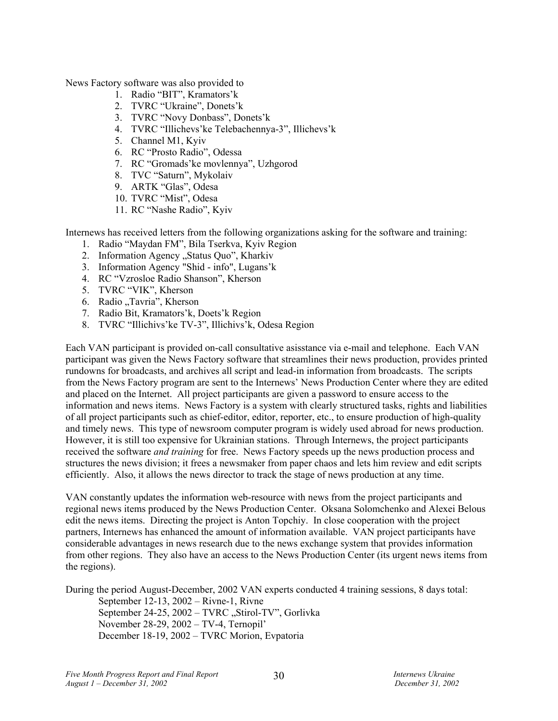News Factory software was also provided to

- 1. Radio "BIT", Kramators'k
- 2. TVRC "Ukraine", Donets'k
- 3. TVRC "Novy Donbass", Donets'k
- 4. TVRC "Illichevs'ke Telebachennya-3", Illichevs'k
- 5. Channel M1, Kyiv
- 6. RC "Prosto Radio", Odessa
- 7. RC "Gromads'ke movlennya", Uzhgorod
- 8. TVC "Saturn", Mykolaiv
- 9. ARTK "Glas", Odesa
- 10. TVRC "Mist", Odesa
- 11. RC "Nashe Radio", Kyiv

Internews has received letters from the following organizations asking for the software and training:

- 1. Radio "Maydan FM", Bila Tserkva, Kyiv Region
- 2. Information Agency "Status Quo", Kharkiv
- 3. Information Agency "Shid info", Lugans'k
- 4. RC "Vzrosloe Radio Shanson", Kherson
- 5. TVRC "VIK", Kherson
- 6. Radio "Tavria", Kherson
- 7. Radio Bit, Kramators'k, Doets'k Region
- 8. TVRC "Illichivs'ke TV-3", Illichivs'k, Odesa Region

Each VAN participant is provided on-call consultative asisstance via e-mail and telephone. Each VAN participant was given the News Factory software that streamlines their news production, provides printed rundowns for broadcasts, and archives all script and lead-in information from broadcasts. The scripts from the News Factory program are sent to the Internews' News Production Center where they are edited and placed on the Internet. All project participants are given a password to ensure access to the information and news items. News Factory is a system with clearly structured tasks, rights and liabilities of all project participants such as chief-editor, editor, reporter, etc., to ensure production of high-quality and timely news. This type of newsroom computer program is widely used abroad for news production. However, it is still too expensive for Ukrainian stations. Through Internews, the project participants received the software *and training* for free. News Factory speeds up the news production process and structures the news division; it frees a newsmaker from paper chaos and lets him review and edit scripts efficiently. Also, it allows the news director to track the stage of news production at any time.

VAN constantly updates the information web-resource with news from the project participants and regional news items produced by the News Production Center. Oksana Solomchenko and Alexei Belous edit the news items. Directing the project is Anton Topchiy. In close cooperation with the project partners, Internews has enhanced the amount of information available. VAN project participants have considerable advantages in news research due to the news exchange system that provides information from other regions. They also have an access to the News Production Center (its urgent news items from the regions).

During the period August-December, 2002 VAN experts conducted 4 training sessions, 8 days total:

September 12-13, 2002 – Rivne-1, Rivne September 24-25, 2002 – TVRC "Stirol-TV", Gorlivka November 28-29, 2002 – TV-4, Ternopil' December 18-19, 2002 – TVRC Morion, Evpatoria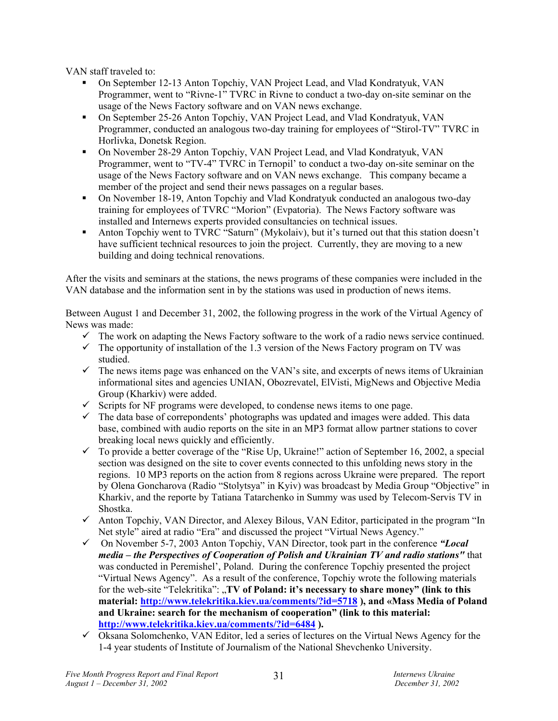VAN staff traveled to:

- On September 12-13 Anton Topchiy, VAN Project Lead, and Vlad Kondratyuk, VAN Programmer, went to "Rivne-1" TVRC in Rivne to conduct a two-day on-site seminar on the usage of the News Factory software and on VAN news exchange.
- On September 25-26 Anton Topchiy, VAN Project Lead, and Vlad Kondratyuk, VAN Programmer, conducted an analogous two-day training for employees of "Stirol-TV" TVRC in Horlivka, Donetsk Region.
- On November 28-29 Anton Topchiy, VAN Project Lead, and Vlad Kondratyuk, VAN Programmer, went to "TV-4" TVRC in Ternopil' to conduct a two-day on-site seminar on the usage of the News Factory software and on VAN news exchange. This company became a member of the project and send their news passages on a regular bases.
- On November 18-19, Anton Topchiy and Vlad Kondratyuk conducted an analogous two-day training for employees of TVRC "Morion" (Evpatoria). The News Factory software was installed and Internews experts provided consultancies on technical issues.
- Anton Topchiy went to TVRC "Saturn" (Mykolaiv), but it's turned out that this station doesn't have sufficient technical resources to join the project. Currently, they are moving to a new building and doing technical renovations.

After the visits and seminars at the stations, the news programs of these companies were included in the VAN database and the information sent in by the stations was used in production of news items.

Between August 1 and December 31, 2002, the following progress in the work of the Virtual Agency of News was made:

- $\checkmark$  The work on adapting the News Factory software to the work of a radio news service continued.
- $\checkmark$  The opportunity of installation of the 1.3 version of the News Factory program on TV was studied.
- $\checkmark$  The news items page was enhanced on the VAN's site, and excerpts of news items of Ukrainian informational sites and agencies UNIAN, Obozrevatel, ElVisti, MigNews and Objective Media Group (Kharkiv) were added.
- $\checkmark$  Scripts for NF programs were developed, to condense news items to one page.
- $\checkmark$  The data base of correpondents' photographs was updated and images were added. This data base, combined with audio reports on the site in an MP3 format allow partner stations to cover breaking local news quickly and efficiently.
- $\checkmark$  To provide a better coverage of the "Rise Up, Ukraine!" action of September 16, 2002, a special section was designed on the site to cover events connected to this unfolding news story in the regions. 10 MP3 reports on the action from 8 regions across Ukraine were prepared. The report by Olena Goncharova (Radio "Stolytsya" in Kyiv) was broadcast by Media Group "Objective" in Kharkiv, and the reporte by Tatiana Tatarchenko in Summy was used by Telecom-Servis TV in Shostka.
- $\checkmark$  Anton Topchiy, VAN Director, and Alexey Bilous, VAN Editor, participated in the program "In Net style" aired at radio "Era" and discussed the project "Virtual News Agency."
- 9 On November 5-7, 2003 Anton Topchiy, VAN Director, took part in the conference *"Local media – the Perspectives of Cooperation of Polish and Ukrainian TV and radio stations"* that was conducted in Peremishel', Poland. During the conference Topchiy presented the project "Virtual News Agency". As a result of the conference, Topchiy wrote the following materials for the web-site "Telekritika": "**TV of Poland: it's necessary to share money" (link to this material: http://www.telekritika.kiev.ua/comments/?id=5718 ), and «Mass Media of Poland and Ukraine: search for the mechanism of cooperation" (link to this material: http://www.telekritika.kiev.ua/comments/?id=6484 ).**
- $\checkmark$  Oksana Solomchenko, VAN Editor, led a series of lectures on the Virtual News Agency for the 1-4 year students of Institute of Journalism of the National Shevchenko University.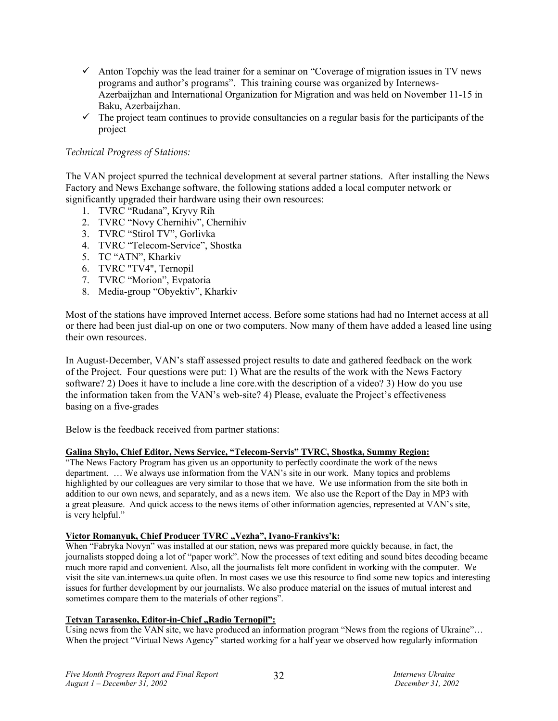- $\checkmark$  Anton Topchiy was the lead trainer for a seminar on "Coverage of migration issues in TV news programs and author's programs". This training course was organized by Internews-Azerbaijzhan and International Organization for Migration and was held on November 11-15 in Baku, Azerbaijzhan.
- $\checkmark$  The project team continues to provide consultancies on a regular basis for the participants of the project

# *Technical Progress of Stations:*

The VAN project spurred the technical development at several partner stations. After installing the News Factory and News Exchange software, the following stations added a local computer network or significantly upgraded their hardware using their own resources:

- 1. TVRC "Rudana", Kryvy Rih
- 2. TVRC "Novy Chernihiv", Chernihiv
- 3. TVRC "Stirol TV", Gorlivka
- 4. TVRC "Telecom-Service", Shostka
- 5. TC "ATN", Kharkiv
- 6. TVRC "TV4", Ternopil
- 7. TVRC "Morion", Evpatoria
- 8. Media-group "Obyektiv", Kharkiv

Most of the stations have improved Internet access. Before some stations had had no Internet access at all or there had been just dial-up on one or two computers. Now many of them have added a leased line using their own resources.

In August-December, VAN's staff assessed project results to date and gathered feedback on the work of the Project. Four questions were put: 1) What are the results of the work with the News Factory software? 2) Does it have to include a line core.with the description of a video? 3) How do you use the information taken from the VAN's web-site? 4) Please, evaluate the Project's effectiveness basing on a five-grades

Below is the feedback received from partner stations:

### **Galina Shylo, Chief Editor, News Service, "Telecom-Servis" TVRC, Shostka, Summy Region:**

"The News Factory Program has given us an opportunity to perfectly coordinate the work of the news department. … We always use information from the VAN's site in our work. Many topics and problems highlighted by our colleagues are very similar to those that we have. We use information from the site both in addition to our own news, and separately, and as a news item. We also use the Report of the Day in MP3 with a great pleasure. And quick access to the news items of other information agencies, represented at VAN's site, is very helpful."

#### Victor Romanyuk, Chief Producer TVRC "Vezha", Ivano-Frankivs'k:

When "Fabryka Novyn" was installed at our station, news was prepared more quickly because, in fact, the journalists stopped doing a lot of "paper work". Now the processes of text editing and sound bites decoding became much more rapid and convenient. Also, all the journalists felt more confident in working with the computer. We visit the site van.internews.ua quite often. In most cases we use this resource to find some new topics and interesting issues for further development by our journalists. We also produce material on the issues of mutual interest and sometimes compare them to the materials of other regions".

# **Tetyan Tarasenko, Editor-in-Chief "Radio Ternopil":**

Using news from the VAN site, we have produced an information program "News from the regions of Ukraine"... When the project "Virtual News Agency" started working for a half year we observed how regularly information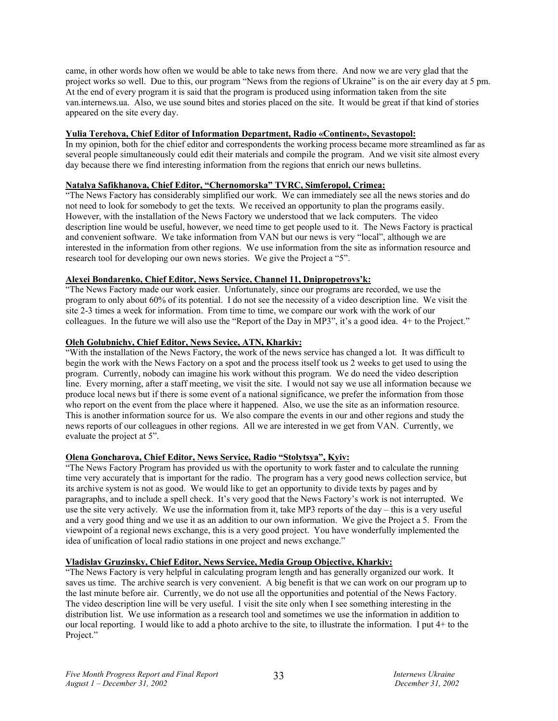came, in other words how often we would be able to take news from there. And now we are very glad that the project works so well. Due to this, our program "News from the regions of Ukraine" is on the air every day at 5 pm. At the end of every program it is said that the program is produced using information taken from the site van.internews.ua. Also, we use sound bites and stories placed on the site. It would be great if that kind of stories appeared on the site every day.

#### **Yulia Terehova, Chief Editor of Information Department, Radio «Continent», Sevastopol:**

In my opinion, both for the chief editor and correspondents the working process became more streamlined as far as several people simultaneously could edit their materials and compile the program. And we visit site almost every day because there we find interesting information from the regions that enrich our news bulletins.

# **Natalya Safikhanova, Chief Editor, "Chernomorska" TVRC, Simferopol, Crimea:**

"The News Factory has considerably simplified our work. We can immediately see all the news stories and do not need to look for somebody to get the texts. We received an opportunity to plan the programs easily. However, with the installation of the News Factory we understood that we lack computers. The video description line would be useful, however, we need time to get people used to it. The News Factory is practical and convenient software. We take information from VAN but our news is very "local", although we are interested in the information from other regions. We use information from the site as information resource and research tool for developing our own news stories. We give the Project a "5".

#### **Alexei Bondarenko, Chief Editor, News Service, Channel 11, Dnipropetrovs'k:**

"The News Factory made our work easier. Unfortunately, since our programs are recorded, we use the program to only about 60% of its potential. I do not see the necessity of a video description line. We visit the site 2-3 times a week for information. From time to time, we compare our work with the work of our colleagues. In the future we will also use the "Report of the Day in MP3", it's a good idea. 4+ to the Project."

#### **Oleh Golubnichy, Chief Editor, News Sevice, ATN, Kharkiv:**

"With the installation of the News Factory, the work of the news service has changed a lot. It was difficult to begin the work with the News Factory on a spot and the process itself took us 2 weeks to get used to using the program. Currently, nobody can imagine his work without this program. We do need the video description line. Every morning, after a staff meeting, we visit the site. I would not say we use all information because we produce local news but if there is some event of a national significance, we prefer the information from those who report on the event from the place where it happened. Also, we use the site as an information resource. This is another information source for us. We also compare the events in our and other regions and study the news reports of our colleagues in other regions. All we are interested in we get from VAN. Currently, we evaluate the project at 5".

#### **Olena Goncharova, Chief Editor, News Service, Radio "Stolytsya", Kyiv:**

"The News Factory Program has provided us with the oportunity to work faster and to calculate the running time very accurately that is important for the radio. The program has a very good news collection service, but its archive system is not as good. We would like to get an opportunity to divide texts by pages and by paragraphs, and to include a spell check. It's very good that the News Factory's work is not interrupted. We use the site very actively. We use the information from it, take MP3 reports of the day – this is a very useful and a very good thing and we use it as an addition to our own information. We give the Project a 5. From the viewpoint of a regional news exchange, this is a very good project. You have wonderfully implemented the idea of unification of local radio stations in one project and news exchange."

#### **Vladislav Gruzinsky, Chief Editor, News Service, Media Group Objective, Kharkiv:**

"The News Factory is very helpful in calculating program length and has generally organized our work. It saves us time. The archive search is very convenient. A big benefit is that we can work on our program up to the last minute before air. Currently, we do not use all the opportunities and potential of the News Factory. The video description line will be very useful. I visit the site only when I see something interesting in the distribution list. We use information as a research tool and sometimes we use the information in addition to our local reporting. I would like to add a photo archive to the site, to illustrate the information. I put 4+ to the Project."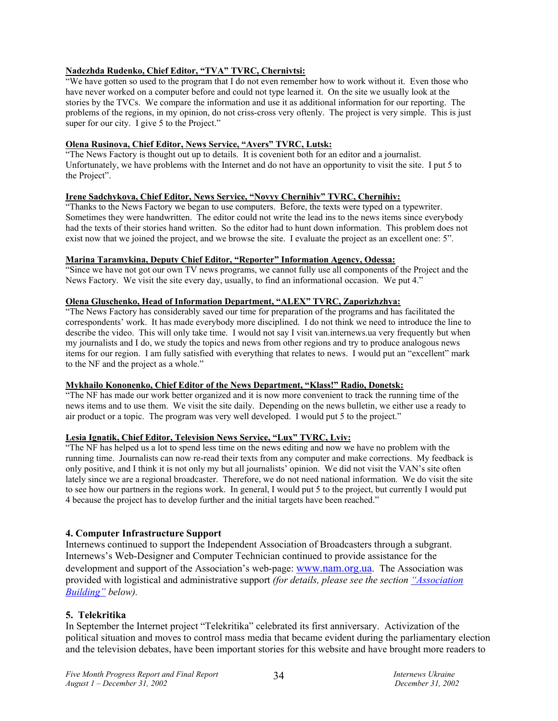# **Nadezhda Rudenko, Chief Editor, "TVA" TVRC, Chernivtsi:**

"We have gotten so used to the program that I do not even remember how to work without it. Even those who have never worked on a computer before and could not type learned it. On the site we usually look at the stories by the TVCs. We compare the information and use it as additional information for our reporting. The problems of the regions, in my opinion, do not criss-cross very oftenly. The project is very simple. This is just super for our city. I give 5 to the Project."

# **Olena Rusinova, Chief Editor, News Service, "Avers" TVRC, Lutsk:**

"The News Factory is thought out up to details. It is covenient both for an editor and a journalist. Unfortunately, we have problems with the Internet and do not have an opportunity to visit the site. I put 5 to the Project".

### **Irene Sadchykova, Chief Editor, News Service, "Novyy Chernihiv" TVRC, Chernihiv:**

"Thanks to the News Factory we began to use computers. Before, the texts were typed on a typewriter. Sometimes they were handwritten. The editor could not write the lead ins to the news items since everybody had the texts of their stories hand written. So the editor had to hunt down information. This problem does not exist now that we joined the project, and we browse the site. I evaluate the project as an excellent one: 5".

#### **Marina Taramykina, Deputy Chief Editor, "Reporter" Information Agency, Odessa:**

"Since we have not got our own TV news programs, we cannot fully use all components of the Project and the News Factory. We visit the site every day, usually, to find an informational occasion. We put 4."

# **Olena Gluschenko, Head of Information Department, "ALEX" TVRC, Zaporizhzhya:**

"The News Factory has considerably saved our time for preparation of the programs and has facilitated the correspondents' work. It has made everybody more disciplined. I do not think we need to introduce the line to describe the video. This will only take time. I would not say I visit van.internews.ua very frequently but when my journalists and I do, we study the topics and news from other regions and try to produce analogous news items for our region. I am fully satisfied with everything that relates to news. I would put an "excellent" mark to the NF and the project as a whole."

### **Mykhailo Kononenko, Chief Editor of the News Department, "Klass!" Radio, Donetsk:**

"The NF has made our work better organized and it is now more convenient to track the running time of the news items and to use them. We visit the site daily. Depending on the news bulletin, we either use a ready to air product or a topic. The program was very well developed. I would put 5 to the project."

### **Lesia Ignatik, Chief Editor, Television News Service, "Lux" TVRC, Lviv:**

"The NF has helped us a lot to spend less time on the news editing and now we have no problem with the running time. Journalists can now re-read their texts from any computer and make corrections. My feedback is only positive, and I think it is not only my but all journalists' opinion. We did not visit the VAN's site often lately since we are a regional broadcaster. Therefore, we do not need national information. We do visit the site to see how our partners in the regions work. In general, I would put 5 to the project, but currently I would put 4 because the project has to develop further and the initial targets have been reached."

### **4. Computer Infrastructure Support**

Internews continued to support the Independent Association of Broadcasters through a subgrant. Internews's Web-Designer and Computer Technician continued to provide assistance for the development and support of the Association's web-page: www.nam.org.ua. The Association was provided with logistical and administrative support *(for details, please see the section "Association Building" below).* 

### **5. Telekritika**

In September the Internet project "Telekritika" celebrated its first anniversary. Activization of the political situation and moves to control mass media that became evident during the parliamentary election and the television debates, have been important stories for this website and have brought more readers to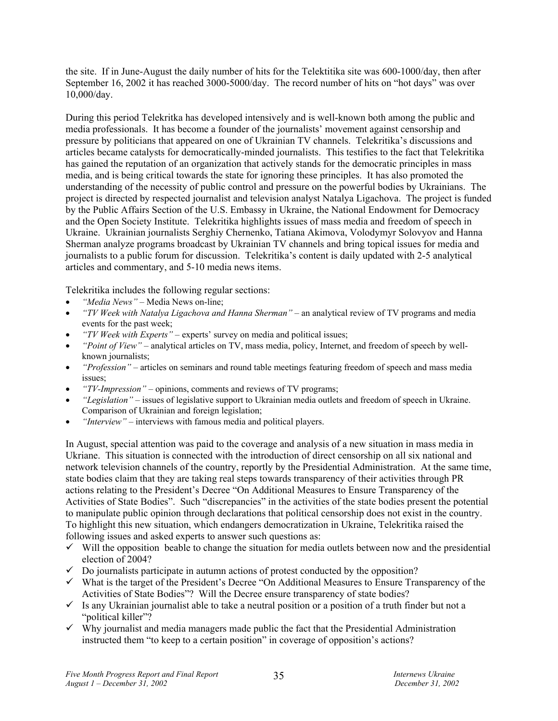the site. If in June-August the daily number of hits for the Telektitika site was 600-1000/day, then after September 16, 2002 it has reached 3000-5000/day. The record number of hits on "hot days" was over 10,000/day.

During this period Telekritka has developed intensively and is well-known both among the public and media professionals. It has become a founder of the journalists' movement against censorship and pressure by politicians that appeared on one of Ukrainian TV channels. Telekritika's discussions and articles became catalysts for democratically-minded journalists. This testifies to the fact that Telekritika has gained the reputation of an organization that actively stands for the democratic principles in mass media, and is being critical towards the state for ignoring these principles. It has also promoted the understanding of the necessity of public control and pressure on the powerful bodies by Ukrainians. The project is directed by respected journalist and television analyst Natalya Ligachova. The project is funded by the Public Affairs Section of the U.S. Embassy in Ukraine, the National Endowment for Democracy and the Open Society Institute. Telekritika highlights issues of mass media and freedom of speech in Ukraine. Ukrainian journalists Serghiy Chernenko, Tatiana Akimova, Volodymyr Solovyov and Hanna Sherman analyze programs broadcast by Ukrainian TV channels and bring topical issues for media and journalists to a public forum for discussion. Telekritika's content is daily updated with 2-5 analytical articles and commentary, and 5-10 media news items.

Telekritika includes the following regular sections:

- *"Media News"* Media News on-line;
- *"TV Week with Natalya Ligachova and Hanna Sherman"* an analytical review of TV programs and media events for the past week;
- *"TV Week with Experts"* experts' survey on media and political issues;
- *"Point of View"* analytical articles on TV, mass media, policy, Internet, and freedom of speech by wellknown journalists;
- *"Profession"* articles on seminars and round table meetings featuring freedom of speech and mass media issues;
- *"TV-Impression"* opinions, comments and reviews of TV programs;
- *"Legislation"* issues of legislative support to Ukrainian media outlets and freedom of speech in Ukraine. Comparison of Ukrainian and foreign legislation;
- *"Interview"* interviews with famous media and political players.

In August, special attention was paid to the coverage and analysis of a new situation in mass media in Ukriane. This situation is connected with the introduction of direct censorship on all six national and network television channels of the country, reportly by the Presidential Administration. At the same time, state bodies claim that they are taking real steps towards transparency of their activities through PR actions relating to the President's Decree "On Additional Measures to Ensure Transparency of the Activities of State Bodies". Such "discrepancies" in the activities of the state bodies present the potential to manipulate public opinion through declarations that political censorship does not exist in the country. To highlight this new situation, which endangers democratization in Ukraine, Telekritika raised the following issues and asked experts to answer such questions as:

- $\checkmark$  Will the opposition beable to change the situation for media outlets between now and the presidential election of 2004?
- $\checkmark$  Do journalists participate in autumn actions of protest conducted by the opposition?
- $\checkmark$  What is the target of the President's Decree "On Additional Measures to Ensure Transparency of the Activities of State Bodies"? Will the Decree ensure transparency of state bodies?
- $\checkmark$  Is any Ukrainian journalist able to take a neutral position or a position of a truth finder but not a "political killer"?
- $\checkmark$  Why journalist and media managers made public the fact that the Presidential Administration instructed them "to keep to a certain position" in coverage of opposition's actions?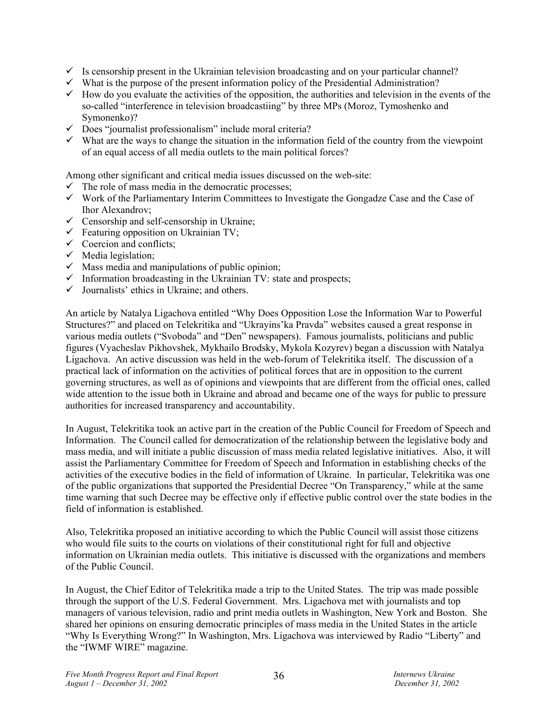- $\checkmark$  Is censorship present in the Ukrainian television broadcasting and on your particular channel?
- $\checkmark$  What is the purpose of the present information policy of the Presidential Administration?
- $\checkmark$  How do you evaluate the activities of the opposition, the authorities and television in the events of the so-called "interference in television broadcastiing" by three MPs (Moroz, Tymoshenko and Symonenko)?
- $\checkmark$  Does "journalist professionalism" include moral criteria?
- $\checkmark$  What are the ways to change the situation in the information field of the country from the viewpoint of an equal access of all media outlets to the main political forces?

Among other significant and critical media issues discussed on the web-site:

- $\checkmark$  The role of mass media in the democratic processes;
- $\checkmark$  Work of the Parliamentary Interim Committees to Investigate the Gongadze Case and the Case of Ihor Alexandrov;
- $\checkmark$  Censorship and self-censorship in Ukraine;
- $\checkmark$  Featuring opposition on Ukrainian TV;
- $\checkmark$  Coercion and conflicts;
- $\checkmark$  Media legislation;
- $\checkmark$  Mass media and manipulations of public opinion;
- $\checkmark$  Information broadcasting in the Ukrainian TV: state and prospects;
- $\checkmark$  Journalists' ethics in Ukraine; and others.

An article by Natalya Ligachova entitled "Why Does Opposition Lose the Information War to Powerful Structures?" and placed on Telekritika and "Ukrayins'ka Pravda" websites caused a great response in various media outlets ("Svoboda" and "Den" newspapers). Famous journalists, politicians and public figures (Vyacheslav Pikhovshek, Mykhailo Brodsky, Mykola Kozyrev) began a discussion with Natalya Ligachova. An active discussion was held in the web-forum of Telekritika itself. The discussion of a practical lack of information on the activities of political forces that are in opposition to the current governing structures, as well as of opinions and viewpoints that are different from the official ones, called wide attention to the issue both in Ukraine and abroad and became one of the ways for public to pressure authorities for increased transparency and accountability.

In August, Telekritika took an active part in the creation of the Public Council for Freedom of Speech and Information. The Council called for democratization of the relationship between the legislative body and mass media, and will initiate a public discussion of mass media related legislative initiatives. Also, it will assist the Parliamentary Committee for Freedom of Speech and Information in establishing checks of the activities of the executive bodies in the field of information of Ukraine. In particular, Telekritika was one of the public organizations that supported the Presidential Decree "On Transparency," while at the same time warning that such Decree may be effective only if effective public control over the state bodies in the field of information is established.

Also, Telekritika proposed an initiative according to which the Public Council will assist those citizens who would file suits to the courts on violations of their constitutional right for full and objective information on Ukrainian media outlets. This initiative is discussed with the organizations and members of the Public Council.

In August, the Chief Editor of Telekritika made a trip to the United States. The trip was made possible through the support of the U.S. Federal Government. Mrs. Ligachova met with journalists and top managers of various television, radio and print media outlets in Washington, New York and Boston. She shared her opinions on ensuring democratic principles of mass media in the United States in the article "Why Is Everything Wrong?" In Washington, Mrs. Ligachova was interviewed by Radio "Liberty" and the "IWMF WIRE" magazine.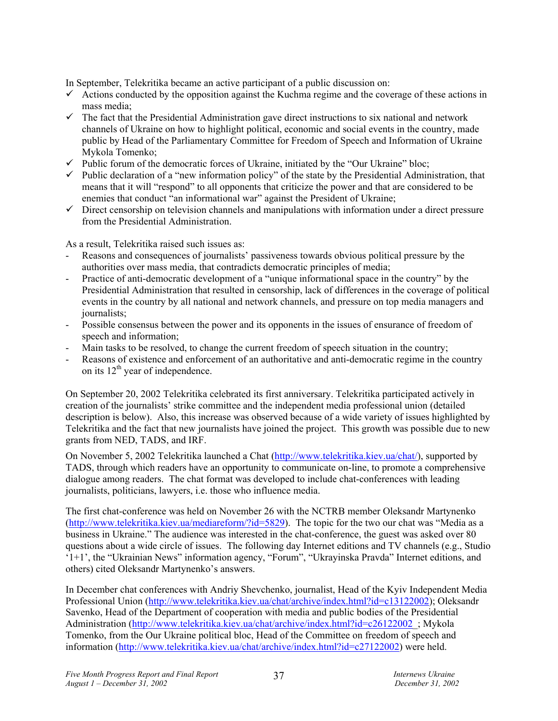In September, Telekritika became an active participant of a public discussion on:

- $\checkmark$  Actions conducted by the opposition against the Kuchma regime and the coverage of these actions in mass media;
- $\checkmark$  The fact that the Presidential Administration gave direct instructions to six national and network channels of Ukraine on how to highlight political, economic and social events in the country, made public by Head of the Parliamentary Committee for Freedom of Speech and Information of Ukraine Mykola Tomenko;
- $\checkmark$  Public forum of the democratic forces of Ukraine, initiated by the "Our Ukraine" bloc;
- $\checkmark$  Public declaration of a "new information policy" of the state by the Presidential Administration, that means that it will "respond" to all opponents that criticize the power and that are considered to be enemies that conduct "an informational war" against the President of Ukraine;
- $\checkmark$  Direct censorship on television channels and manipulations with information under a direct pressure from the Presidential Administration.

As a result, Telekritika raised such issues as:

- Reasons and consequences of journalists' passiveness towards obvious political pressure by the authorities over mass media, that contradicts democratic principles of media;
- Practice of anti-democratic development of a "unique informational space in the country" by the Presidential Administration that resulted in censorship, lack of differences in the coverage of political events in the country by all national and network channels, and pressure on top media managers and journalists;
- Possible consensus between the power and its opponents in the issues of ensurance of freedom of speech and information;
- Main tasks to be resolved, to change the current freedom of speech situation in the country;
- Reasons of existence and enforcement of an authoritative and anti-democratic regime in the country on its  $12<sup>th</sup>$  year of independence.

On September 20, 2002 Telekritika celebrated its first anniversary. Telekritika participated actively in creation of the journalists' strike committee and the independent media professional union (detailed description is below). Also, this increase was observed because of a wide variety of issues highlighted by Telekritika and the fact that new journalists have joined the project. This growth was possible due to new grants from NED, TADS, and IRF.

On November 5, 2002 Telekritika launched a Chat (http://www.telekritika.kiev.ua/chat/), supported by TADS, through which readers have an opportunity to communicate on-line, to promote a comprehensive dialogue among readers. The chat format was developed to include chat-conferences with leading journalists, politicians, lawyers, i.e. those who influence media.

The first chat-conference was held on November 26 with the NCTRB member Oleksandr Martynenko (http://www.telekritika.kiev.ua/mediareform/?id=5829). The topic for the two our chat was "Media as a business in Ukraine." The audience was interested in the chat-conference, the guest was asked over 80 questions about a wide circle of issues. The following day Internet editions and TV channels (e.g., Studio '1+1', the "Ukrainian News" information agency, "Forum", "Ukrayinska Pravda" Internet editions, and others) cited Oleksandr Martynenko's answers.

In December chat conferences with Andriy Shevchenko, journalist, Head of the Kyiv Independent Media Professional Union (http://www.telekritika.kiev.ua/chat/archive/index.html?id=c13122002); Oleksandr Savenko, Head of the Department of cooperation with media and public bodies of the Presidential Administration (http://www.telekritika.kiev.ua/chat/archive/index.html?id=c26122002; Mykola Tomenko, from the Our Ukraine political bloc, Head of the Committee on freedom of speech and information (http://www.telekritika.kiev.ua/chat/archive/index.html?id=c27122002) were held.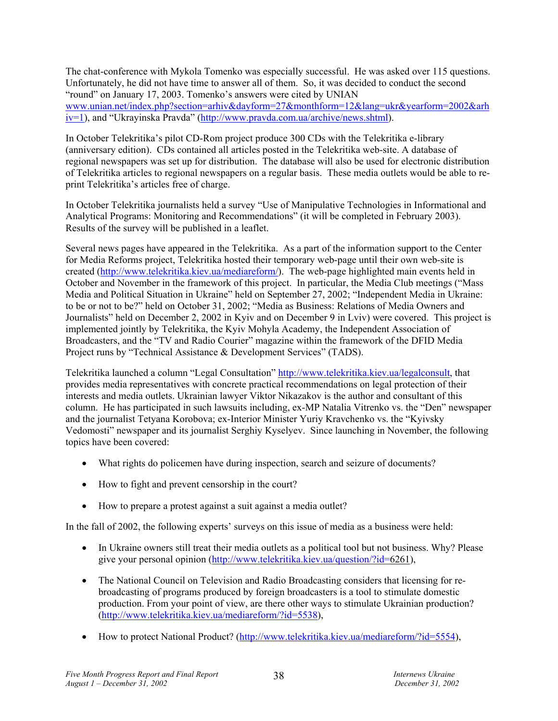The chat-conference with Mykola Tomenko was especially successful. He was asked over 115 questions. Unfortunately, he did not have time to answer all of them. So, it was decided to conduct the second "round" on January 17, 2003. Tomenko's answers were cited by UNIAN www.unian.net/index.php?section=arhiv&dayform=27&monthform=12&lang=ukr&yearform=2002&arh iv=1), and "Ukrayinska Pravda" (http://www.pravda.com.ua/archive/news.shtml).

In October Telekritika's pilot CD-Rom project produce 300 CDs with the Telekritika e-library (anniversary edition). CDs contained all articles posted in the Telekritika web-site. A database of regional newspapers was set up for distribution. The database will also be used for electronic distribution of Telekritika articles to regional newspapers on a regular basis. These media outlets would be able to reprint Telekritika's articles free of charge.

In October Telekritika journalists held a survey "Use of Manipulative Technologies in Informational and Analytical Programs: Monitoring and Recommendations" (it will be completed in February 2003). Results of the survey will be published in a leaflet.

Several news pages have appeared in the Telekritika. As a part of the information support to the Center for Media Reforms project, Telekritika hosted their temporary web-page until their own web-site is created (http://www.telekritika.kiev.ua/mediareform/). The web-page highlighted main events held in October and November in the framework of this project. In particular, the Media Club meetings ("Mass Media and Political Situation in Ukraine" held on September 27, 2002; "Independent Media in Ukraine: to be or not to be?" held on October 31, 2002; "Media as Business: Relations of Media Owners and Journalists" held on December 2, 2002 in Kyiv and on December 9 in Lviv) were covered. This project is implemented jointly by Telekritika, the Kyiv Mohyla Academy, the Independent Association of Broadcasters, and the "TV and Radio Courier" magazine within the framework of the DFID Media Project runs by "Technical Assistance & Development Services" (TADS).

Telekritika launched a column "Legal Consultation" http://www.telekritika.kiev.ua/legalconsult, that provides media representatives with concrete practical recommendations on legal protection of their interests and media outlets. Ukrainian lawyer Viktor Nikazakov is the author and consultant of this column. He has participated in such lawsuits including, ex-MP Natalia Vitrenko vs. the "Den" newspaper and the journalist Tetyana Korobova; ex-Interior Minister Yuriy Kravchenko vs. the "Kyivsky Vedomosti" newspaper and its journalist Serghiy Kyselyev. Since launching in November, the following topics have been covered:

- What rights do policemen have during inspection, search and seizure of documents?
- How to fight and prevent censorship in the court?
- How to prepare a protest against a suit against a media outlet?

In the fall of 2002, the following experts' surveys on this issue of media as a business were held:

- In Ukraine owners still treat their media outlets as a political tool but not business. Why? Please give your personal opinion (http://www.telekritika.kiev.ua/question/?id=6261),
- The National Council on Television and Radio Broadcasting considers that licensing for rebroadcasting of programs produced by foreign broadcasters is a tool to stimulate domestic production. From your point of view, are there other ways to stimulate Ukrainian production? (http://www.telekritika.kiev.ua/mediareform/?id=5538),
- How to protect National Product? (http://www.telekritika.kiev.ua/mediareform/?id=5554),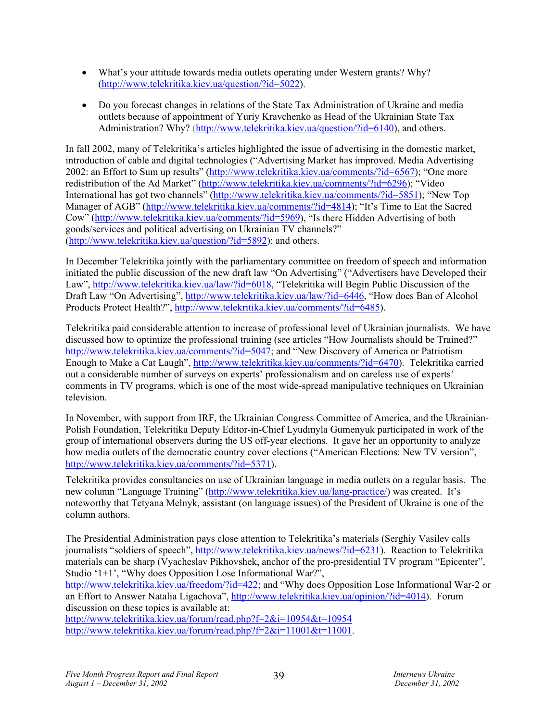- What's your attitude towards media outlets operating under Western grants? Why? (http://www.telekritika.kiev.ua/question/?id=5022),
- Do you forecast changes in relations of the State Tax Administration of Ukraine and media outlets because of appointment of Yuriy Kravchenko as Head of the Ukrainian State Tax Administration? Why? (http://www.telekritika.kiev.ua/question/?id=6140), and others.

In fall 2002, many of Telekritika's articles highlighted the issue of advertising in the domestic market, introduction of cable and digital technologies ("Advertising Market has improved. Media Advertising 2002: an Effort to Sum up results" (http://www.telekritika.kiev.ua/comments/?id=6567); "One more redistribution of the Ad Market" (http://www.telekritika.kiev.ua/comments/?id=6296); "Video International has got two channels" (http://www.telekritika.kiev.ua/comments/?id=5851); "New Top Manager of AGB" (http://www.telekritika.kiev.ua/comments/?id=4814); "It's Time to Eat the Sacred Cow" (http://www.telekritika.kiev.ua/comments/?id=5969), "Is there Hidden Advertising of both goods/services and political advertising on Ukrainian TV channels?" (http://www.telekritika.kiev.ua/question/?id=5892); and others.

In December Telekritika jointly with the parliamentary committee on freedom of speech and information initiated the public discussion of the new draft law "On Advertising" ("Advertisers have Developed their Law", http://www.telekritika.kiev.ua/law/?id=6018, "Telekritika will Begin Public Discussion of the Draft Law "On Advertising", http://www.telekritika.kiev.ua/law/?id=6446, "How does Ban of Alcohol Products Protect Health?", http://www.telekritika.kiev.ua/comments/?id=6485).

Telekritika paid considerable attention to increase of professional level of Ukrainian journalists. We have discussed how to optimize the professional training (see articles "How Journalists should be Trained?" http://www.telekritika.kiev.ua/comments/?id=5047; and "New Discovery of America or Patriotism Enough to Make a Cat Laugh", http://www.telekritika.kiev.ua/comments/?id=6470). Telekritika carried out a considerable number of surveys on experts' professionalism and on careless use of experts' comments in TV programs, which is one of the most wide-spread manipulative techniques on Ukrainian television.

In November, with support from IRF, the Ukrainian Congress Committee of America, and the Ukrainian-Polish Foundation, Telekritika Deputy Editor-in-Chief Lyudmyla Gumenyuk participated in work of the group of international observers during the US off-year elections. It gave her an opportunity to analyze how media outlets of the democratic country cover elections ("American Elections: New TV version", http://www.telekritika.kiev.ua/comments/?id=5371).

Telekritika provides consultancies on use of Ukrainian language in media outlets on a regular basis. The new column "Language Training" (http://www.telekritika.kiev.ua/lang-practice/) was created. It's noteworthy that Tetyana Melnyk, assistant (on language issues) of the President of Ukraine is one of the column authors.

The Presidential Administration pays close attention to Telekritika's materials (Serghiy Vasilev calls journalists "soldiers of speech", http://www.telekritika.kiev.ua/news/?id=6231). Reaction to Telekritika materials can be sharp (Vyacheslav Pikhovshek, anchor of the pro-presidential TV program "Epicenter", Studio '1+1', "Why does Opposition Lose Informational War?",

http://www.telekritika.kiev.ua/freedom/?id=422; and "Why does Opposition Lose Informational War-2 or an Effort to Answer Natalia Ligachova", http://www.telekritika.kiev.ua/opinion/?id=4014). Forum discussion on these topics is available at:

http://www.telekritika.kiev.ua/forum/read.php?f=2&i=10954&t=10954 http://www.telekritika.kiev.ua/forum/read.php?f=2&i=11001&t=11001.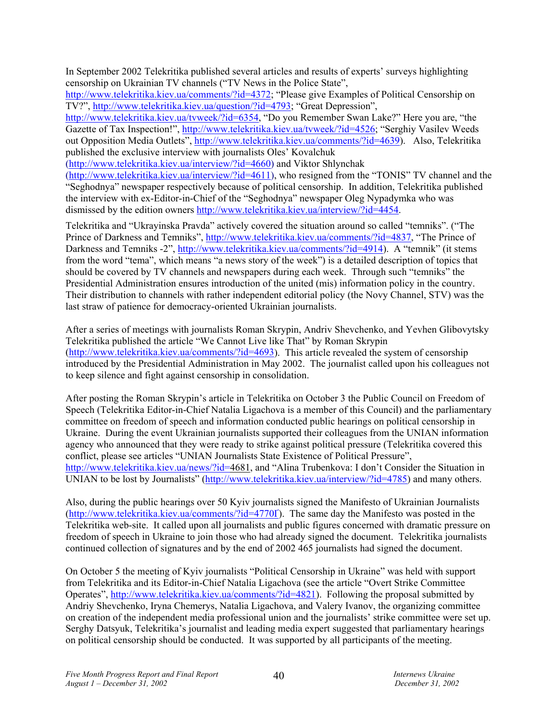In September 2002 Telekritika published several articles and results of experts' surveys highlighting censorship on Ukrainian TV channels ("TV News in the Police State",

http://www.telekritika.kiev.ua/comments/?id=4372; "Please give Examples of Political Censorship on TV?", http://www.telekritika.kiev.ua/question/?id=4793; "Great Depression",

http://www.telekritika.kiev.ua/tvweek/?id=6354, "Do you Remember Swan Lake?" Here you are, "the Gazette of Tax Inspection!", http://www.telekritika.kiev.ua/tvweek/?id=4526; "Serghiy Vasilev Weeds out Opposition Media Outlets", http://www.telekritika.kiev.ua/comments/?id=4639). Also, Telekritika published the exclusive interview with journalists Oles' Kovalchuk

(http://www.telekritika.kiev.ua/interview/?id=4660) and Viktor Shlynchak

(http://www.telekritika.kiev.ua/interview/?id=4611), who resigned from the "TONIS" TV channel and the "Seghodnya" newspaper respectively because of political censorship. In addition, Telekritika published the interview with ex-Editor-in-Chief of the "Seghodnya" newspaper Oleg Nypadymka who was dismissed by the edition owners http://www.telekritika.kiev.ua/interview/?id=4454.

Telekritika and "Ukrayinska Pravda" actively covered the situation around so called "temniks". ("The Prince of Darkness and Temniks", http://www.telekritika.kiev.ua/comments/?id=4837, "The Prince of Darkness and Temniks -2", http://www.telekritika.kiev.ua/comments/?id=4914). A "temnik" (it stems from the word "tema", which means "a news story of the week") is a detailed description of topics that should be covered by TV channels and newspapers during each week. Through such "temniks" the Presidential Administration ensures introduction of the united (mis) information policy in the country. Their distribution to channels with rather independent editorial policy (the Novy Channel, STV) was the last straw of patience for democracy-oriented Ukrainian journalists.

After a series of meetings with journalists Roman Skrypin, Andriv Shevchenko, and Yevhen Glibovytsky Telekritika published the article "We Cannot Live like That" by Roman Skrypin (http://www.telekritika.kiev.ua/comments/?id=4693). This article revealed the system of censorship introduced by the Presidential Administration in May 2002. The journalist called upon his colleagues not to keep silence and fight against censorship in consolidation.

After posting the Roman Skrypin's article in Telekritika on October 3 the Public Council on Freedom of Speech (Telekritika Editor-in-Chief Natalia Ligachova is a member of this Council) and the parliamentary committee on freedom of speech and information conducted public hearings on political censorship in Ukraine. During the event Ukrainian journalists supported their colleagues from the UNIAN information agency who announced that they were ready to strike against political pressure (Telekritika covered this conflict, please see articles "UNIAN Journalists State Existence of Political Pressure", http://www.telekritika.kiev.ua/news/?id=4681, and "Alina Trubenkova: I don't Consider the Situation in UNIAN to be lost by Journalists" (http://www.telekritika.kiev.ua/interview/?id=4785) and many others.

Also, during the public hearings over 50 Kyiv journalists signed the Manifesto of Ukrainian Journalists (http://www.telekritika.kiev.ua/comments/?id=4770Ґ). The same day the Manifesto was posted in the Telekritika web-site. It called upon all journalists and public figures concerned with dramatic pressure on freedom of speech in Ukraine to join those who had already signed the document. Telekritika journalists continued collection of signatures and by the end of 2002 465 journalists had signed the document.

On October 5 the meeting of Kyiv journalists "Political Censorship in Ukraine" was held with support from Telekritika and its Editor-in-Chief Natalia Ligachova (see the article "Overt Strike Committee Operates", http://www.telekritika.kiev.ua/comments/?id=4821). Following the proposal submitted by Andriy Shevchenko, Iryna Chemerys, Natalia Ligachova, and Valery Ivanov, the organizing committee on creation of the independent media professional union and the journalists' strike committee were set up. Serghy Datsyuk, Telekritika's journalist and leading media expert suggested that parliamentary hearings on political censorship should be conducted. It was supported by all participants of the meeting.

40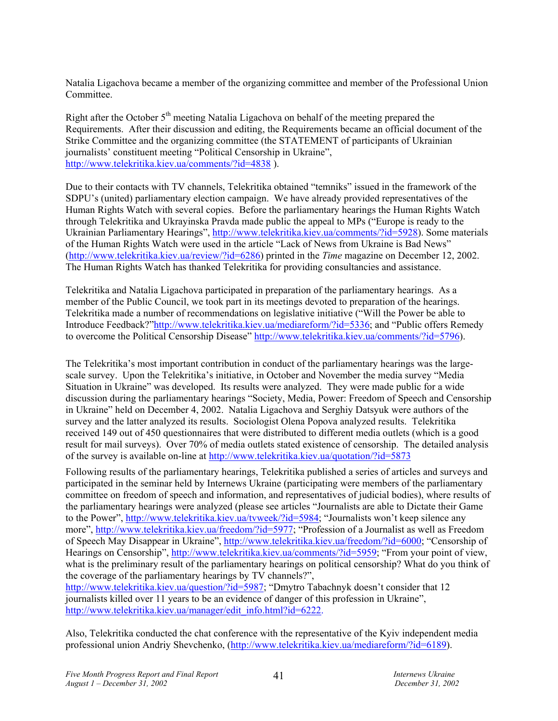Natalia Ligachova became a member of the organizing committee and member of the Professional Union Committee.

Right after the October  $5<sup>th</sup>$  meeting Natalia Ligachova on behalf of the meeting prepared the Requirements. After their discussion and editing, the Requirements became an official document of the Strike Committee and the organizing committee (the STATEMENT of participants of Ukrainian journalists' constituent meeting "Political Censorship in Ukraine", http://www.telekritika.kiev.ua/comments/?id=4838 ).

Due to their contacts with TV channels, Telekritika obtained "temniks" issued in the framework of the SDPU's (united) parliamentary election campaign. We have already provided representatives of the Human Rights Watch with several copies. Before the parliamentary hearings the Human Rights Watch through Telekritika and Ukrayinska Pravda made public the appeal to MPs ("Europe is ready to the Ukrainian Parliamentary Hearings", http://www.telekritika.kiev.ua/comments/?id=5928). Some materials of the Human Rights Watch were used in the article "Lack of News from Ukraine is Bad News" (http://www.telekritika.kiev.ua/review/?id=6286) printed in the *Time* magazine on December 12, 2002. The Human Rights Watch has thanked Telekritika for providing consultancies and assistance.

Telekritika and Natalia Ligachova participated in preparation of the parliamentary hearings. As a member of the Public Council, we took part in its meetings devoted to preparation of the hearings. Telekritika made a number of recommendations on legislative initiative ("Will the Power be able to Introduce Feedback?"http://www.telekritika.kiev.ua/mediareform/?id=5336; and "Public offers Remedy to overcome the Political Censorship Disease" http://www.telekritika.kiev.ua/comments/?id=5796).

The Telekritika's most important contribution in conduct of the parliamentary hearings was the largescale survey. Upon the Telekritika's initiative, in October and November the media survey "Media Situation in Ukraine" was developed. Its results were analyzed. They were made public for a wide discussion during the parliamentary hearings "Society, Media, Power: Freedom of Speech and Censorship in Ukraine" held on December 4, 2002. Natalia Ligachova and Serghiy Datsyuk were authors of the survey and the latter analyzed its results. Sociologist Olena Popova analyzed results. Telekritika received 149 out of 450 questionnaires that were distributed to different media outlets (which is a good result for mail surveys). Over 70% of media outlets stated existence of censorship. The detailed analysis of the survey is available on-line at http://www.telekritika.kiev.ua/quotation/?id=5873

Following results of the parliamentary hearings, Telekritika published a series of articles and surveys and participated in the seminar held by Internews Ukraine (participating were members of the parliamentary committee on freedom of speech and information, and representatives of judicial bodies), where results of the parliamentary hearings were analyzed (please see articles "Journalists are able to Dictate their Game to the Power", http://www.telekritika.kiev.ua/tvweek/?id=5984; "Journalists won't keep silence any more", http://www.telekritika.kiev.ua/freedom/?id=5977; "Profession of a Journalist as well as Freedom of Speech May Disappear in Ukraine", http://www.telekritika.kiev.ua/freedom/?id=6000; "Censorship of Hearings on Censorship", http://www.telekritika.kiev.ua/comments/?id=5959; "From your point of view, what is the preliminary result of the parliamentary hearings on political censorship? What do you think of the coverage of the parliamentary hearings by TV channels?", http://www.telekritika.kiev.ua/question/?id=5987; "Dmytro Tabachnyk doesn't consider that 12

journalists killed over 11 years to be an evidence of danger of this profession in Ukraine", http://www.telekritika.kiev.ua/manager/edit\_info.html?id=6222.

Also, Telekritika conducted the chat conference with the representative of the Kyiv independent media professional union Andriy Shevchenko, (http://www.telekritika.kiev.ua/mediareform/?id=6189).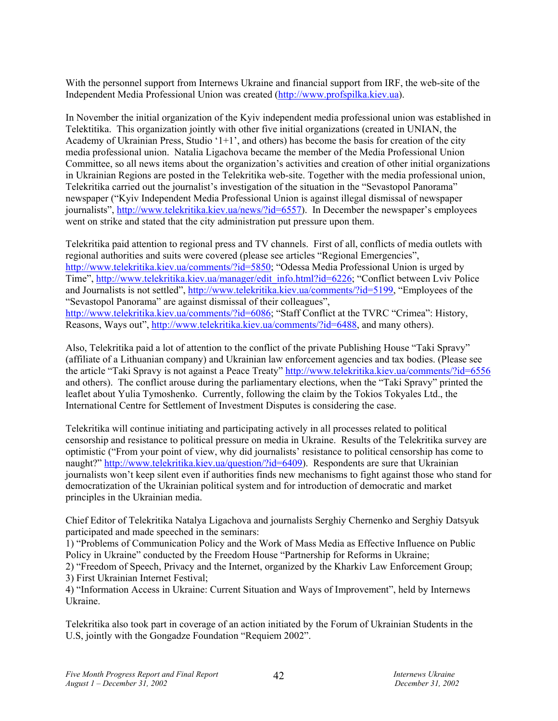With the personnel support from Internews Ukraine and financial support from IRF, the web-site of the Independent Media Professional Union was created (http://www.profspilka.kiev.ua).

In November the initial organization of the Kyiv independent media professional union was established in Telektitika. This organization jointly with other five initial organizations (created in UNIAN, the Academy of Ukrainian Press, Studio '1+1', and others) has become the basis for creation of the city media professional union. Natalia Ligachova became the member of the Media Professional Union Committee, so all news items about the organization's activities and creation of other initial organizations in Ukrainian Regions are posted in the Telekritika web-site. Together with the media professional union, Telekritika carried out the journalist's investigation of the situation in the "Sevastopol Panorama" newspaper ("Kyiv Independent Media Professional Union is against illegal dismissal of newspaper journalists", http://www.telekritika.kiev.ua/news/?id=6557). In December the newspaper's employees went on strike and stated that the city administration put pressure upon them.

Telekritika paid attention to regional press and TV channels. First of all, conflicts of media outlets with regional authorities and suits were covered (please see articles "Regional Emergencies", http://www.telekritika.kiev.ua/comments/?id=5850; "Odessa Media Professional Union is urged by Time", http://www.telekritika.kiev.ua/manager/edit\_info.html?id=6226; "Conflict between Lviv Police and Journalists is not settled", http://www.telekritika.kiev.ua/comments/?id=5199, "Employees of the "Sevastopol Panorama" are against dismissal of their colleagues", http://www.telekritika.kiev.ua/comments/?id=6086; "Staff Conflict at the TVRC "Crimea": History, Reasons, Ways out", http://www.telekritika.kiev.ua/comments/?id=6488, and many others).

Also, Telekritika paid a lot of attention to the conflict of the private Publishing House "Taki Spravy" (affiliate of a Lithuanian company) and Ukrainian law enforcement agencies and tax bodies. (Please see the article "Taki Spravy is not against a Peace Treaty" http://www.telekritika.kiev.ua/comments/?id=6556 and others). The conflict arouse during the parliamentary elections, when the "Taki Spravy" printed the leaflet about Yulia Tymoshenko. Currently, following the claim by the Tokios Tokyales Ltd., the International Centre for Settlement of Investment Disputes is considering the case.

Telekritika will continue initiating and participating actively in all processes related to political censorship and resistance to political pressure on media in Ukraine. Results of the Telekritika survey are optimistic ("From your point of view, why did journalists' resistance to political censorship has come to naught?" http://www.telekritika.kiev.ua/question/?id=6409). Respondents are sure that Ukrainian journalists won't keep silent even if authorities finds new mechanisms to fight against those who stand for democratization of the Ukrainian political system and for introduction of democratic and market principles in the Ukrainian media.

Chief Editor of Telekritika Natalya Ligachova and journalists Serghiy Chernenko and Serghiy Datsyuk participated and made speeched in the seminars:

1) "Problems of Communication Policy and the Work of Mass Media as Effective Influence on Public Policy in Ukraine" conducted by the Freedom House "Partnership for Reforms in Ukraine;

2) "Freedom of Speech, Privacy and the Internet, organized by the Kharkiv Law Enforcement Group; 3) First Ukrainian Internet Festival;

4) "Information Access in Ukraine: Current Situation and Ways of Improvement", held by Internews Ukraine.

Telekritika also took part in coverage of an action initiated by the Forum of Ukrainian Students in the U.S, jointly with the Gongadze Foundation "Requiem 2002".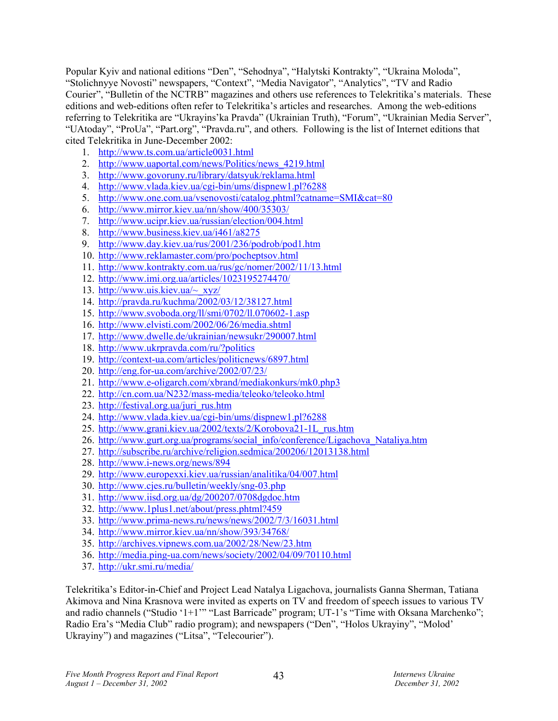Popular Kyiv and national editions "Den", "Sehodnya", "Halytski Kontrakty", "Ukraina Moloda", "Stolichnyye Novosti" newspapers, "Context", "Media Navigator", "Analytics", "TV and Radio Courier", "Bulletin of the NCTRB" magazines and others use references to Telekritika's materials. These editions and web-editions often refer to Telekritika's articles and researches. Among the web-editions referring to Telekritika are "Ukrayins'ka Pravda" (Ukrainian Truth), "Forum", "Ukrainian Media Server", "UAtoday", "ProUa", "Part.org", "Pravda.ru", and others. Following is the list of Internet editions that cited Telekritika in June-December 2002:

- 1. http://www.ts.com.ua/article0031.html
- 2. http://www.uaportal.com/news/Politics/news\_4219.html
- 3. http://www.govoruny.ru/library/datsyuk/reklama.html
- 4. http://www.vlada.kiev.ua/cgi-bin/ums/dispnew1.pl?6288
- 5. http://www.one.com.ua/vsenovosti/catalog.phtml?catname=SMI&cat=80
- 6. http://www.mirror.kiev.ua/nn/show/400/35303/
- 7. http://www.ucipr.kiev.ua/russian/election/004.html
- 8. http://www.business.kiev.ua/i461/a8275
- 9. http://www.day.kiev.ua/rus/2001/236/podrob/pod1.htm
- 10. http://www.reklamaster.com/pro/pocheptsov.html
- 11. http://www.kontrakty.com.ua/rus/gc/nomer/2002/11/13.html
- 12. http://www.imi.org.ua/articles/1023195274470/
- 13. http://www.uis.kiev.ua/ $\sim$  xyz/
- 14. http://pravda.ru/kuchma/2002/03/12/38127.html
- 15. http://www.svoboda.org/ll/smi/0702/ll.070602-1.asp
- 16. http://www.elvisti.com/2002/06/26/media.shtml
- 17. http://www.dwelle.de/ukrainian/newsukr/290007.html
- 18. http://www.ukrpravda.com/ru/?politics
- 19. http://context-ua.com/articles/politicnews/6897.html
- 20. http://eng.for-ua.com/archive/2002/07/23/
- 21. http://www.e-oligarch.com/xbrand/mediakonkurs/mk0.php3
- 22. http://cn.com.ua/N232/mass-media/teleoko/teleoko.html
- 23. http://festival.org.ua/juri\_rus.htm
- 24. http://www.vlada.kiev.ua/cgi-bin/ums/dispnew1.pl?6288
- 25. http://www.grani.kiev.ua/2002/texts/2/Korobova21-1L\_rus.htm
- 26. http://www.gurt.org.ua/programs/social\_info/conference/Ligachova\_Nataliya.htm
- 27. http://subscribe.ru/archive/religion.sedmica/200206/12013138.html
- 28. http://www.i-news.org/news/894
- 29. http://www.europexxi.kiev.ua/russian/analitika/04/007.html
- 30. http://www.cjes.ru/bulletin/weekly/sng-03.php
- 31. http://www.iisd.org.ua/dg/200207/0708dgdoc.htm
- 32. http://www.1plus1.net/about/press.phtml?459
- 33. http://www.prima-news.ru/news/news/2002/7/3/16031.html
- 34. http://www.mirror.kiev.ua/nn/show/393/34768/
- 35. http://archives.vipnews.com.ua/2002/28/New/23.htm
- 36. http://media.ping-ua.com/news/society/2002/04/09/70110.html
- 37. http://ukr.smi.ru/media/

Telekritika's Editor-in-Chief and Project Lead Natalya Ligachova, journalists Ganna Sherman, Tatiana Akimova and Nina Krasnova were invited as experts on TV and freedom of speech issues to various TV and radio channels ("Studio '1+1'" "Last Barricade" program; UT-1's "Time with Oksana Marchenko"; Radio Era's "Media Club" radio program); and newspapers ("Den", "Holos Ukrayiny", "Molod' Ukrayiny") and magazines ("Litsa", "Telecourier").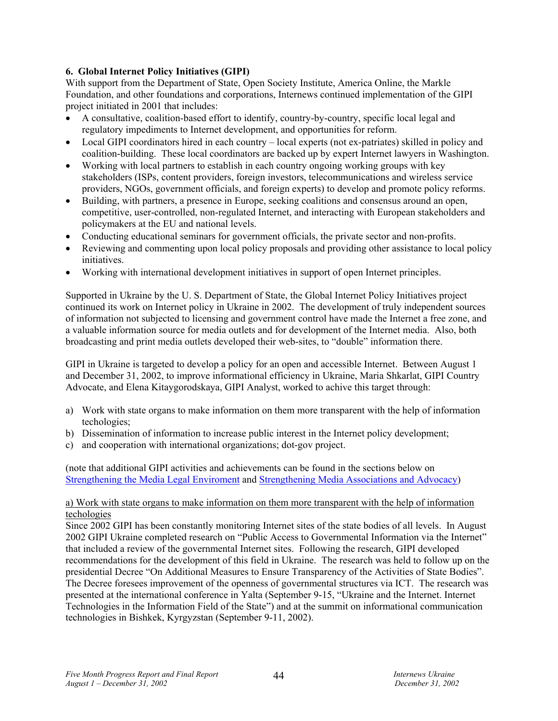## **6. Global Internet Policy Initiatives (GIPI)**

With support from the Department of State, Open Society Institute, America Online, the Markle Foundation, and other foundations and corporations, Internews continued implementation of the GIPI project initiated in 2001 that includes:

- A consultative, coalition-based effort to identify, country-by-country, specific local legal and regulatory impediments to Internet development, and opportunities for reform.
- Local GIPI coordinators hired in each country local experts (not ex-patriates) skilled in policy and coalition-building. These local coordinators are backed up by expert Internet lawyers in Washington.
- Working with local partners to establish in each country ongoing working groups with key stakeholders (ISPs, content providers, foreign investors, telecommunications and wireless service providers, NGOs, government officials, and foreign experts) to develop and promote policy reforms.
- Building, with partners, a presence in Europe, seeking coalitions and consensus around an open, competitive, user-controlled, non-regulated Internet, and interacting with European stakeholders and policymakers at the EU and national levels.
- Conducting educational seminars for government officials, the private sector and non-profits.
- Reviewing and commenting upon local policy proposals and providing other assistance to local policy initiatives.
- Working with international development initiatives in support of open Internet principles.

Supported in Ukraine by the U. S. Department of State, the Global Internet Policy Initiatives project continued its work on Internet policy in Ukraine in 2002. The development of truly independent sources of information not subjected to licensing and government control have made the Internet a free zone, and a valuable information source for media outlets and for development of the Internet media. Also, both broadcasting and print media outlets developed their web-sites, to "double" information there.

GIPI in Ukraine is targeted to develop a policy for an open and accessible Internet. Between August 1 and December 31, 2002, to improve informational efficiency in Ukraine, Maria Shkarlat, GIPI Country Advocate, and Elena Kitaygorodskaya, GIPI Analyst, worked to achive this target through:

- a) Work with state organs to make information on them more transparent with the help of information techologies;
- b) Dissemination of information to increase public interest in the Internet policy development;
- c) and cooperation with international organizations; dot-gov project.

(note that additional GIPI activities and achievements can be found in the sections below on Strengthening the Media Legal Enviroment and Strengthening Media Associations and Advocacy)

## a) Work with state organs to make information on them more transparent with the help of information techologies

Since 2002 GIPI has been constantly monitoring Internet sites of the state bodies of all levels. In August 2002 GIPI Ukraine completed research on "Public Access to Governmental Information via the Internet" that included a review of the governmental Internet sites. Following the research, GIPI developed recommendations for the development of this field in Ukraine. The research was held to follow up on the presidential Decree "On Additional Measures to Ensure Transparency of the Activities of State Bodies". The Decree foresees improvement of the openness of governmental structures via ICT. The research was presented at the international conference in Yalta (September 9-15, "Ukraine and the Internet. Internet Technologies in the Information Field of the State") and at the summit on informational communication technologies in Bishkek, Kyrgyzstan (September 9-11, 2002).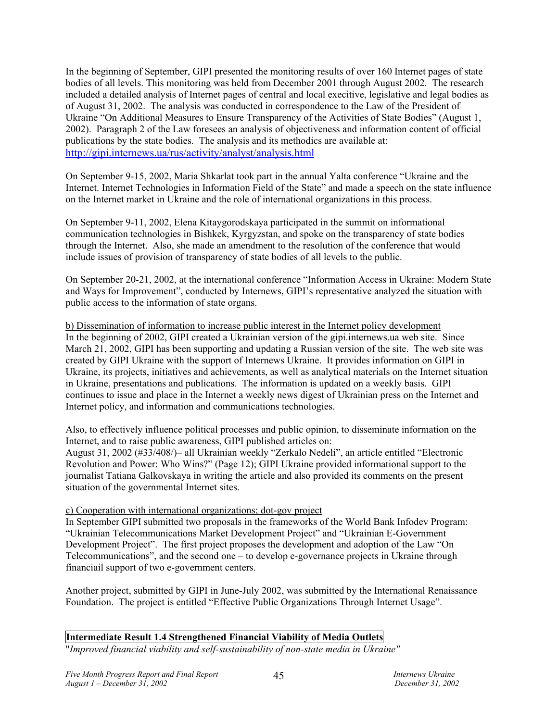In the beginning of September, GIPI presented the monitoring results of over 160 Internet pages of state bodies of all levels. This monitoring was held from December 2001 through August 2002. The research included a detailed analysis of Internet pages of central and local execitive, legislative and legal bodies as of August 31, 2002. The analysis was conducted in correspondence to the Law of the President of Ukraine "On Additional Measures to Ensure Transparency of the Activities of State Bodies" (August 1, 2002). Paragraph 2 of the Law foresees an analysis of objectiveness and information content of official publications by the state bodies. The analysis and its methodics are available at: http://gipi.internews.ua/rus/activity/analyst/analysis.html

On September 9-15, 2002, Maria Shkarlat took part in the annual Yalta conference "Ukraine and the Internet. Internet Technologies in Information Field of the State" and made a speech on the state influence on the Internet market in Ukraine and the role of international organizations in this process.

On September 9-11, 2002, Elena Kitaygorodskaya participated in the summit on informational communication technologies in Bishkek, Kyrgyzstan, and spoke on the transparency of state bodies through the Internet. Also, she made an amendment to the resolution of the conference that would include issues of provision of transparency of state bodies of all levels to the public.

On September 20-21, 2002, at the international conference "Information Access in Ukraine: Modern State and Ways for Improvement", conducted by Internews, GIPI's representative analyzed the situation with public access to the information of state organs.

b) Dissemination of information to increase public interest in the Internet policy development In the beginning of 2002, GIPI created a Ukrainian version of the gipi.internews.ua web site. Since March 21, 2002, GIPI has been supporting and updating a Russian version of the site. The web site was created by GIPI Ukraine with the support of Internews Ukraine. It provides information on GIPI in Ukraine, its projects, initiatives and achievements, as well as analytical materials on the Internet situation in Ukraine, presentations and publications. The information is updated on a weekly basis. GIPI continues to issue and place in the Internet a weekly news digest of Ukrainian press on the Internet and Internet policy, and information and communications technologies.

Also, to effectively influence political processes and public opinion, to disseminate information on the Internet, and to raise public awareness, GIPI published articles on:

August 31, 2002 (#33/408/)– all Ukrainian weekly "Zerkalo Nedeli", an article entitled "Electronic Revolution and Power: Who Wins?" (Page 12); GIPI Ukraine provided informational support to the journalist Tatiana Galkovskaya in writing the article and also provided its comments on the present situation of the governmental Internet sites.

#### c) Cooperation with international organizations; dot-gov project

In September GIPI submitted two proposals in the frameworks of the World Bank Infodev Program: "Ukrainian Telecommunications Market Development Project" and "Ukrainian E-Government Development Project". The first project proposes the development and adoption of the Law "On Telecommunications", and the second one – to develop e-governance projects in Ukraine through financiail support of two e-government centers.

Another project, submitted by GIPI in June-July 2002, was submitted by the International Renaissance Foundation. The project is entitled "Effective Public Organizations Through Internet Usage".

## **Intermediate Result 1.4 Strengthened Financial Viability of Media Outlets**

"*Improved financial viability and self-sustainability of non-state media in Ukraine"*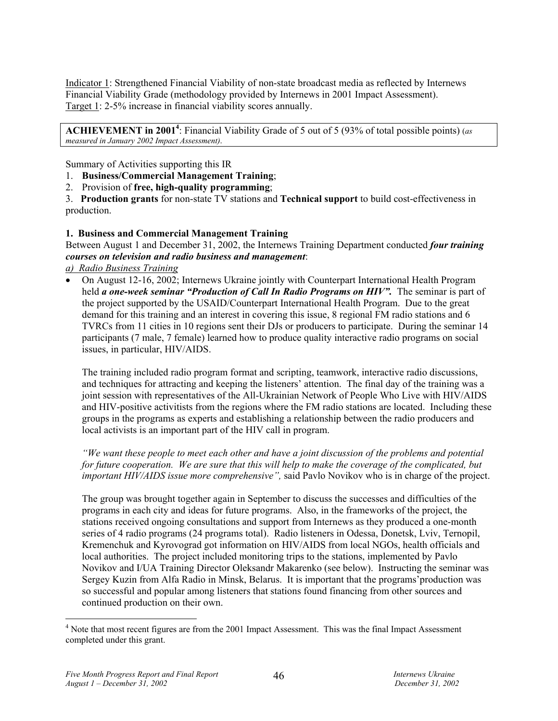Indicator 1: Strengthened Financial Viability of non-state broadcast media as reflected by Internews Financial Viability Grade (methodology provided by Internews in 2001 Impact Assessment). Target 1: 2-5% increase in financial viability scores annually.

ACHIEVEMENT in 2001<sup>4</sup>: Financial Viability Grade of 5 out of 5 (93% of total possible points) (*as measured in January 2002 Impact Assessment)*.

Summary of Activities supporting this IR

- 1. **Business/Commercial Management Training**;
- 2. Provision of **free, high-quality programming**;

3. **Production grants** for non-state TV stations and **Technical support** to build cost-effectiveness in production.

## **1. Business and Commercial Management Training**

Between August 1 and December 31, 2002, the Internews Training Department conducted *four training courses on television and radio business and management*:

*a) Radio Business Training*

• On August 12-16, 2002; Internews Ukraine jointly with Counterpart International Health Program held *a one-week seminar "Production of Call In Radio Programs on HIV"*. The seminar is part of the project supported by the USAID/Counterpart International Health Program. Due to the great demand for this training and an interest in covering this issue, 8 regional FM radio stations and 6 TVRCs from 11 cities in 10 regions sent their DJs or producers to participate. During the seminar 14 participants (7 male, 7 female) learned how to produce quality interactive radio programs on social issues, in particular, HIV/AIDS.

The training included radio program format and scripting, teamwork, interactive radio discussions, and techniques for attracting and keeping the listeners' attention. The final day of the training was a joint session with representatives of the All-Ukrainian Network of People Who Live with HIV/AIDS and HIV-positive activitists from the regions where the FM radio stations are located. Including these groups in the programs as experts and establishing a relationship between the radio producers and local activists is an important part of the HIV call in program.

*"We want these people to meet each other and have a joint discussion of the problems and potential for future cooperation. We are sure that this will help to make the coverage of the complicated, but important HIV/AIDS issue more comprehensive",* said Pavlo Novikov who is in charge of the project.

The group was brought together again in September to discuss the successes and difficulties of the programs in each city and ideas for future programs. Also, in the frameworks of the project, the stations received ongoing consultations and support from Internews as they produced a one-month series of 4 radio programs (24 programs total). Radio listeners in Odessa, Donetsk, Lviv, Ternopil, Kremenchuk and Kyrovograd got information on HIV/AIDS from local NGOs, health officials and local authorities. The project included monitoring trips to the stations, implemented by Pavlo Novikov and I/UA Training Director Oleksandr Makarenko (see below). Instructing the seminar was Sergey Kuzin from Alfa Radio in Minsk, Belarus. It is important that the programs'production was so successful and popular among listeners that stations found financing from other sources and continued production on their own.

 $\overline{a}$ 

<sup>&</sup>lt;sup>4</sup> Note that most recent figures are from the 2001 Impact Assessment. This was the final Impact Assessment completed under this grant.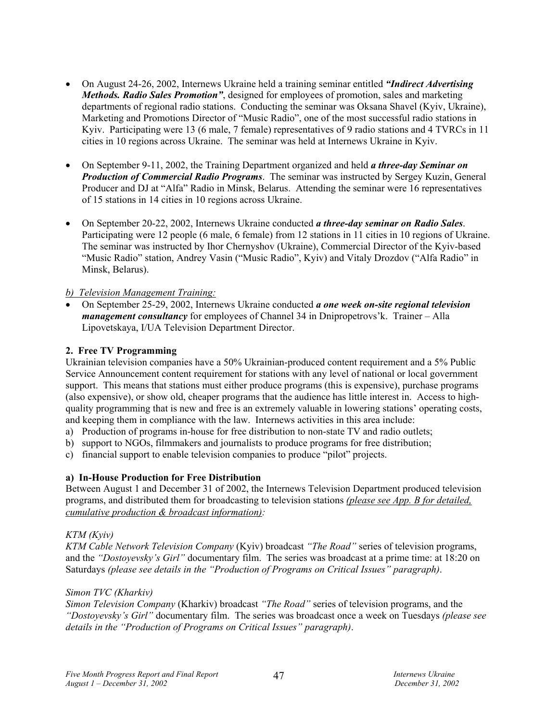- On August 24-26, 2002, Internews Ukraine held a training seminar entitled *"Indirect Advertising Methods. Radio Sales Promotion"*, designed for employees of promotion, sales and marketing departments of regional radio stations. Conducting the seminar was Oksana Shavel (Kyiv, Ukraine), Marketing and Promotions Director of "Music Radio", one of the most successful radio stations in Kyiv. Participating were 13 (6 male, 7 female) representatives of 9 radio stations and 4 TVRCs in 11 cities in 10 regions across Ukraine. The seminar was held at Internews Ukraine in Kyiv.
- On September 9-11, 2002, the Training Department organized and held *a three-day Seminar on Production of Commercial Radio Programs*. The seminar was instructed by Sergey Kuzin, General Producer and DJ at "Alfa" Radio in Minsk, Belarus. Attending the seminar were 16 representatives of 15 stations in 14 cities in 10 regions across Ukraine.
- On September 20-22, 2002, Internews Ukraine conducted *a three-day seminar on Radio Sales*. Participating were 12 people (6 male, 6 female) from 12 stations in 11 cities in 10 regions of Ukraine. The seminar was instructed by Ihor Chernyshov (Ukraine), Commercial Director of the Kyiv-based "Music Radio" station, Andrey Vasin ("Music Radio", Kyiv) and Vitaly Drozdov ("Alfa Radio" in Minsk, Belarus).

## *b) Television Management Training:*

• On September 25-29, 2002, Internews Ukraine conducted *a one week on-site regional television management consultancy* for employees of Channel 34 in Dnipropetrovs'k. Trainer – Alla Lipovetskaya, I/UA Television Department Director.

## **2. Free TV Programming**

Ukrainian television companies have a 50% Ukrainian-produced content requirement and a 5% Public Service Announcement content requirement for stations with any level of national or local government support. This means that stations must either produce programs (this is expensive), purchase programs (also expensive), or show old, cheaper programs that the audience has little interest in. Access to highquality programming that is new and free is an extremely valuable in lowering stations' operating costs, and keeping them in compliance with the law. Internews activities in this area include:

- a) Production of programs in-house for free distribution to non-state TV and radio outlets;
- b) support to NGOs, filmmakers and journalists to produce programs for free distribution;
- c) financial support to enable television companies to produce "pilot" projects.

## **a) In-House Production for Free Distribution**

Between August 1 and December 31 of 2002, the Internews Television Department produced television programs, and distributed them for broadcasting to television stations *(please see App. B for detailed, cumulative production & broadcast information):* 

#### *KTM (Kyiv)*

*KTM Cable Network Television Company* (Kyiv) broadcast *"The Road"* series of television programs, and the *"Dostoyevsky's Girl"* documentary film. The series was broadcast at a prime time: at 18:20 on Saturdays *(please see details in the "Production of Programs on Critical Issues" paragraph)*.

#### *Simon TVC (Kharkiv)*

*Simon Television Company* (Kharkiv) broadcast *"The Road"* series of television programs, and the *"Dostoyevsky's Girl"* documentary film. The series was broadcast once a week on Tuesdays *(please see details in the "Production of Programs on Critical Issues" paragraph)*.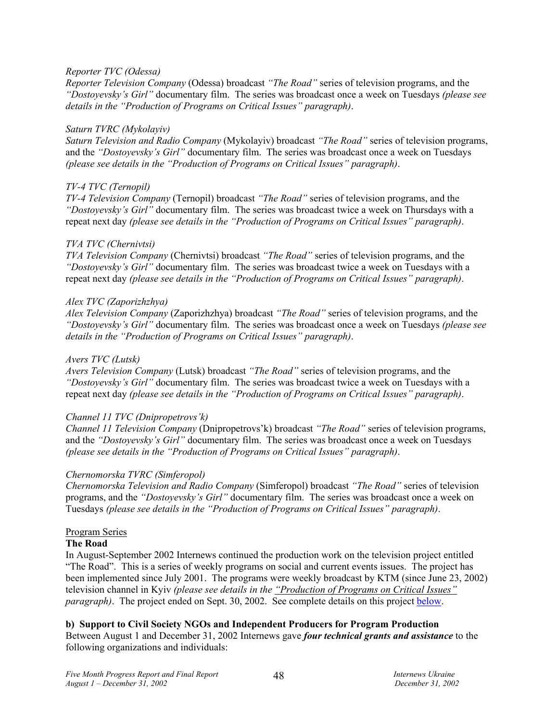## *Reporter TVC (Odessa)*

*Reporter Television Company* (Odessa) broadcast *"The Road"* series of television programs, and the *"Dostoyevsky's Girl"* documentary film. The series was broadcast once a week on Tuesdays *(please see details in the "Production of Programs on Critical Issues" paragraph)*.

#### *Saturn TVRC (Mykolayiv)*

*Saturn Television and Radio Company* (Mykolayiv) broadcast *"The Road"* series of television programs, and the *"Dostoyevsky's Girl"* documentary film. The series was broadcast once a week on Tuesdays *(please see details in the "Production of Programs on Critical Issues" paragraph)*.

## *TV-4 TVC (Ternopil)*

*TV-4 Television Company* (Ternopil) broadcast *"The Road"* series of television programs, and the *"Dostoyevsky's Girl"* documentary film. The series was broadcast twice a week on Thursdays with a repeat next day *(please see details in the "Production of Programs on Critical Issues" paragraph)*.

## *TVA TVC (Chernivtsi)*

*TVA Television Company* (Chernivtsi) broadcast *"The Road"* series of television programs, and the *"Dostoyevsky's Girl"* documentary film. The series was broadcast twice a week on Tuesdays with a repeat next day *(please see details in the "Production of Programs on Critical Issues" paragraph)*.

## *Alex TVC (Zaporizhzhya)*

*Alex Television Company* (Zaporizhzhya) broadcast *"The Road"* series of television programs, and the *"Dostoyevsky's Girl"* documentary film. The series was broadcast once a week on Tuesdays *(please see details in the "Production of Programs on Critical Issues" paragraph)*.

## *Avers TVC (Lutsk)*

*Avers Television Company* (Lutsk) broadcast *"The Road"* series of television programs, and the *"Dostoyevsky's Girl"* documentary film. The series was broadcast twice a week on Tuesdays with a repeat next day *(please see details in the "Production of Programs on Critical Issues" paragraph)*.

#### *Channel 11 TVC (Dnipropetrovs'k)*

*Channel 11 Television Company* (Dnipropetrovs'k) broadcast *"The Road"* series of television programs, and the *"Dostoyevsky's Girl"* documentary film. The series was broadcast once a week on Tuesdays *(please see details in the "Production of Programs on Critical Issues" paragraph)*.

## *Chernomorska TVRC (Simferopol)*

*Chernomorska Television and Radio Company* (Simferopol) broadcast *"The Road"* series of television programs, and the *"Dostoyevsky's Girl"* documentary film. The series was broadcast once a week on Tuesdays *(please see details in the "Production of Programs on Critical Issues" paragraph)*.

#### Program Series

## **The Road**

In August-September 2002 Internews continued the production work on the television project entitled "The Road". This is a series of weekly programs on social and current events issues. The project has been implemented since July 2001. The programs were weekly broadcast by KTM (since June 23, 2002) television channel in Kyiv *(please see details in the "Production of Programs on Critical Issues" paragraph)*. The project ended on Sept. 30, 2002. See complete details on this project below.

## **b) Support to Civil Society NGOs and Independent Producers for Program Production**

Between August 1 and December 31, 2002 Internews gave *four technical grants and assistance* to the following organizations and individuals: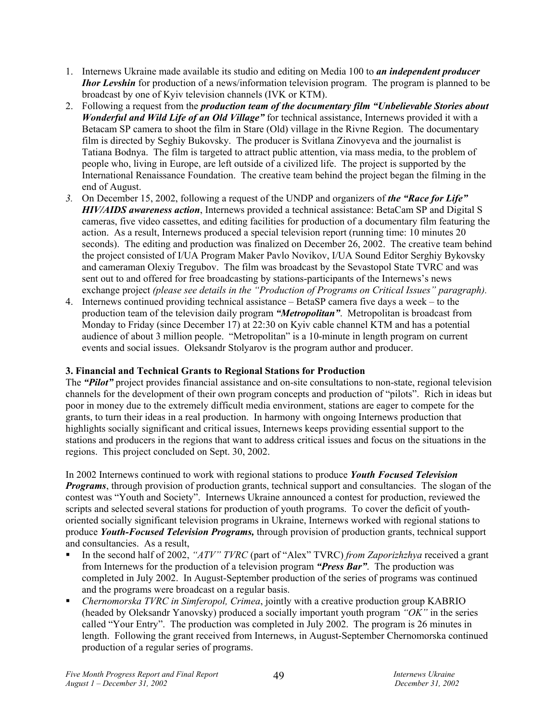- 1. Internews Ukraine made available its studio and editing on Media 100 to *an independent producer Ihor Levshin* for production of a news/information television program. The program is planned to be broadcast by one of Kyiv television channels (IVK or KTM).
- 2. Following a request from the *production team of the documentary film "Unbelievable Stories about Wonderful and Wild Life of an Old Village"* for technical assistance, Internews provided it with a Betacam SP camera to shoot the film in Stare (Old) village in the Rivne Region. The documentary film is directed by Seghiy Bukovsky. The producer is Svitlana Zinovyeva and the journalist is Tatiana Bodnya. The film is targeted to attract public attention, via mass media, to the problem of people who, living in Europe, are left outside of a civilized life. The project is supported by the International Renaissance Foundation. The creative team behind the project began the filming in the end of August.
- *3.* On December 15, 2002, following a request of the UNDP and organizers of *the "Race for Life" HIV/AIDS awareness action*, Internews provided a technical assistance: BetaCam SP and Digital S cameras, five video cassettes, and editing facilities for production of a documentary film featuring the action. As a result, Internews produced a special television report (running time: 10 minutes 20 seconds). The editing and production was finalized on December 26, 2002. The creative team behind the project consisted of I/UA Program Maker Pavlo Novikov, I/UA Sound Editor Serghiy Bykovsky and cameraman Olexiy Tregubov. The film was broadcast by the Sevastopol State TVRC and was sent out to and offered for free broadcasting by stations-participants of the Internews's news exchange project *(please see details in the "Production of Programs on Critical Issues" paragraph).*
- 4. Internews continued providing technical assistance BetaSP camera five days a week to the production team of the television daily program *"Metropolitan"*. Metropolitan is broadcast from Monday to Friday (since December 17) at 22:30 on Kyiv cable channel KTM and has a potential audience of about 3 million people. "Metropolitan" is a 10-minute in length program on current events and social issues. Oleksandr Stolyarov is the program author and producer.

# **3. Financial and Technical Grants to Regional Stations for Production**

The *"Pilot"* project provides financial assistance and on-site consultations to non-state, regional television channels for the development of their own program concepts and production of "pilots". Rich in ideas but poor in money due to the extremely difficult media environment, stations are eager to compete for the grants, to turn their ideas in a real production. In harmony with ongoing Internews production that highlights socially significant and critical issues, Internews keeps providing essential support to the stations and producers in the regions that want to address critical issues and focus on the situations in the regions. This project concluded on Sept. 30, 2002.

In 2002 Internews continued to work with regional stations to produce *Youth Focused Television Programs*, through provision of production grants, technical support and consultancies. The slogan of the contest was "Youth and Society". Internews Ukraine announced a contest for production, reviewed the scripts and selected several stations for production of youth programs. To cover the deficit of youthoriented socially significant television programs in Ukraine, Internews worked with regional stations to produce *Youth-Focused Television Programs,* through provision of production grants, technical support and consultancies. As a result,

- In the second half of 2002, "*ATV" TVRC* (part of "Alex" TVRC) *from Zaporizhzhya* received a grant from Internews for the production of a television program *"Press Bar"*. The production was completed in July 2002. In August-September production of the series of programs was continued and the programs were broadcast on a regular basis.
- *Chernomorska TVRC in Simferopol, Crimea*, jointly with a creative production group KABRIO (headed by Oleksandr Yanovsky) produced a socially important youth program *"OK"* in the series called "Your Entry". The production was completed in July 2002. The program is 26 minutes in length. Following the grant received from Internews, in August-September Chernomorska continued production of a regular series of programs.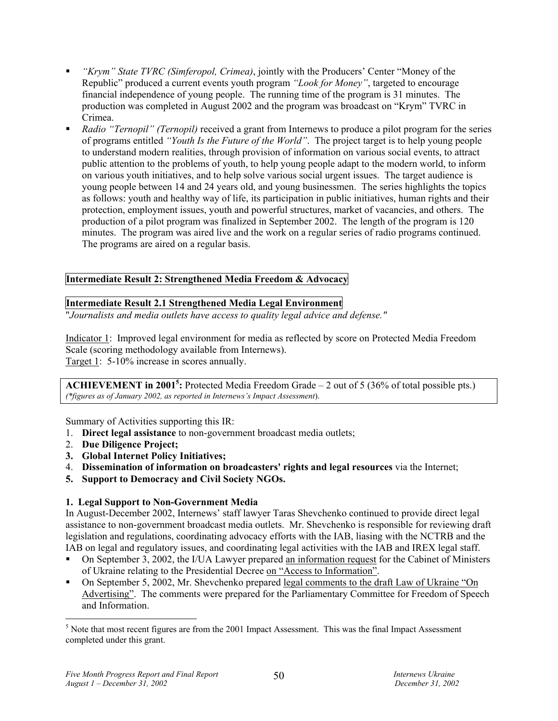- *"Krym" State TVRC (Simferopol, Crimea)*, jointly with the Producers' Center "Money of the Republic" produced a current events youth program *"Look for Money"*, targeted to encourage financial independence of young people. The running time of the program is 31 minutes. The production was completed in August 2002 and the program was broadcast on "Krym" TVRC in Crimea.
- *Radio "Ternopil" (Ternopil)* received a grant from Internews to produce a pilot program for the series of programs entitled *"Youth Is the Future of the World"*. The project target is to help young people to understand modern realities, through provision of information on various social events, to attract public attention to the problems of youth, to help young people adapt to the modern world, to inform on various youth initiatives, and to help solve various social urgent issues. The target audience is young people between 14 and 24 years old, and young businessmen. The series highlights the topics as follows: youth and healthy way of life, its participation in public initiatives, human rights and their protection, employment issues, youth and powerful structures, market of vacancies, and others. The production of a pilot program was finalized in September 2002. The length of the program is 120 minutes. The program was aired live and the work on a regular series of radio programs continued. The programs are aired on a regular basis.

## **Intermediate Result 2: Strengthened Media Freedom & Advocacy**

## **Intermediate Result 2.1 Strengthened Media Legal Environment**

"*Journalists and media outlets have access to quality legal advice and defense."*

Indicator 1: Improved legal environment for media as reflected by score on Protected Media Freedom Scale (scoring methodology available from Internews). Target 1: 5-10% increase in scores annually.

**ACHIEVEMENT in 2001<sup>5</sup>:** Protected Media Freedom Grade – 2 out of 5 (36% of total possible pts.) *(\*figures as of January 2002, as reported in Internews's Impact Assessment*).

Summary of Activities supporting this IR:

- 1. **Direct legal assistance** to non-government broadcast media outlets;
- 2. **Due Diligence Project;**
- **3. Global Internet Policy Initiatives;**
- 4. **Dissemination of information on broadcasters' rights and legal resources** via the Internet;
- **5. Support to Democracy and Civil Society NGOs.**

## **1. Legal Support to Non-Government Media**

In August-December 2002, Internews' staff lawyer Taras Shevchenko continued to provide direct legal assistance to non-government broadcast media outlets. Mr. Shevchenko is responsible for reviewing draft legislation and regulations, coordinating advocacy efforts with the IAB, liasing with the NCTRB and the IAB on legal and regulatory issues, and coordinating legal activities with the IAB and IREX legal staff.

- On September 3, 2002, the I/UA Lawyer prepared an information request for the Cabinet of Ministers of Ukraine relating to the Presidential Decree on "Access to Information".
- On September 5, 2002, Mr. Shevchenko prepared legal comments to the draft Law of Ukraine "On Advertising". The comments were prepared for the Parliamentary Committee for Freedom of Speech and Information.

 $\overline{a}$ 

 $<sup>5</sup>$  Note that most recent figures are from the 2001 Impact Assessment. This was the final Impact Assessment</sup> completed under this grant.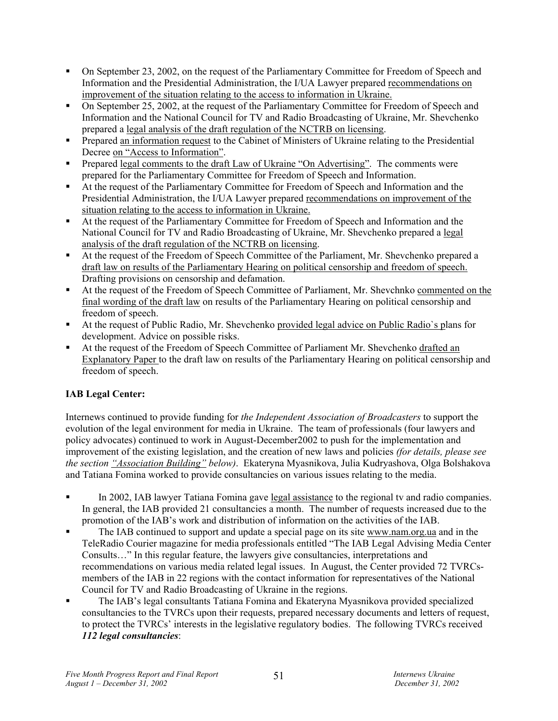- On September 23, 2002, on the request of the Parliamentary Committee for Freedom of Speech and Information and the Presidential Administration, the I/UA Lawyer prepared recommendations on improvement of the situation relating to the access to information in Ukraine.
- On September 25, 2002, at the request of the Parliamentary Committee for Freedom of Speech and Information and the National Council for TV and Radio Broadcasting of Ukraine, Mr. Shevchenko prepared a legal analysis of the draft regulation of the NCTRB on licensing.
- Prepared an information request to the Cabinet of Ministers of Ukraine relating to the Presidential Decree on "Access to Information".
- Prepared legal comments to the draft Law of Ukraine "On Advertising". The comments were prepared for the Parliamentary Committee for Freedom of Speech and Information.
- At the request of the Parliamentary Committee for Freedom of Speech and Information and the Presidential Administration, the I/UA Lawyer prepared recommendations on improvement of the situation relating to the access to information in Ukraine.
- At the request of the Parliamentary Committee for Freedom of Speech and Information and the National Council for TV and Radio Broadcasting of Ukraine, Mr. Shevchenko prepared a legal analysis of the draft regulation of the NCTRB on licensing.
- At the request of the Freedom of Speech Committee of the Parliament, Mr. Shevchenko prepared a draft law on results of the Parliamentary Hearing on political censorship and freedom of speech. Drafting provisions on censorship and defamation.
- At the request of the Freedom of Speech Committee of Parliament, Mr. Shevchnko commented on the final wording of the draft law on results of the Parliamentary Hearing on political censorship and freedom of speech.
- At the request of Public Radio, Mr. Shevchenko provided legal advice on Public Radio`s plans for development. Advice on possible risks.
- At the request of the Freedom of Speech Committee of Parliament Mr. Shevchenko drafted an Explanatory Paper to the draft law on results of the Parliamentary Hearing on political censorship and freedom of speech.

# **IAB Legal Center:**

Internews continued to provide funding for *the Independent Association of Broadcasters* to support the evolution of the legal environment for media in Ukraine. The team of professionals (four lawyers and policy advocates) continued to work in August-December2002 to push for the implementation and improvement of the existing legislation, and the creation of new laws and policies *(for details, please see the section "Association Building" below)*. Ekateryna Myasnikova, Julia Kudryashova, Olga Bolshakova and Tatiana Fomina worked to provide consultancies on various issues relating to the media.

- In 2002, IAB lawyer Tatiana Fomina gave legal assistance to the regional tv and radio companies. In general, the IAB provided 21 consultancies a month. The number of requests increased due to the promotion of the IAB's work and distribution of information on the activities of the IAB.
- The IAB continued to support and update a special page on its site www.nam.org.ua and in the TeleRadio Courier magazine for media professionals entitled "The IAB Legal Advising Media Center Consults…" In this regular feature, the lawyers give consultancies, interpretations and recommendations on various media related legal issues. In August, the Center provided 72 TVRCsmembers of the IAB in 22 regions with the contact information for representatives of the National Council for TV and Radio Broadcasting of Ukraine in the regions.
- The IAB's legal consultants Tatiana Fomina and Ekateryna Myasnikova provided specialized consultancies to the TVRCs upon their requests, prepared necessary documents and letters of request, to protect the TVRCs' interests in the legislative regulatory bodies. The following TVRCs received *112 legal consultancies*: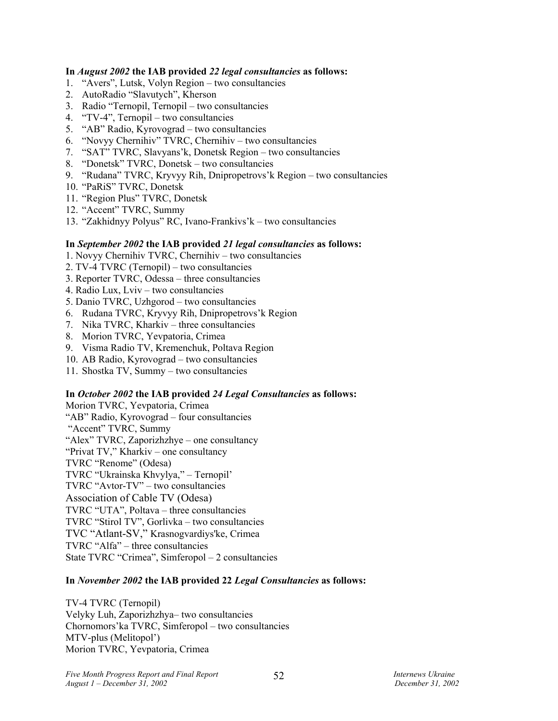#### **In** *August 2002* **the IAB provided** *22 legal consultancies* **as follows:**

- 1. "Avers", Lutsk, Volyn Region two consultancies
- 2. AutoRadio "Slavutych", Kherson
- 3. Radio "Ternopil, Ternopil two consultancies
- 4. "TV-4", Ternopil two consultancies
- 5. "AB" Radio, Kyrovograd two consultancies
- 6. "Novyy Chernihiv" TVRC, Chernihiv two consultancies
- 7. "SAT" TVRC, Slavyans'k, Donetsk Region two consultancies
- 8. "Donetsk" TVRC, Donetsk two consultancies
- 9. "Rudana" TVRC, Kryvyy Rih, Dnipropetrovs'k Region two consultancies
- 10. "PaRiS" TVRC, Donetsk
- 11. "Region Plus" TVRC, Donetsk
- 12. "Accent" TVRC, Summy
- 13. "Zakhidnyy Polyus" RC, Ivano-Frankivs'k two consultancies

#### **In** *September 2002* **the IAB provided** *21 legal consultancies* **as follows:**

- 1. Novyy Chernihiv TVRC, Chernihiv two consultancies
- 2. TV-4 TVRC (Ternopil) two consultancies
- 3. Reporter TVRC, Odessa three consultancies
- 4. Radio Lux, Lviv two consultancies
- 5. Danio TVRC, Uzhgorod two consultancies
- 6. Rudana TVRC, Kryvyy Rih, Dnipropetrovs'k Region
- 7. Nika TVRC, Kharkiv three consultancies
- 8. Morion TVRC, Yevpatoria, Crimea
- 9. Visma Radio TV, Kremenchuk, Poltava Region
- 10. AB Radio, Kyrovograd two consultancies
- 11. Shostka TV, Summy two consultancies

#### **In** *October 2002* **the IAB provided** *24 Legal Consultancies* **as follows:**

Morion TVRC, Yevpatoria, Crimea "AB" Radio, Kyrovograd – four consultancies "Accent" TVRC, Summy "Alex" TVRC, Zaporizhzhye – one consultancy "Privat TV," Kharkiv – one consultancy TVRC "Renome" (Odesa) TVRC "Ukrainska Khvylya," – Ternopil' TVRC "Avtor-TV" – two consultancies Association of Cable TV (Odesa) TVRC "UTA", Poltava – three consultancies TVRC "Stirol TV", Gorlivka – two consultancies TVC "Atlant-SV," Krasnogvardiys'ke, Crimea TVRC "Alfa" – three consultancies State TVRC "Crimea", Simferopol – 2 consultancies

#### **In** *November 2002* **the IAB provided 22** *Legal Consultancies* **as follows:**

TV-4 TVRC (Ternopil) Velyky Luh, Zaporizhzhya– two consultancies Chornomors'ka TVRC, Simferopol – two consultancies MTV-plus (Melitopol') Morion TVRC, Yevpatoria, Crimea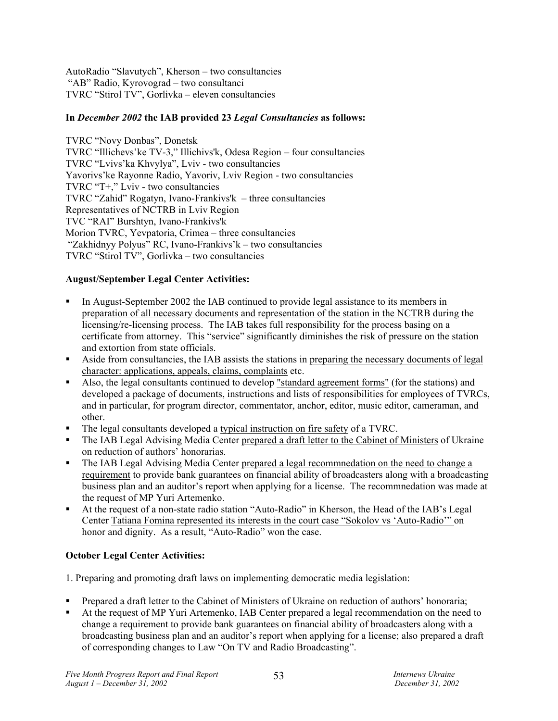AutoRadio "Slavutych", Kherson – two consultancies "AB" Radio, Kyrovograd – two consultanci TVRC "Stirol TV", Gorlivka – eleven consultancies

## **In** *December 2002* **the IAB provided 23** *Legal Consultancies* **as follows:**

TVRC "Novy Donbas", Donetsk TVRC "Illichevs'ke TV-3," Illichivs'k, Odesa Region – four consultancies TVRC "Lvivs'ka Khvylya", Lviv - two consultancies Yavorivs'ke Rayonne Radio, Yavoriv, Lviv Region - two consultancies TVRC "Т+," Lviv - two consultancies TVRC "Zahid" Rogatyn, Ivano-Frankivs'k – three consultancies Representatives of NCTRB in Lviv Region TVC "RAI" Burshtyn, Ivano-Frankivs'k Morion TVRC, Yevpatoria, Crimea – three consultancies "Zakhidnyy Polyus" RC, Ivano-Frankivs'k – two consultancies TVRC "Stirol TV", Gorlivka – two consultancies

## **August/September Legal Center Activities:**

- In August-September 2002 the IAB continued to provide legal assistance to its members in preparation of all necessary documents and representation of the station in the NCTRB during the licensing/re-licensing process. The IAB takes full responsibility for the process basing on a certificate from attorney. This "service" significantly diminishes the risk of pressure on the station and extortion from state officials.
- Aside from consultancies, the IAB assists the stations in preparing the necessary documents of legal character: applications, appeals, claims, complaints etc.
- Also, the legal consultants continued to develop "standard agreement forms" (for the stations) and developed a package of documents, instructions and lists of responsibilities for employees of TVRCs, and in particular, for program director, commentator, anchor, editor, music editor, cameraman, and other.
- The legal consultants developed a typical instruction on fire safety of a TVRC.
- The IAB Legal Advising Media Center prepared a draft letter to the Cabinet of Ministers of Ukraine on reduction of authors' honorarias.
- The IAB Legal Advising Media Center prepared a legal recommnedation on the need to change a requirement to provide bank guarantees on financial ability of broadcasters along with a broadcasting business plan and an auditor's report when applying for a license. The recommnedation was made at the request of MP Yuri Artemenko.
- At the request of a non-state radio station "Auto-Radio" in Kherson, the Head of the IAB's Legal Center Tatiana Fomina represented its interests in the court case "Sokolov vs 'Auto-Radio'" on honor and dignity. As a result, "Auto-Radio" won the case.

## **October Legal Center Activities:**

1. Preparing and promoting draft laws on implementing democratic media legislation:

- Prepared a draft letter to the Cabinet of Ministers of Ukraine on reduction of authors' honoraria;
- At the request of MP Yuri Artemenko, IAB Center prepared a legal recommendation on the need to change a requirement to provide bank guarantees on financial ability of broadcasters along with a broadcasting business plan and an auditor's report when applying for a license; also prepared a draft of corresponding changes to Law "On TV and Radio Broadcasting".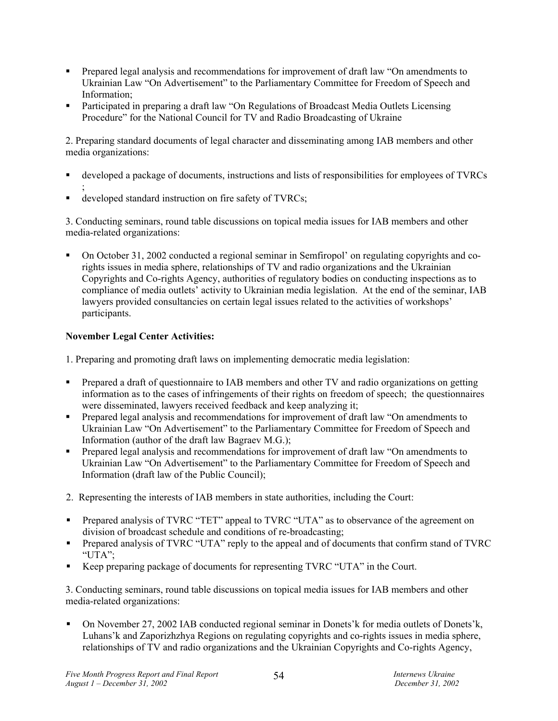- Prepared legal analysis and recommendations for improvement of draft law "On amendments to Ukrainian Law "On Advertisement" to the Parliamentary Committee for Freedom of Speech and Information;
- Participated in preparing a draft law "On Regulations of Broadcast Media Outlets Licensing Procedure" for the National Council for TV and Radio Broadcasting of Ukraine

2. Preparing standard documents of legal character and disseminating among IAB members and other media organizations:

- developed a package of documents, instructions and lists of responsibilities for employees of TVRCs ;
- developed standard instruction on fire safety of TVRCs;

3. Conducting seminars, round table discussions on topical media issues for IAB members and other media-related organizations:

 On October 31, 2002 conducted a regional seminar in Semfiropol' on regulating copyrights and corights issues in media sphere, relationships of TV and radio organizations and the Ukrainian Copyrights and Co-rights Agency, authorities of regulatory bodies on conducting inspections as to compliance of media outlets' activity to Ukrainian media legislation. At the end of the seminar, IAB lawyers provided consultancies on certain legal issues related to the activities of workshops' participants.

## **November Legal Center Activities:**

- 1. Preparing and promoting draft laws on implementing democratic media legislation:
- Prepared a draft of questionnaire to IAB members and other TV and radio organizations on getting information as to the cases of infringements of their rights on freedom of speech; the questionnaires were disseminated, lawyers received feedback and keep analyzing it;
- Prepared legal analysis and recommendations for improvement of draft law "On amendments to Ukrainian Law "On Advertisement" to the Parliamentary Committee for Freedom of Speech and Information (author of the draft law Bagraev M.G.);
- **Prepared legal analysis and recommendations for improvement of draft law "On amendments to** Ukrainian Law "On Advertisement" to the Parliamentary Committee for Freedom of Speech and Information (draft law of the Public Council);
- 2. Representing the interests of IAB members in state authorities, including the Court:
- **Prepared analysis of TVRC "TET" appeal to TVRC "UTA" as to observance of the agreement on** division of broadcast schedule and conditions of re-broadcasting;
- **Prepared analysis of TVRC "UTA" reply to the appeal and of documents that confirm stand of TVRC** "UTA";
- Keep preparing package of documents for representing TVRC "UTA" in the Court.

3. Conducting seminars, round table discussions on topical media issues for IAB members and other media-related organizations:

 On November 27, 2002 IAB conducted regional seminar in Donets'k for media outlets of Donets'k, Luhans'k and Zaporizhzhya Regions on regulating copyrights and co-rights issues in media sphere, relationships of TV and radio organizations and the Ukrainian Copyrights and Co-rights Agency,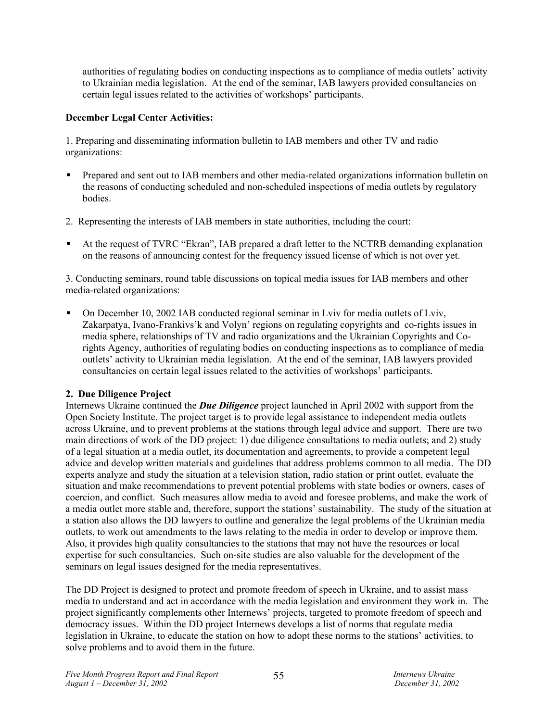authorities of regulating bodies on conducting inspections as to compliance of media outlets' activity to Ukrainian media legislation. At the end of the seminar, IAB lawyers provided consultancies on certain legal issues related to the activities of workshops' participants.

## **December Legal Center Activities:**

1. Preparing and disseminating information bulletin to IAB members and other TV and radio organizations:

- Prepared and sent out to IAB members and other media-related organizations information bulletin on the reasons of conducting scheduled and non-scheduled inspections of media outlets by regulatory bodies.
- 2. Representing the interests of IAB members in state authorities, including the court:
- At the request of TVRC "Ekran", IAB prepared a draft letter to the NCTRB demanding explanation on the reasons of announcing contest for the frequency issued license of which is not over yet.

3. Conducting seminars, round table discussions on topical media issues for IAB members and other media-related organizations:

 On December 10, 2002 IAB conducted regional seminar in Lviv for media outlets of Lviv, Zakarpatya, Ivano-Frankivs'k and Volyn' regions on regulating copyrights and co-rights issues in media sphere, relationships of TV and radio organizations and the Ukrainian Copyrights and Corights Agency, authorities of regulating bodies on conducting inspections as to compliance of media outlets' activity to Ukrainian media legislation. At the end of the seminar, IAB lawyers provided consultancies on certain legal issues related to the activities of workshops' participants.

## **2. Due Diligence Project**

Internews Ukraine continued the *Due Diligence* project launched in April 2002 with support from the Open Society Institute. The project target is to provide legal assistance to independent media outlets across Ukraine, and to prevent problems at the stations through legal advice and support. There are two main directions of work of the DD project: 1) due diligence consultations to media outlets; and 2) study of a legal situation at a media outlet, its documentation and agreements, to provide a competent legal advice and develop written materials and guidelines that address problems common to all media. The DD experts analyze and study the situation at a television station, radio station or print outlet, evaluate the situation and make recommendations to prevent potential problems with state bodies or owners, cases of coercion, and conflict. Such measures allow media to avoid and foresee problems, and make the work of a media outlet more stable and, therefore, support the stations' sustainability. The study of the situation at a station also allows the DD lawyers to outline and generalize the legal problems of the Ukrainian media outlets, to work out amendments to the laws relating to the media in order to develop or improve them. Also, it provides high quality consultancies to the stations that may not have the resources or local expertise for such consultancies. Such on-site studies are also valuable for the development of the seminars on legal issues designed for the media representatives.

The DD Project is designed to protect and promote freedom of speech in Ukraine, and to assist mass media to understand and act in accordance with the media legislation and environment they work in. The project significantly complements other Internews' projects, targeted to promote freedom of speech and democracy issues. Within the DD project Internews develops a list of norms that regulate media legislation in Ukraine, to educate the station on how to adopt these norms to the stations' activities, to solve problems and to avoid them in the future.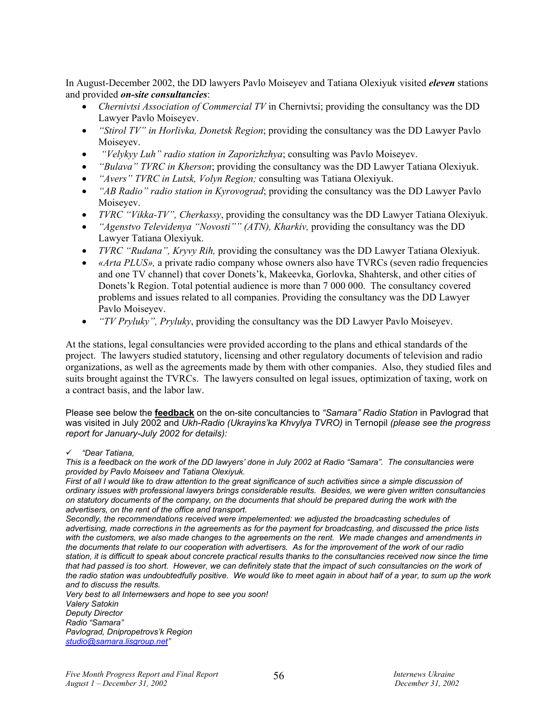In August-December 2002, the DD lawyers Pavlo Moiseyev and Tatiana Olexiyuk visited *eleven* stations and provided *on-site consultancies*:

- *Chernivtsi Association of Commercial TV* in Chernivtsi; providing the consultancy was the DD Lawyer Pavlo Moiseyev.
- *"Stirol TV" in Horlivka, Donetsk Region*; providing the consultancy was the DD Lawyer Pavlo Moiseyev.
- *"Velykyy Luh" radio station in Zaporizhzhya*; consulting was Pavlo Moiseyev.
- *"Bulava" TVRC in Kherson*; providing the consultancy was the DD Lawyer Tatiana Olexiyuk.
- *"Avers" TVRC in Lutsk, Volyn Region;* consulting was Tatiana Olexiyuk.
- *"AB Radio" radio station in Kyrovograd*; providing the consultancy was the DD Lawyer Pavlo Moiseyev.
- *TVRC "Vikka-TV", Cherkassy*, providing the consultancy was the DD Lawyer Tatiana Olexiyuk.
- *"Agenstvo Televidenya "Novosti"" (ATN), Kharkiv,* providing the consultancy was the DD Lawyer Tatiana Olexiyuk.
- *TVRC "Rudana", Kryvy Rih,* providing the consultancy was the DD Lawyer Tatiana Olexiyuk.
- *«Arta PLUS»*, a private radio company whose owners also have TVRCs (seven radio frequencies and one TV channel) that cover Donets'k, Makeevka, Gorlovka, Shahtersk, and other cities of Donets'k Region. Total potential audience is more than 7 000 000. The consultancy covered problems and issues related to all companies. Providing the consultancy was the DD Lawyer Pavlo Moiseyev.
- *"TV Pryluky", Pryluky*, providing the consultancy was the DD Lawyer Pavlo Moiseyev.

At the stations, legal consultancies were provided according to the plans and ethical standards of the project. The lawyers studied statutory, licensing and other regulatory documents of television and radio organizations, as well as the agreements made by them with other companies. Also, they studied files and suits brought against the TVRCs. The lawyers consulted on legal issues, optimization of taxing, work on a contract basis, and the labor law.

Please see below the **feedback** on the on-site concultancies to *"Samara" Radio Station* in Pavlograd that was visited in July 2002 and *Ukh-Radio (Ukrayins'ka Khvylya TVRO)* in Ternopil *(please see the progress report for January-July 2002 for details):*

#### 9 *"Dear Tatiana,*

*This is a feedback on the work of the DD lawyers' done in July 2002 at Radio "Samara". The consultancies were provided by Pavlo Moiseev and Tatiana Olexiyuk.* 

*First of all I would like to draw attention to the great significance of such activities since a simple discussion of ordinary issues with professional lawyers brings considerable results. Besides, we were given written consultancies on statutory documents of the company, on the documents that should be prepared during the work with the advertisers, on the rent of the office and transport.* 

*Secondly, the recommendations received were impelemented: we adjusted the broadcasting schedules of advertising, made corrections in the agreements as for the payment for broadcasting, and discussed the price lists with the customers, we also made changes to the agreements on the rent. We made changes and amendments in the documents that relate to our cooperation with advertisers. As for the improvement of the work of our radio station, it is difficult to speak about concrete practical results thanks to the consultancies received now since the time*  that had passed is too short. However, we can definitely state that the impact of such consultancies on the work of *the radio station was undoubtedfully positive. We would like to meet again in about half of a year, to sum up the work and to discuss the results.* 

*Very best to all Internewsers and hope to see you soon!* 

*Valery Satokin Deputy Director Radio "Samara" Pavlograd, Dnipropetrovs'k Region studio@samara.lisgroup.net"*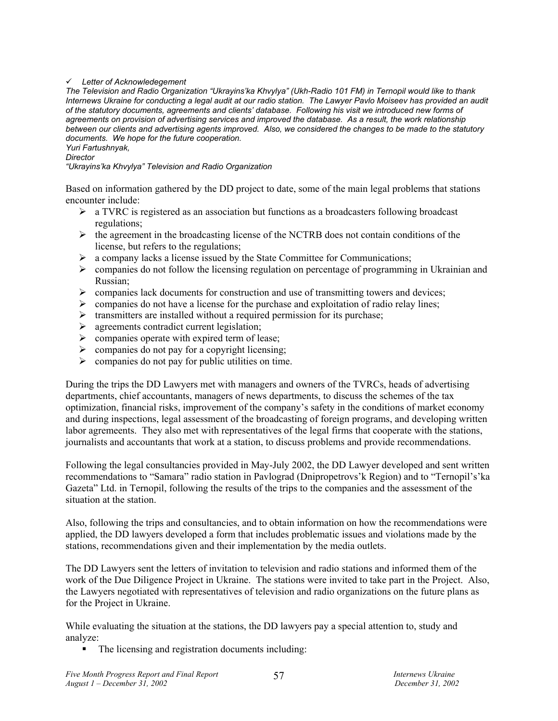#### 9 *Letter of Acknowledegement*

*The Television and Radio Organization "Ukrayins'ka Khvylya" (Ukh-Radio 101 FM) in Ternopil would like to thank Internews Ukraine for conducting a legal audit at our radio station. The Lawyer Pavlo Moiseev has provided an audit of the statutory documents, agreements and clients' database. Following his visit we introduced new forms of agreements on provision of advertising services and improved the database. As a result, the work relationship between our clients and advertising agents improved. Also, we considered the changes to be made to the statutory documents. We hope for the future cooperation. Yuri Fartushnyak,* 

*Director* 

*"Ukrayins'ka Khvylya" Television and Radio Organization* 

Based on information gathered by the DD project to date, some of the main legal problems that stations encounter include:

- $\triangleright$  a TVRC is registered as an association but functions as a broadcasters following broadcast regulations;
- ¾ the agreement in the broadcasting license of the NCTRB does not contain conditions of the license, but refers to the regulations;
- $\triangleright$  a company lacks a license issued by the State Committee for Communications;
- $\triangleright$  companies do not follow the licensing regulation on percentage of programming in Ukrainian and Russian;
- $\triangleright$  companies lack documents for construction and use of transmitting towers and devices;
- $\triangleright$  companies do not have a license for the purchase and exploitation of radio relay lines;
- $\triangleright$  transmitters are installed without a required permission for its purchase;
- $\triangleright$  agreements contradict current legislation;
- $\triangleright$  companies operate with expired term of lease;
- $\triangleright$  companies do not pay for a copyright licensing;
- $\triangleright$  companies do not pay for public utilities on time.

During the trips the DD Lawyers met with managers and owners of the TVRCs, heads of advertising departments, chief accountants, managers of news departments, to discuss the schemes of the tax optimization, financial risks, improvement of the company's safety in the conditions of market economy and during inspections, legal assessment of the broadcasting of foreign programs, and developing written labor agremeents. They also met with representatives of the legal firms that cooperate with the stations, journalists and accountants that work at a station, to discuss problems and provide recommendations.

Following the legal consultancies provided in May-July 2002, the DD Lawyer developed and sent written recommendations to "Samara" radio station in Pavlograd (Dnipropetrovs'k Region) and to "Ternopil's'ka Gazeta" Ltd. in Ternopil, following the results of the trips to the companies and the assessment of the situation at the station.

Also, following the trips and consultancies, and to obtain information on how the recommendations were applied, the DD lawyers developed a form that includes problematic issues and violations made by the stations, recommendations given and their implementation by the media outlets.

The DD Lawyers sent the letters of invitation to television and radio stations and informed them of the work of the Due Diligence Project in Ukraine. The stations were invited to take part in the Project. Also, the Lawyers negotiated with representatives of television and radio organizations on the future plans as for the Project in Ukraine.

While evaluating the situation at the stations, the DD lawyers pay a special attention to, study and analyze:

• The licensing and registration documents including: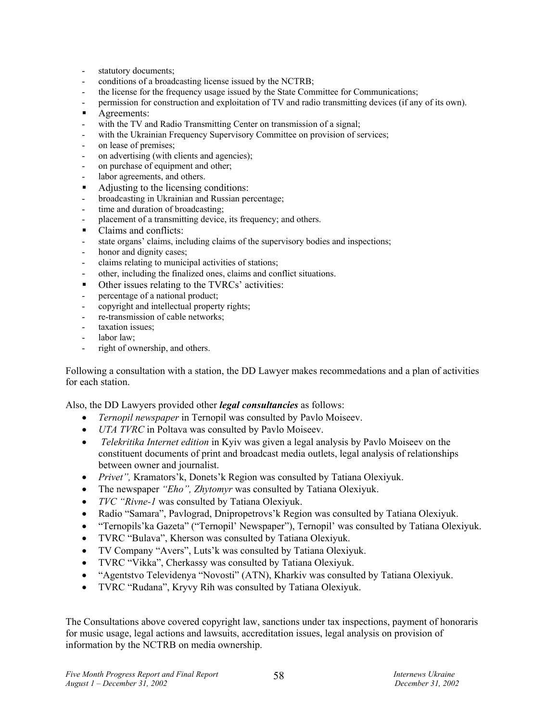- statutory documents;
- conditions of a broadcasting license issued by the NCTRB;
- the license for the frequency usage issued by the State Committee for Communications;
- permission for construction and exploitation of TV and radio transmitting devices (if any of its own).
- **Agreements:**
- with the TV and Radio Transmitting Center on transmission of a signal;
- with the Ukrainian Frequency Supervisory Committee on provision of services;
- on lease of premises;
- on advertising (with clients and agencies);
- on purchase of equipment and other;
- labor agreements, and others.
- Adjusting to the licensing conditions:
- broadcasting in Ukrainian and Russian percentage;
- time and duration of broadcasting;
- placement of a transmitting device, its frequency; and others.
- Claims and conflicts:
- state organs' claims, including claims of the supervisory bodies and inspections;
- honor and dignity cases;
- claims relating to municipal activities of stations;
- other, including the finalized ones, claims and conflict situations.
- Other issues relating to the TVRCs' activities:
- percentage of a national product;
- copyright and intellectual property rights;
- re-transmission of cable networks;
- taxation issues:
- labor law:
- right of ownership, and others.

Following a consultation with a station, the DD Lawyer makes recommedations and a plan of activities for each station.

Also, the DD Lawyers provided other *legal consultancies* as follows:

- *Ternopil newspaper* in Ternopil was consulted by Pavlo Moiseev.
- *UTA TVRC* in Poltava was consulted by Pavlo Moiseev.
- • *Telekritika Internet edition* in Kyiv was given a legal analysis by Pavlo Moiseev on the constituent documents of print and broadcast media outlets, legal analysis of relationships between owner and journalist.
- *Privet",* Kramators'k, Donets'k Region was consulted by Tatiana Olexiyuk.
- The newspaper *"Eho", Zhytomyr* was consulted by Tatiana Olexiyuk.
- *TVC "Rivne-1* was consulted by Tatiana Olexiyuk.
- Radio "Samara", Pavlograd, Dnipropetrovs'k Region was consulted by Tatiana Olexiyuk.
- "Ternopils'ka Gazeta" ("Ternopil' Newspaper"), Ternopil' was consulted by Tatiana Olexiyuk.
- TVRC "Bulava", Kherson was consulted by Tatiana Olexiyuk.
- TV Company "Avers", Luts'k was consulted by Tatiana Olexiyuk.
- TVRC "Vikka", Cherkassy was consulted by Tatiana Olexiyuk.
- "Agentstvo Televidenya "Novosti" (ATN), Kharkiv was consulted by Tatiana Olexiyuk.
- TVRC "Rudana", Kryvy Rih was consulted by Tatiana Olexiyuk.

The Consultations above covered copyright law, sanctions under tax inspections, payment of honoraris for music usage, legal actions and lawsuits, accreditation issues, legal analysis on provision of information by the NCTRB on media ownership.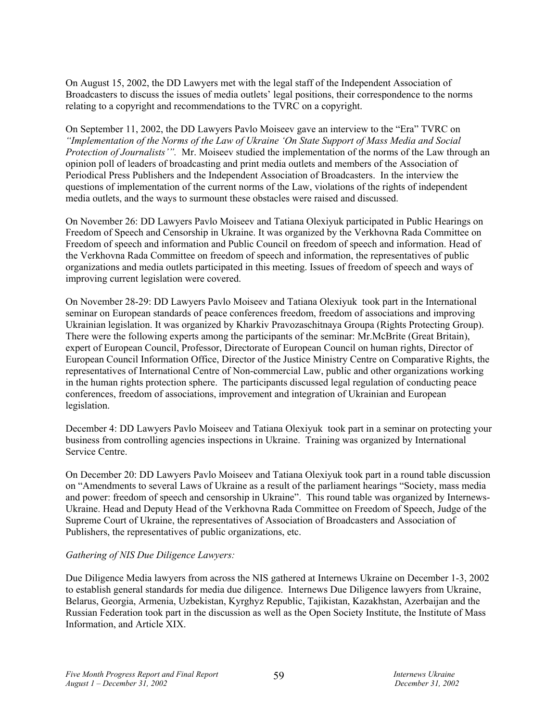On August 15, 2002, the DD Lawyers met with the legal staff of the Independent Association of Broadcasters to discuss the issues of media outlets' legal positions, their correspondence to the norms relating to a copyright and recommendations to the TVRC on a copyright.

On September 11, 2002, the DD Lawyers Pavlo Moiseev gave an interview to the "Era" TVRC on *"Implementation of the Norms of the Law of Ukraine 'On State Support of Mass Media and Social Protection of Journalists'".* Mr. Moiseev studied the implementation of the norms of the Law through an opinion poll of leaders of broadcasting and print media outlets and members of the Association of Periodical Press Publishers and the Independent Association of Broadcasters. In the interview the questions of implementation of the current norms of the Law, violations of the rights of independent media outlets, and the ways to surmount these obstacles were raised and discussed.

On November 26: DD Lawyers Pavlo Moiseev and Tatiana Olexiyuk participated in Public Hearings on Freedom of Speech and Censorship in Ukraine. It was organized by the Verkhovna Rada Committee on Freedom of speech and information and Public Council on freedom of speech and information. Head of the Verkhovna Rada Committee on freedom of speech and information, the representatives of public organizations and media outlets participated in this meeting. Issues of freedom of speech and ways of improving current legislation were covered.

On November 28-29: DD Lawyers Pavlo Moiseev and Tatiana Olexiyuk took part in the International seminar on Еuropean standards of peace conferences freedom, freedom of associations and improving Ukrainian legislation. It was organized by Kharkiv Pravozaschitnaya Groupa (Rights Protecting Group). There were the following experts among the participants of the seminar: Mr.McBrite (Great Britain), expert of European Council, Professor, Directorate of European Council on human rights, Director of European Council Information Office, Director of the Justice Ministry Centre on Comparative Rights, the representatives of International Centre of Non-commercial Law, public and other organizations working in the human rights protection sphere. The participants discussed legal regulation of conducting peace conferences, freedom of associations, improvement and integration of Ukrainian and European legislation.

December 4: DD Lawyers Pavlo Moiseev and Tatiana Olexiyuk took part in a seminar on protecting your business from controlling agencies inspections in Ukraine. Training was organized by International Service Centre.

On December 20: DD Lawyers Pavlo Moiseev and Tatiana Olexiyuk took part in a round table discussion on "Amendments to several Laws of Ukraine as a result of the parliament hearings "Society, mass media and power: freedom of speech and censorship in Ukraine". This round table was organized by Internews-Ukraine. Head and Deputy Head of the Verkhovna Rada Committee on Freedom of Speech, Judge of the Supreme Court of Ukraine, the representatives of Association of Broadcasters and Association of Publishers, the representatives of public organizations, etc.

#### *Gathering of NIS Due Diligence Lawyers:*

Due Diligence Media lawyers from across the NIS gathered at Internews Ukraine on December 1-3, 2002 to establish general standards for media due diligence. Internews Due Diligence lawyers from Ukraine, Belarus, Georgia, Armenia, Uzbekistan, Kyrghyz Republic, Tajikistan, Kazakhstan, Azerbaijan and the Russian Federation took part in the discussion as well as the Open Society Institute, the Institute of Mass Information, and Article XIX.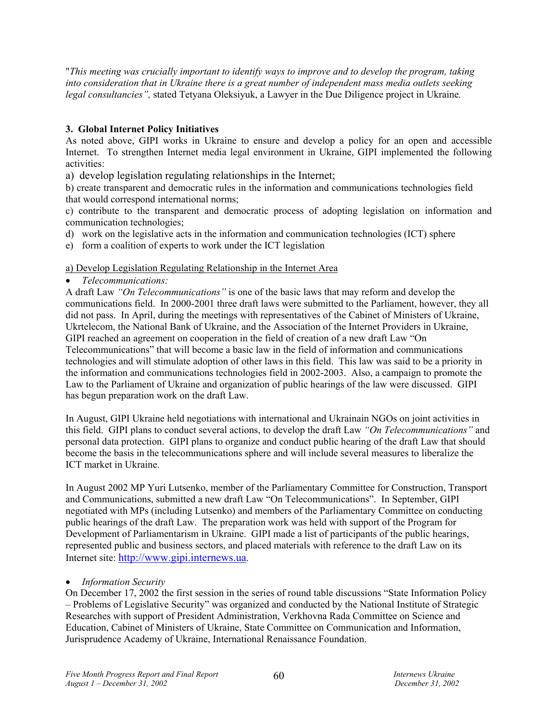"*This meeting was crucially important to identify ways to improve and to develop the program, taking into consideration that in Ukraine there is a great number of independent mass media outlets seeking legal consultancies",* stated Tetyana Oleksiyuk, a Lawyer in the Due Diligence project in Ukraine*.* 

## **3. Global Internet Policy Initiatives**

As noted above, GIPI works in Ukraine to ensure and develop a policy for an open and accessible Internet. To strengthen Internet media legal environment in Ukraine, GIPI implemented the following activities:

a) develop legislation regulating relationships in the Internet;

b) create transparent and democratic rules in the information and communications technologies field that would correspond international norms;

c) contribute to the transparent and democratic process of adopting legislation on information and communication technologies;

- d) work on the legislative acts in the information and communication technologies (ICT) sphere
- e) form a coalition of experts to work under the ICT legislation

## a) Develop Legislation Regulating Relationship in the Internet Area

## • *Telecommunications:*

A draft Law *"On Telecommunications"* is one of the basic laws that may reform and develop the communications field. In 2000-2001 three draft laws were submitted to the Parliament, however, they all did not pass. In April, during the meetings with representatives of the Cabinet of Ministers of Ukraine, Ukrtelecom, the National Bank of Ukraine, and the Association of the Internet Providers in Ukraine, GIPI reached an agreement on cooperation in the field of creation of a new draft Law "On Telecommunications" that will become a basic law in the field of information and communications technologies and will stimulate adoption of other laws in this field. This law was said to be a priority in the information and communications technologies field in 2002-2003. Also, a campaign to promote the Law to the Parliament of Ukraine and organization of public hearings of the law were discussed. GIPI has begun preparation work on the draft Law.

In August, GIPI Ukraine held negotiations with international and Ukrainain NGOs on joint activities in this field. GIPI plans to conduct several actions, to develop the draft Law *"On Telecommunications"* and personal data protection. GIPI plans to organize and conduct public hearing of the draft Law that should become the basis in the telecommunications sphere and will include several measures to liberalize the ICT market in Ukraine.

In August 2002 MP Yuri Lutsenko, member of the Parliamentary Committee for Construction, Transport and Communications, submitted a new draft Law "On Telecommunications". In September, GIPI negotiated with MPs (including Lutsenko) and members of the Parliamentary Committee on conducting public hearings of the draft Law. The preparation work was held with support of the Program for Development of Parliamentarism in Ukraine. GIPI made a list of participants of the public hearings, represented public and business sectors, and placed materials with reference to the draft Law on its Internet site: http://www.gipi.internews.ua.

## • *Information Security*

On December 17, 2002 the first session in the series of round table discussions "State Information Policy – Problems of Legislative Security" was organized and conducted by the National Institute of Strategic Researches with support of President Administration, Verkhovna Rada Committee on Science and Education, Cabinet of Ministers of Ukraine, State Committee on Communication and Information, Jurisprudence Academy of Ukraine, International Renaissance Foundation.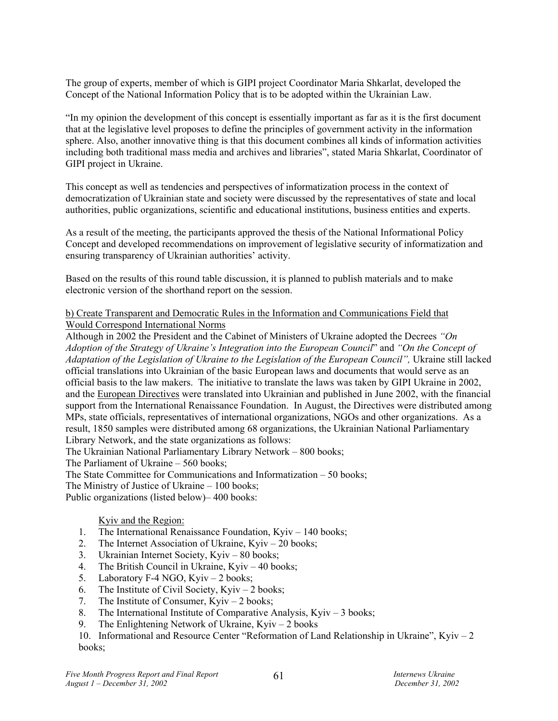The group of experts, member of which is GIPI project Coordinator Maria Shkarlat, developed the Concept of the National Information Policy that is to be adopted within the Ukrainian Law.

"In my opinion the development of this concept is essentially important as far as it is the first document that at the legislative level proposes to define the principles of government activity in the information sphere. Also, another innovative thing is that this document combines all kinds of information activities including both traditional mass media and archives and libraries", stated Maria Shkarlat, Coordinator of GIPI project in Ukraine.

This concept as well as tendencies and perspectives of informatization process in the context of democratization of Ukrainian state and society were discussed by the representatives of state and local authorities, public organizations, scientific and educational institutions, business entities and experts.

As a result of the meeting, the participants approved the thesis of the National Informational Policy Concept and developed recommendations on improvement of legislative security of informatization and ensuring transparency of Ukrainian authorities' activity.

Based on the results of this round table discussion, it is planned to publish materials and to make electronic version of the shorthand report on the session.

## b) Create Transparent and Democratic Rules in the Information and Communications Field that Would Correspond International Norms

Although in 2002 the President and the Cabinet of Ministers of Ukraine adopted the Decrees *"On Adoption of the Strategy of Ukraine's Integration into the European Council*" and *"On the Concept of Adaptation of the Legislation of Ukraine to the Legislation of the European Council",* Ukraine still lacked official translations into Ukrainian of the basic European laws and documents that would serve as an official basis to the law makers. The initiative to translate the laws was taken by GIPI Ukraine in 2002, and the European Directives were translated into Ukrainian and published in June 2002, with the financial support from the International Renaissance Foundation. In August, the Directives were distributed among MPs, state officials, representatives of international organizations, NGOs and other organizations. As a result, 1850 samples were distributed among 68 organizations, the Ukrainian National Parliamentary Library Network, and the state organizations as follows:

The Ukrainian National Parliamentary Library Network – 800 books;

The Parliament of Ukraine – 560 books;

The State Committee for Communications and Informatization – 50 books;

The Ministry of Justice of Ukraine – 100 books;

Public organizations (listed below)– 400 books:

## Kyiv and the Region:

- 1. The International Renaissance Foundation, Kyiv 140 books;
- 2. The Internet Association of Ukraine, Kyiv 20 books;
- 3. Ukrainian Internet Society, Kyiv 80 books;
- 4. The British Council in Ukraine, Kyiv 40 books;
- 5. Laboratory F-4 NGO, Kyiv 2 books;
- 6. The Institute of Civil Society, Kyiv 2 books;
- 7. The Institute of Consumer, Kyiv 2 books;
- 8. The International Institute of Comparative Analysis, Kyiv 3 books;
- 9. The Enlightening Network of Ukraine, Kyiv 2 books

10. Informational and Resource Center "Reformation of Land Relationship in Ukraine", Kyiv – 2 books;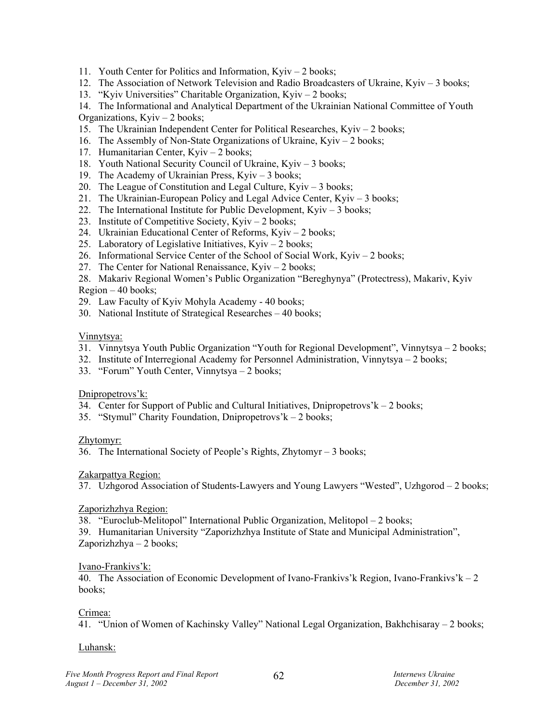- 11. Youth Center for Politics and Information, Kyiv 2 books;
- 12. The Association of Network Television and Radio Broadcasters of Ukraine, Kyiv 3 books;
- 13. "Kyiv Universities" Charitable Organization, Kyiv 2 books;

14. The Informational and Analytical Department of the Ukrainian National Committee of Youth Organizations, Kyiv – 2 books;

- 15. The Ukrainian Independent Center for Political Researches, Kyiv 2 books;
- 16. The Assembly of Non-State Organizations of Ukraine, Kyiv 2 books;
- 17. Humanitarian Center, Kyiv 2 books;
- 18. Youth National Security Council of Ukraine, Kyiv 3 books;
- 19. The Academy of Ukrainian Press, Kyiv 3 books;
- 20. The League of Constitution and Legal Culture, Kyiv 3 books;
- 21. The Ukrainian-European Policy and Legal Advice Center, Kyiv 3 books;
- 22. The International Institute for Public Development,  $K$ yiv 3 books;
- 23. Institute of Competitive Society, Kyiv 2 books;
- 24. Ukrainian Educational Center of Reforms, Kyiv 2 books;
- 25. Laboratory of Legislative Initiatives, Kyiv 2 books;
- 26. Informational Service Center of the School of Social Work, Kyiv 2 books;
- 27. The Center for National Renaissance, Kyiv 2 books;
- 28. Makariv Regional Women's Public Organization "Bereghynya" (Protectress), Makariv, Kyiv Region – 40 books;
- 29. Law Faculty of Kyiv Mohyla Academy 40 books;
- 30. National Institute of Strategical Researches 40 books;

#### Vinnytsya:

- 31. Vinnytsya Youth Public Organization "Youth for Regional Development", Vinnytsya 2 books;
- 32. Institute of Interregional Academy for Personnel Administration, Vinnytsya 2 books;
- 33. "Forum" Youth Center, Vinnytsya 2 books;

#### Dnipropetrovs'k:

- 34. Center for Support of Public and Cultural Initiatives, Dnipropetrovs' $k 2$  books;
- 35. "Stymul" Charity Foundation, Dnipropetrovs'k 2 books;

## Zhytomyr:

36. The International Society of People's Rights, Zhytomyr – 3 books;

## Zakarpattya Region:

37. Uzhgorod Association of Students-Lawyers and Young Lawyers "Wested", Uzhgorod – 2 books;

## Zaporizhzhya Region:

38. "Euroclub-Melitopol" International Public Organization, Melitopol – 2 books;

39. Humanitarian University "Zaporizhzhya Institute of State and Municipal Administration", Zaporizhzhya – 2 books;

#### Ivano-Frankivs'k:

40. The Association of Economic Development of Ivano-Frankivs' Region, Ivano-Frankivs'  $k - 2$ books;

#### Crimea:

41. "Union of Women of Kachinsky Valley" National Legal Organization, Bakhchisaray – 2 books;

#### Luhansk: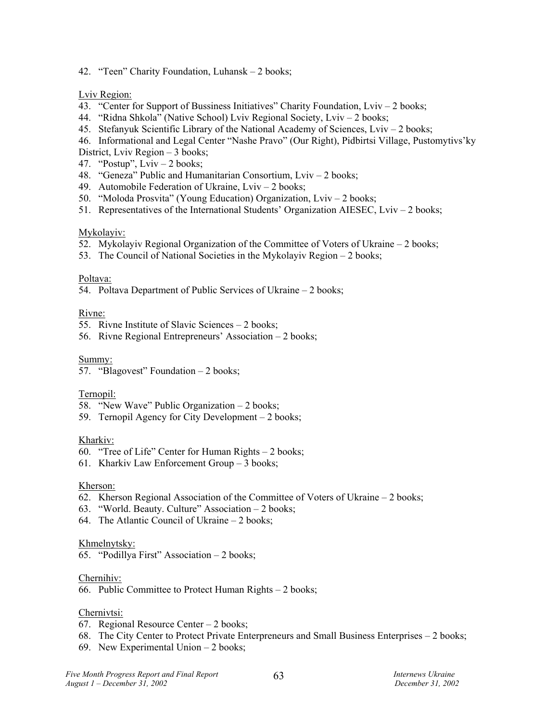42. "Teen" Charity Foundation, Luhansk – 2 books;

#### Lviv Region:

- 43. "Center for Support of Bussiness Initiatives" Charity Foundation, Lviv 2 books;
- 44. "Ridna Shkola" (Native School) Lviv Regional Society, Lviv 2 books;
- 45. Stefanyuk Scientific Library of the National Academy of Sciences, Lviv 2 books;
- 46. Informational and Legal Center "Nashe Pravo" (Our Right), Pidbirtsi Village, Pustomytivs'ky
- District, Lviv Region 3 books;
- 47. "Postup", Lviv 2 books;
- 48. "Geneza" Public and Humanitarian Consortium, Lviv 2 books;
- 49. Automobile Federation of Ukraine, Lviv 2 books;
- 50. "Moloda Prosvita" (Young Education) Organization, Lviv 2 books;
- 51. Representatives of the International Students' Organization AIESEC, Lviv 2 books;

## Mykolayiv:

- 52. Mykolayiv Regional Organization of the Committee of Voters of Ukraine 2 books;
- 53. The Council of National Societies in the Mykolayiv Region 2 books;

#### Poltava:

54. Poltava Department of Public Services of Ukraine – 2 books;

## Rivne:

- 55. Rivne Institute of Slavic Sciences 2 books;
- 56. Rivne Regional Entrepreneurs' Association 2 books;

#### Summy:

57. "Blagovest" Foundation – 2 books;

#### Ternopil:

- 58. "New Wave" Public Organization 2 books;
- 59. Ternopil Agency for City Development 2 books;

#### Kharkiv:

- 60. "Tree of Life" Center for Human Rights 2 books;
- 61. Kharkiv Law Enforcement Group 3 books;

#### Kherson:

- 62. Kherson Regional Association of the Committee of Voters of Ukraine 2 books;
- 63. "World. Beauty. Culture" Association 2 books;
- 64. The Atlantic Council of Ukraine 2 books;

#### Khmelnytsky:

65. "Podillya First" Association – 2 books;

#### Chernihiv:

66. Public Committee to Protect Human Rights – 2 books;

## Chernivtsi:

- 67. Regional Resource Center 2 books;
- 68. The City Center to Protect Private Enterpreneurs and Small Business Enterprises 2 books;
- 69. New Experimental Union 2 books;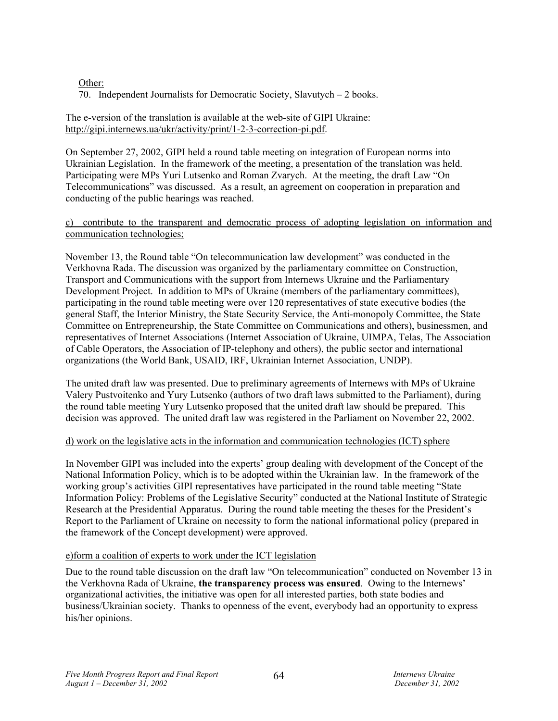## Other:

70. Independent Journalists for Democratic Society, Slavutych – 2 books.

The e-version of the translation is available at the web-site of GIPI Ukraine: http://gipi.internews.ua/ukr/activity/print/1-2-3-correction-pi.pdf.

On September 27, 2002, GIPI held a round table meeting on integration of European norms into Ukrainian Legislation. In the framework of the meeting, a presentation of the translation was held. Participating were MPs Yuri Lutsenko and Roman Zvarych. At the meeting, the draft Law "On Telecommunications" was discussed. As a result, an agreement on cooperation in preparation and conducting of the public hearings was reached.

#### c) contribute to the transparent and democratic process of adopting legislation on information and communication technologies;

November 13, the Round table "On telecommunication law development" was conducted in the Verkhovna Rada. The discussion was organized by the parliamentary committee on Construction, Transport and Communications with the support from Internews Ukraine and the Parliamentary Development Project. In addition to MPs of Ukraine (members of the parliamentary committees), participating in the round table meeting were over 120 representatives of state executive bodies (the general Staff, the Interior Ministry, the State Security Service, the Anti-monopoly Committee, the State Committee on Entrepreneurship, the State Committee on Communications and others), businessmen, and representatives of Internet Associations (Internet Association of Ukraine, UIMPA, Telas, The Association of Cable Operators, the Association of IP-telephony and others), the public sector and international organizations (the World Bank, USAID, IRF, Ukrainian Internet Association, UNDP).

The united draft law was presented. Due to preliminary agreements of Internews with MPs of Ukraine Valery Pustvoitenko and Yury Lutsenko (authors of two draft laws submitted to the Parliament), during the round table meeting Yury Lutsenko proposed that the united draft law should be prepared. This decision was approved. The united draft law was registered in the Parliament on November 22, 2002.

#### d) work on the legislative acts in the information and communication technologies (ICT) sphere

In November GIPI was included into the experts' group dealing with development of the Concept of the National Information Policy, which is to be adopted within the Ukrainian law. In the framework of the working group's activities GIPI representatives have participated in the round table meeting "State Information Policy: Problems of the Legislative Security" conducted at the National Institute of Strategic Research at the Presidential Apparatus. During the round table meeting the theses for the President's Report to the Parliament of Ukraine on necessity to form the national informational policy (prepared in the framework of the Concept development) were approved.

## e)form a coalition of experts to work under the ICT legislation

Due to the round table discussion on the draft law "On telecommunication" conducted on November 13 in the Verkhovna Rada of Ukraine, **the transparency process was ensured**. Owing to the Internews' organizational activities, the initiative was open for all interested parties, both state bodies and business/Ukrainian society. Thanks to openness of the event, everybody had an opportunity to express his/her opinions.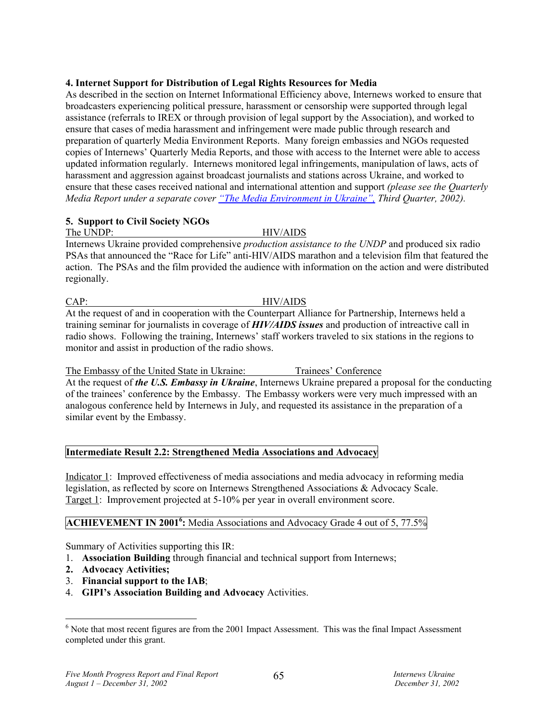## **4. Internet Support for Distribution of Legal Rights Resources for Media**

As described in the section on Internet Informational Efficiency above, Internews worked to ensure that broadcasters experiencing political pressure, harassment or censorship were supported through legal assistance (referrals to IREX or through provision of legal support by the Association), and worked to ensure that cases of media harassment and infringement were made public through research and preparation of quarterly Media Environment Reports. Many foreign embassies and NGOs requested copies of Internews' Quarterly Media Reports, and those with access to the Internet were able to access updated information regularly. Internews monitored legal infringements, manipulation of laws, acts of harassment and aggression against broadcast journalists and stations across Ukraine, and worked to ensure that these cases received national and international attention and support *(please see the Quarterly Media Report under a separate cover "The Media Environment in Ukraine", Third Quarter, 2002).* 

# **5. Support to Civil Society NGOs**

The UNDP: HIV/AIDS

Internews Ukraine provided comprehensive *production assistance to the UNDP* and produced six radio PSAs that announced the "Race for Life" anti-HIV/AIDS marathon and a television film that featured the action. The PSAs and the film provided the audience with information on the action and were distributed regionally.

CAP: HIV/AIDS

At the request of and in cooperation with the Counterpart Alliance for Partnership, Internews held a training seminar for journalists in coverage of *HIV/AIDS issues* and production of intreactive call in radio shows. Following the training, Internews' staff workers traveled to six stations in the regions to monitor and assist in production of the radio shows.

The Embassy of the United State in Ukraine: Trainees' Conference At the request of *the U.S. Embassy in Ukraine*, Internews Ukraine prepared a proposal for the conducting of the trainees' conference by the Embassy. The Embassy workers were very much impressed with an analogous conference held by Internews in July, and requested its assistance in the preparation of a similar event by the Embassy.

# **Intermediate Result 2.2: Strengthened Media Associations and Advocacy**

Indicator 1: Improved effectiveness of media associations and media advocacy in reforming media legislation, as reflected by score on Internews Strengthened Associations & Advocacy Scale. Target 1: Improvement projected at 5-10% per year in overall environment score.

# **ACHIEVEMENT IN 2001<sup>6</sup>:** Media Associations and Advocacy Grade 4 out of 5, 77.5%

Summary of Activities supporting this IR:

- 1. **Association Building** through financial and technical support from Internews;
- **2. Advocacy Activities;**

 $\overline{a}$ 

- 3. **Financial support to the IAB**;
- 4. **GIPI's Association Building and Advocacy** Activities.

 $6$  Note that most recent figures are from the 2001 Impact Assessment. This was the final Impact Assessment completed under this grant.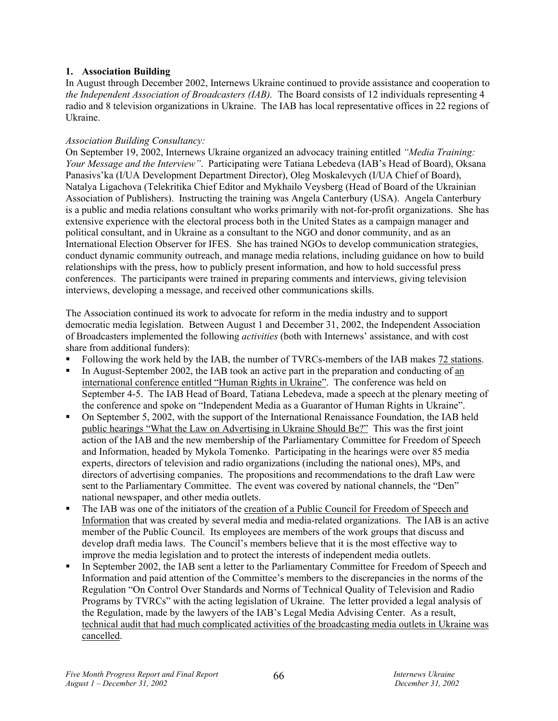## **1. Association Building**

In August through December 2002, Internews Ukraine continued to provide assistance and cooperation to *the Independent Association of Broadcasters (IAB).* The Board consists of 12 individuals representing 4 radio and 8 television organizations in Ukraine. The IAB has local representative offices in 22 regions of Ukraine.

## *Association Building Consultancy:*

On September 19, 2002, Internews Ukraine organized an advocacy training entitled *"Media Training: Your Message and the Interview"*. Participating were Tatiana Lebedeva (IAB's Head of Board), Oksana Panasivs'ka (I/UA Development Department Director), Oleg Moskalevych (I/UA Chief of Board), Natalya Ligachova (Telekritika Chief Editor and Mykhailo Veysberg (Head of Board of the Ukrainian Association of Publishers). Instructing the training was Angela Canterbury (USA). Angela Canterbury is a public and media relations consultant who works primarily with not-for-profit organizations. She has extensive experience with the electoral process both in the United States as a campaign manager and political consultant, and in Ukraine as a consultant to the NGO and donor community, and as an International Election Observer for IFES. She has trained NGOs to develop communication strategies, conduct dynamic community outreach, and manage media relations, including guidance on how to build relationships with the press, how to publicly present information, and how to hold successful press conferences. The participants were trained in preparing comments and interviews, giving television interviews, developing a message, and received other communications skills.

The Association continued its work to advocate for reform in the media industry and to support democratic media legislation. Between August 1 and December 31, 2002, the Independent Association of Broadcasters implemented the following *activities* (both with Internews' assistance, and with cost share from additional funders):

- Following the work held by the IAB, the number of TVRCs-members of the IAB makes 72 stations.
- In August-September 2002, the IAB took an active part in the preparation and conducting of an international conference entitled "Human Rights in Ukraine". The conference was held on September 4-5. The IAB Head of Board, Tatiana Lebedeva, made a speech at the plenary meeting of the conference and spoke on "Independent Media as a Guarantor of Human Rights in Ukraine".
- On September 5, 2002, with the support of the International Renaissance Foundation, the IAB held public hearings "What the Law on Advertising in Ukraine Should Be?" This was the first joint action of the IAB and the new membership of the Parliamentary Committee for Freedom of Speech and Information, headed by Mykola Tomenko. Participating in the hearings were over 85 media experts, directors of television and radio organizations (including the national ones), MPs, and directors of advertising companies. The propositions and recommendations to the draft Law were sent to the Parliamentary Committee. The event was covered by national channels, the "Den" national newspaper, and other media outlets.
- The IAB was one of the initiators of the creation of a Public Council for Freedom of Speech and Information that was created by several media and media-related organizations. The IAB is an active member of the Public Council. Its employees are members of the work groups that discuss and develop draft media laws. The Council's members believe that it is the most effective way to improve the media legislation and to protect the interests of independent media outlets.
- In September 2002, the IAB sent a letter to the Parliamentary Committee for Freedom of Speech and Information and paid attention of the Committee's members to the discrepancies in the norms of the Regulation "On Control Over Standards and Norms of Technical Quality of Television and Radio Programs by TVRCs" with the acting legislation of Ukraine. The letter provided a legal analysis of the Regulation, made by the lawyers of the IAB's Legal Media Advising Center. As a result, technical audit that had much complicated activities of the broadcasting media outlets in Ukraine was cancelled.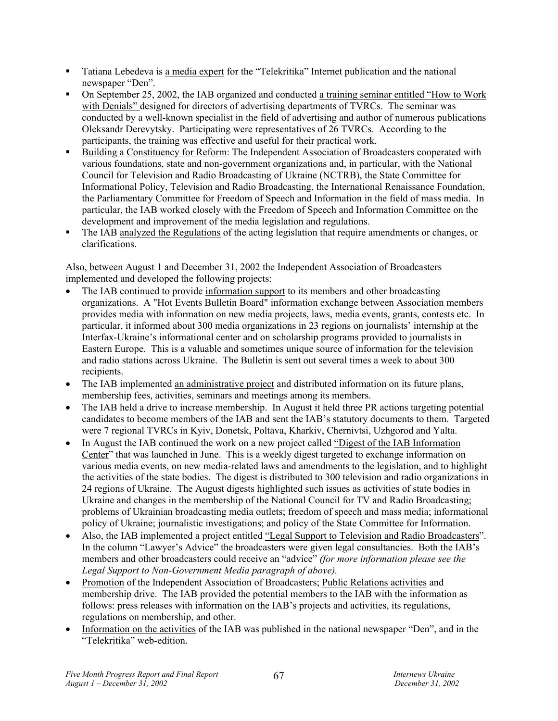- Tatiana Lebedeva is a media expert for the "Telekritika" Internet publication and the national newspaper "Den".
- On September 25, 2002, the IAB organized and conducted a training seminar entitled "How to Work with Denials" designed for directors of advertising departments of TVRCs. The seminar was conducted by a well-known specialist in the field of advertising and author of numerous publications Oleksandr Derevytsky. Participating were representatives of 26 TVRCs. According to the participants, the training was effective and useful for their practical work.
- Building a Constituency for Reform: The Independent Association of Broadcasters cooperated with various foundations, state and non-government organizations and, in particular, with the National Council for Television and Radio Broadcasting of Ukraine (NCTRB), the State Committee for Informational Policy, Television and Radio Broadcasting, the International Renaissance Foundation, the Parliamentary Committee for Freedom of Speech and Information in the field of mass media. In particular, the IAB worked closely with the Freedom of Speech and Information Committee on the development and improvement of the media legislation and regulations.
- The IAB analyzed the Regulations of the acting legislation that require amendments or changes, or clarifications.

Also, between August 1 and December 31, 2002 the Independent Association of Broadcasters implemented and developed the following projects:

- The IAB continued to provide information support to its members and other broadcasting organizations. A "Hot Events Bulletin Board" information exchange between Association members provides media with information on new media projects, laws, media events, grants, contests etc. In particular, it informed about 300 media organizations in 23 regions on journalists' internship at the Interfax-Ukraine's informational center and on scholarship programs provided to journalists in Eastern Europe. This is a valuable and sometimes unique source of information for the television and radio stations across Ukraine. The Bulletin is sent out several times a week to about 300 recipients.
- The IAB implemented an administrative project and distributed information on its future plans, membership fees, activities, seminars and meetings among its members.
- The IAB held a drive to increase membership. In August it held three PR actions targeting potential candidates to become members of the IAB and sent the IAB's statutory documents to them. Targeted were 7 regional TVRCs in Kyiv, Donetsk, Poltava, Kharkiv, Chernivtsi, Uzhgorod and Yalta.
- In August the IAB continued the work on a new project called "Digest of the IAB Information Center" that was launched in June. This is a weekly digest targeted to exchange information on various media events, on new media-related laws and amendments to the legislation, and to highlight the activities of the state bodies. The digest is distributed to 300 television and radio organizations in 24 regions of Ukraine. The August digests highlighted such issues as activities of state bodies in Ukraine and changes in the membership of the National Council for TV and Radio Broadcasting; problems of Ukrainian broadcasting media outlets; freedom of speech and mass media; informational policy of Ukraine; journalistic investigations; and policy of the State Committee for Information.
- Also, the IAB implemented a project entitled "Legal Support to Television and Radio Broadcasters". In the column "Lawyer's Advice" the broadcasters were given legal consultancies. Both the IAB's members and other broadcasters could receive an "advice" *(for more information please see the Legal Support to Non-Government Media paragraph of above).*
- Promotion of the Independent Association of Broadcasters; Public Relations activities and membership drive. The IAB provided the potential members to the IAB with the information as follows: press releases with information on the IAB's projects and activities, its regulations, regulations on membership, and other.
- Information on the activities of the IAB was published in the national newspaper "Den", and in the "Telekritika" web-edition.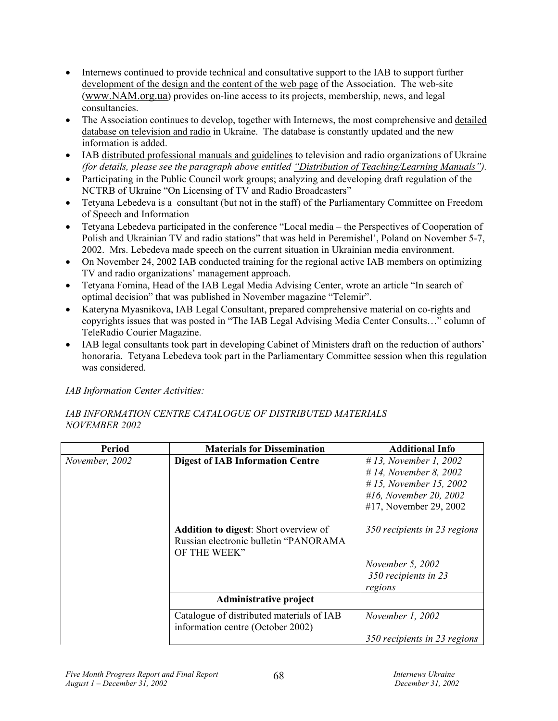- Internews continued to provide technical and consultative support to the IAB to support further development of the design and the content of the web page of the Association. The web-site (www.NAM.org.ua) provides on-line access to its projects, membership, news, and legal consultancies.
- The Association continues to develop, together with Internews, the most comprehensive and detailed database on television and radio in Ukraine. The database is constantly updated and the new information is added.
- IAB distributed professional manuals and guidelines to television and radio organizations of Ukraine *(for details, please see the paragraph above entitled "Distribution of Teaching/Learning Manuals").*
- Participating in the Public Council work groups; analyzing and developing draft regulation of the NCTRB of Ukraine "On Licensing of TV and Radio Broadcasters"
- Tetyana Lebedeva is a consultant (but not in the staff) of the Parliamentary Committee on Freedom of Speech and Information
- Tetyana Lebedeva participated in the conference "Local media the Perspectives of Cooperation of Polish and Ukrainian TV and radio stations" that was held in Peremishel', Poland on November 5-7, 2002. Mrs. Lebedeva made speech on the current situation in Ukrainian media environment.
- On November 24, 2002 IAB conducted training for the regional active IAB members on optimizing TV and radio organizations' management approach.
- Tetyana Fomina, Head of the IAB Legal Media Advising Center, wrote an article "In search of optimal decision" that was published in November magazine "Telemir".
- Kateryna Myasnikova, IAB Legal Consultant, prepared comprehensive material on co-rights and copyrights issues that was posted in "The IAB Legal Advising Media Center Consults…" column of TeleRadio Courier Magazine.
- IAB legal consultants took part in developing Cabinet of Ministers draft on the reduction of authors' honoraria. Tetyana Lebedeva took part in the Parliamentary Committee session when this regulation was considered.

*IAB Information Center Activities:* 

## *IAB INFORMATION CENTRE CATALOGUE OF DISTRIBUTED MATERIALS NOVEMBER 2002*

| <b>Period</b>  | <b>Materials for Dissemination</b>                                                                    | <b>Additional Info</b>       |
|----------------|-------------------------------------------------------------------------------------------------------|------------------------------|
| November, 2002 | <b>Digest of IAB Information Centre</b>                                                               | #13, November 1, 2002        |
|                |                                                                                                       | # 14, November 8, 2002       |
|                |                                                                                                       | #15, November 15, 2002       |
|                |                                                                                                       | #16, November 20, 2002       |
|                |                                                                                                       | #17, November 29, 2002       |
|                | <b>Addition to digest:</b> Short overview of<br>Russian electronic bulletin "PANORAMA<br>OF THE WEEK" | 350 recipients in 23 regions |
|                |                                                                                                       | November 5, 2002             |
|                |                                                                                                       | 350 recipients in 23         |
|                |                                                                                                       | regions                      |
|                | Administrative project                                                                                |                              |
|                | Catalogue of distributed materials of IAB<br>information centre (October 2002)                        | November 1, 2002             |
|                |                                                                                                       | 350 recipients in 23 regions |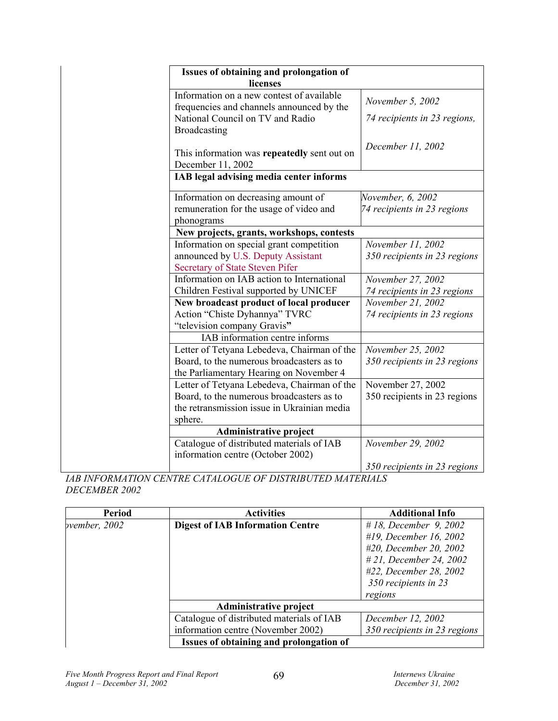| Issues of obtaining and prolongation of |                                                                                        |                              |  |  |  |
|-----------------------------------------|----------------------------------------------------------------------------------------|------------------------------|--|--|--|
|                                         | licenses                                                                               |                              |  |  |  |
|                                         | Information on a new contest of available<br>frequencies and channels announced by the | November 5, 2002             |  |  |  |
|                                         | National Council on TV and Radio<br>Broadcasting                                       | 74 recipients in 23 regions, |  |  |  |
|                                         |                                                                                        |                              |  |  |  |
|                                         | This information was repeatedly sent out on                                            | December 11, 2002            |  |  |  |
|                                         | December 11, 2002                                                                      |                              |  |  |  |
|                                         | IAB legal advising media center informs                                                |                              |  |  |  |
|                                         |                                                                                        |                              |  |  |  |
|                                         | Information on decreasing amount of                                                    | November, 6, 2002            |  |  |  |
|                                         | remuneration for the usage of video and                                                | 74 recipients in 23 regions  |  |  |  |
|                                         | phonograms                                                                             |                              |  |  |  |
|                                         | New projects, grants, workshops, contests                                              |                              |  |  |  |
|                                         | Information on special grant competition                                               | November 11, 2002            |  |  |  |
|                                         | announced by U.S. Deputy Assistant                                                     | 350 recipients in 23 regions |  |  |  |
|                                         | Secretary of State Steven Pifer                                                        |                              |  |  |  |
|                                         | Information on IAB action to International                                             | November 27, 2002            |  |  |  |
|                                         | Children Festival supported by UNICEF                                                  | 74 recipients in 23 regions  |  |  |  |
|                                         | New broadcast product of local producer                                                | November 21, 2002            |  |  |  |
|                                         | Action "Chiste Dyhannya" TVRC                                                          | 74 recipients in 23 regions  |  |  |  |
|                                         | "television company Gravis"                                                            |                              |  |  |  |
|                                         | IAB information centre informs                                                         |                              |  |  |  |
|                                         | Letter of Tetyana Lebedeva, Chairman of the                                            | November 25, 2002            |  |  |  |
|                                         | Board, to the numerous broadcasters as to                                              | 350 recipients in 23 regions |  |  |  |
|                                         | the Parliamentary Hearing on November 4                                                |                              |  |  |  |
|                                         | Letter of Tetyana Lebedeva, Chairman of the                                            | November 27, 2002            |  |  |  |
|                                         | Board, to the numerous broadcasters as to                                              | 350 recipients in 23 regions |  |  |  |
|                                         | the retransmission issue in Ukrainian media                                            |                              |  |  |  |
|                                         | sphere.                                                                                |                              |  |  |  |
|                                         | <b>Administrative project</b>                                                          |                              |  |  |  |
|                                         | Catalogue of distributed materials of IAB                                              | November 29, 2002            |  |  |  |
|                                         | information centre (October 2002)                                                      |                              |  |  |  |
|                                         |                                                                                        | 350 recipients in 23 regions |  |  |  |

*IAB INFORMATION CENTRE CATALOGUE OF DISTRIBUTED MATERIALS DECEMBER 2002* 

| Period        | <b>Activities</b>                         | <b>Additional Info</b>       |
|---------------|-------------------------------------------|------------------------------|
| pvember, 2002 | <b>Digest of IAB Information Centre</b>   | # 18, December 9, 2002       |
|               |                                           | #19, December 16, 2002       |
|               |                                           | #20, December 20, 2002       |
|               |                                           | #21, December 24, 2002       |
|               |                                           | #22, December 28, 2002       |
|               |                                           | 350 recipients in 23         |
|               |                                           | regions                      |
|               | <b>Administrative project</b>             |                              |
|               | Catalogue of distributed materials of IAB | December 12, 2002            |
|               | information centre (November 2002)        | 350 recipients in 23 regions |
|               | Issues of obtaining and prolongation of   |                              |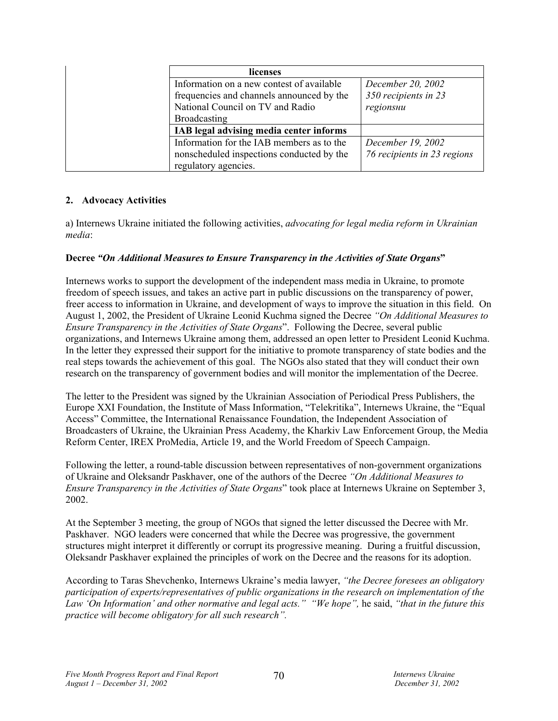| licenses                                  |                             |
|-------------------------------------------|-----------------------------|
| Information on a new contest of available | December 20, 2002           |
| frequencies and channels announced by the | 350 recipients in 23        |
| National Council on TV and Radio          | regionshu                   |
| Broadcasting                              |                             |
| IAB legal advising media center informs   |                             |
| Information for the IAB members as to the | December 19, 2002           |
| nonscheduled inspections conducted by the | 76 recipients in 23 regions |
| regulatory agencies.                      |                             |

## **2. Advocacy Activities**

a) Internews Ukraine initiated the following activities, *advocating for legal media reform in Ukrainian media*:

## **Decree** *"On Additional Measures to Ensure Transparency in the Activities of State Organs***"**

Internews works to support the development of the independent mass media in Ukraine, to promote freedom of speech issues, and takes an active part in public discussions on the transparency of power, freer access to information in Ukraine, and development of ways to improve the situation in this field. On August 1, 2002, the President of Ukraine Leonid Kuchma signed the Decree *"On Additional Measures to Ensure Transparency in the Activities of State Organs*". Following the Decree, several public organizations, and Internews Ukraine among them, addressed an open letter to President Leonid Kuchma. In the letter they expressed their support for the initiative to promote transparency of state bodies and the real steps towards the achievement of this goal. The NGOs also stated that they will conduct their own research on the transparency of government bodies and will monitor the implementation of the Decree.

The letter to the President was signed by the Ukrainian Association of Periodical Press Publishers, the Europe XXI Foundation, the Institute of Mass Information, "Telekritika", Internews Ukraine, the "Equal Access" Committee, the International Renaissance Foundation, the Independent Association of Broadcasters of Ukraine, the Ukrainian Press Academy, the Kharkiv Law Enforcement Group, the Media Reform Center, IREX ProMedia, Article 19, and the World Freedom of Speech Campaign.

Following the letter, a round-table discussion between representatives of non-government organizations of Ukraine and Oleksandr Paskhaver, one of the authors of the Decree *"On Additional Measures to Ensure Transparency in the Activities of State Organs*" took place at Internews Ukraine on September 3, 2002.

At the September 3 meeting, the group of NGOs that signed the letter discussed the Decree with Mr. Paskhaver. NGO leaders were concerned that while the Decree was progressive, the government structures might interpret it differently or corrupt its progressive meaning. During a fruitful discussion, Oleksandr Paskhaver explained the principles of work on the Decree and the reasons for its adoption.

According to Taras Shevchenko, Internews Ukraine's media lawyer, *"the Decree foresees an obligatory participation of experts/representatives of public organizations in the research on implementation of the Law 'On Information' and other normative and legal acts." "We hope",* he said, *"that in the future this practice will become obligatory for all such research".*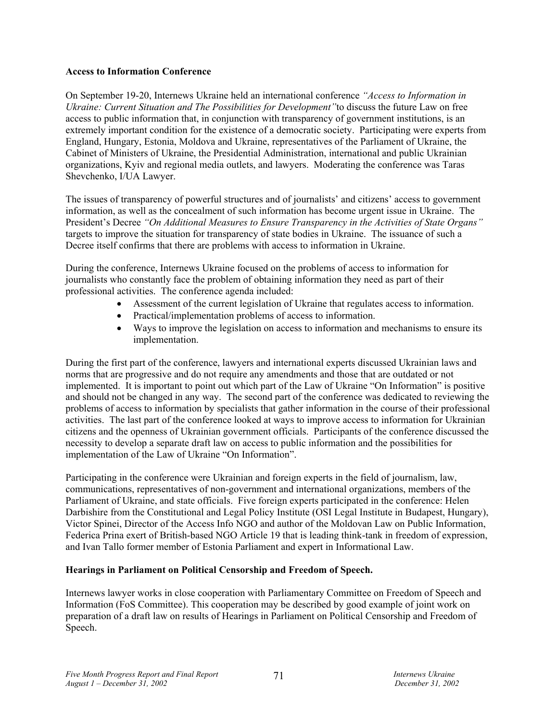#### **Access to Information Conference**

On September 19-20, Internews Ukraine held an international conference *"Access to Information in Ukraine: Current Situation and The Possibilities for Development"*to discuss the future Law on free access to public information that, in conjunction with transparency of government institutions, is an extremely important condition for the existence of a democratic society. Participating were experts from England, Hungary, Estonia, Moldova and Ukraine, representatives of the Parliament of Ukraine, the Cabinet of Ministers of Ukraine, the Presidential Administration, international and public Ukrainian organizations, Kyiv and regional media outlets, and lawyers. Moderating the conference was Taras Shevchenko, I/UA Lawyer.

The issues of transparency of powerful structures and of journalists' and citizens' access to government information, as well as the concealment of such information has become urgent issue in Ukraine. The President's Decree *"On Additional Measures to Ensure Transparency in the Activities of State Organs"* targets to improve the situation for transparency of state bodies in Ukraine. The issuance of such a Decree itself confirms that there are problems with access to information in Ukraine.

During the conference, Internews Ukraine focused on the problems of access to information for journalists who constantly face the problem of obtaining information they need as part of their professional activities. The conference agenda included:

- Assessment of the current legislation of Ukraine that regulates access to information.
- Practical/implementation problems of access to information.
- Ways to improve the legislation on access to information and mechanisms to ensure its implementation.

During the first part of the conference, lawyers and international experts discussed Ukrainian laws and norms that are progressive and do not require any amendments and those that are outdated or not implemented. It is important to point out which part of the Law of Ukraine "On Information" is positive and should not be changed in any way. The second part of the conference was dedicated to reviewing the problems of access to information by specialists that gather information in the course of their professional activities. The last part of the conference looked at ways to improve access to information for Ukrainian citizens and the openness of Ukrainian government officials. Participants of the conference discussed the necessity to develop a separate draft law on access to public information and the possibilities for implementation of the Law of Ukraine "On Information".

Participating in the conference were Ukrainian and foreign experts in the field of journalism, law, communications, representatives of non-government and international organizations, members of the Parliament of Ukraine, and state officials. Five foreign experts participated in the conference: Helen Darbishire from the Constitutional and Legal Policy Institute (OSI Legal Institute in Budapest, Hungary), Victor Spinei, Director of the Access Info NGO and author of the Moldovan Law on Public Information, Federica Prina exert of British-based NGO Article 19 that is leading think-tank in freedom of expression, and Ivan Tallo former member of Estonia Parliament and expert in Informational Law.

## **Hearings in Parliament on Political Censorship and Freedom of Speech.**

Internews lawyer works in close cooperation with Parliamentary Committee on Freedom of Speech and Information (FoS Committee). This cooperation may be described by good example of joint work on preparation of a draft law on results of Hearings in Parliament on Political Censorship and Freedom of Speech.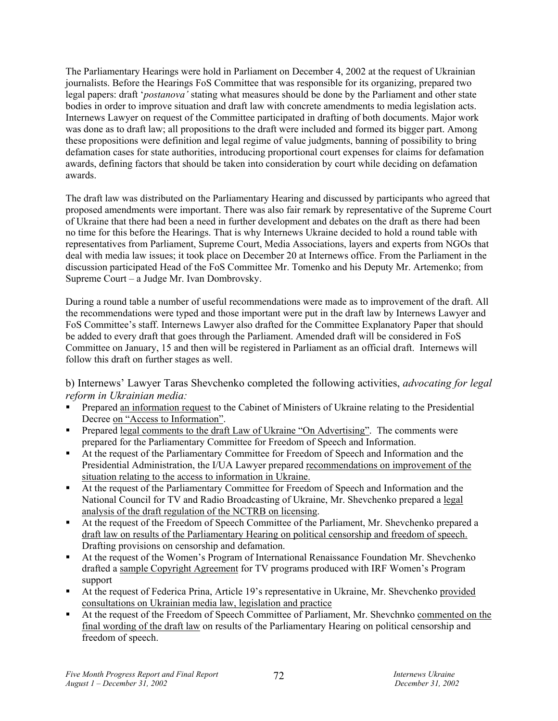The Parliamentary Hearings were hold in Parliament on December 4, 2002 at the request of Ukrainian journalists. Before the Hearings FoS Committee that was responsible for its organizing, prepared two legal papers: draft '*postanova'* stating what measures should be done by the Parliament and other state bodies in order to improve situation and draft law with concrete amendments to media legislation acts. Internews Lawyer on request of the Committee participated in drafting of both documents. Major work was done as to draft law; all propositions to the draft were included and formed its bigger part. Among these propositions were definition and legal regime of value judgments, banning of possibility to bring defamation cases for state authorities, introducing proportional court expenses for claims for defamation awards, defining factors that should be taken into consideration by court while deciding on defamation awards.

The draft law was distributed on the Parliamentary Hearing and discussed by participants who agreed that proposed amendments were important. There was also fair remark by representative of the Supreme Court of Ukraine that there had been a need in further development and debates on the draft as there had been no time for this before the Hearings. That is why Internews Ukraine decided to hold a round table with representatives from Parliament, Supreme Court, Media Associations, layers and experts from NGOs that deal with media law issues; it took place on December 20 at Internews office. From the Parliament in the discussion participated Head of the FoS Committee Mr. Tomenko and his Deputy Mr. Artemenko; from Supreme Court – a Judge Mr. Ivan Dombrovsky.

During a round table a number of useful recommendations were made as to improvement of the draft. All the recommendations were typed and those important were put in the draft law by Internews Lawyer and FoS Committee's staff. Internews Lawyer also drafted for the Committee Explanatory Paper that should be added to every draft that goes through the Parliament. Amended draft will be considered in FoS Committee on January, 15 and then will be registered in Parliament as an official draft. Internews will follow this draft on further stages as well.

b) Internews' Lawyer Taras Shevchenko completed the following activities, *advocating for legal reform in Ukrainian media:* 

- Prepared an information request to the Cabinet of Ministers of Ukraine relating to the Presidential Decree on "Access to Information".
- Prepared legal comments to the draft Law of Ukraine "On Advertising". The comments were prepared for the Parliamentary Committee for Freedom of Speech and Information.
- At the request of the Parliamentary Committee for Freedom of Speech and Information and the Presidential Administration, the I/UA Lawyer prepared recommendations on improvement of the situation relating to the access to information in Ukraine.
- At the request of the Parliamentary Committee for Freedom of Speech and Information and the National Council for TV and Radio Broadcasting of Ukraine, Mr. Shevchenko prepared a legal analysis of the draft regulation of the NCTRB on licensing.
- At the request of the Freedom of Speech Committee of the Parliament, Mr. Shevchenko prepared a draft law on results of the Parliamentary Hearing on political censorship and freedom of speech. Drafting provisions on censorship and defamation.
- At the request of the Women's Program of International Renaissance Foundation Mr. Shevchenko drafted a sample Copyright Agreement for TV programs produced with IRF Women's Program support
- At the request of Federica Prina, Article 19's representative in Ukraine, Mr. Shevchenko provided consultations on Ukrainian media law, legislation and practice
- At the request of the Freedom of Speech Committee of Parliament, Mr. Shevchnko commented on the final wording of the draft law on results of the Parliamentary Hearing on political censorship and freedom of speech.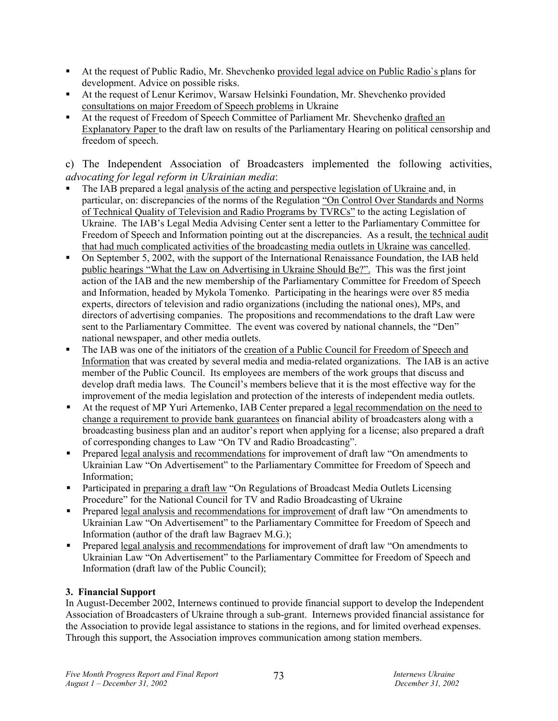- At the request of Public Radio, Mr. Shevchenko provided legal advice on Public Radio's plans for development. Advice on possible risks.
- At the request of Lenur Kerimov, Warsaw Helsinki Foundation, Mr. Shevchenko provided consultations on major Freedom of Speech problems in Ukraine
- At the request of Freedom of Speech Committee of Parliament Mr. Shevchenko drafted an Explanatory Paper to the draft law on results of the Parliamentary Hearing on political censorship and freedom of speech.

c) The Independent Association of Broadcasters implemented the following activities, *advocating for legal reform in Ukrainian media*:

- The IAB prepared a legal analysis of the acting and perspective legislation of Ukraine and, in particular, on: discrepancies of the norms of the Regulation "On Control Over Standards and Norms of Technical Quality of Television and Radio Programs by TVRCs" to the acting Legislation of Ukraine. The IAB's Legal Media Advising Center sent a letter to the Parliamentary Committee for Freedom of Speech and Information pointing out at the discrepancies. As a result, the technical audit that had much complicated activities of the broadcasting media outlets in Ukraine was cancelled.
- On September 5, 2002, with the support of the International Renaissance Foundation, the IAB held public hearings "What the Law on Advertising in Ukraine Should Be?". This was the first joint action of the IAB and the new membership of the Parliamentary Committee for Freedom of Speech and Information, headed by Mykola Tomenko. Participating in the hearings were over 85 media experts, directors of television and radio organizations (including the national ones), MPs, and directors of advertising companies. The propositions and recommendations to the draft Law were sent to the Parliamentary Committee. The event was covered by national channels, the "Den" national newspaper, and other media outlets.
- The IAB was one of the initiators of the creation of a Public Council for Freedom of Speech and Information that was created by several media and media-related organizations. The IAB is an active member of the Public Council. Its employees are members of the work groups that discuss and develop draft media laws. The Council's members believe that it is the most effective way for the improvement of the media legislation and protection of the interests of independent media outlets.
- At the request of MP Yuri Artemenko, IAB Center prepared a legal recommendation on the need to change a requirement to provide bank guarantees on financial ability of broadcasters along with a broadcasting business plan and an auditor's report when applying for a license; also prepared a draft of corresponding changes to Law "On TV and Radio Broadcasting".
- Prepared legal analysis and recommendations for improvement of draft law "On amendments to Ukrainian Law "On Advertisement" to the Parliamentary Committee for Freedom of Speech and Information;
- Participated in preparing a draft law "On Regulations of Broadcast Media Outlets Licensing Procedure" for the National Council for TV and Radio Broadcasting of Ukraine
- Prepared legal analysis and recommendations for improvement of draft law "On amendments to Ukrainian Law "On Advertisement" to the Parliamentary Committee for Freedom of Speech and Information (author of the draft law Bagraev M.G.);
- Prepared legal analysis and recommendations for improvement of draft law "On amendments to Ukrainian Law "On Advertisement" to the Parliamentary Committee for Freedom of Speech and Information (draft law of the Public Council);

# **3. Financial Support**

In August-December 2002, Internews continued to provide financial support to develop the Independent Association of Broadcasters of Ukraine through a sub-grant. Internews provided financial assistance for the Association to provide legal assistance to stations in the regions, and for limited overhead expenses. Through this support, the Association improves communication among station members.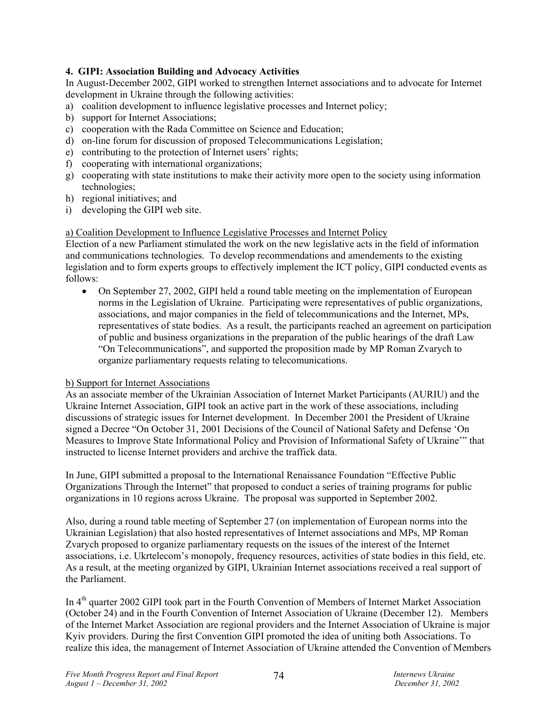# **4. GIPI: Association Building and Advocacy Activities**

In August-December 2002, GIPI worked to strengthen Internet associations and to advocate for Internet development in Ukraine through the following activities:

- a) coalition development to influence legislative processes and Internet policy;
- b) support for Internet Associations;
- c) cooperation with the Rada Committee on Science and Education;
- d) on-line forum for discussion of proposed Telecommunications Legislation;
- e) contributing to the protection of Internet users' rights;
- f) cooperating with international organizations;
- g) cooperating with state institutions to make their activity more open to the society using information technologies;
- h) regional initiatives; and
- i) developing the GIPI web site.

#### a) Coalition Development to Influence Legislative Processes and Internet Policy

Election of a new Parliament stimulated the work on the new legislative acts in the field of information and communications technologies. To develop recommendations and amendements to the existing legislation and to form experts groups to effectively implement the ICT policy, GIPI conducted events as follows:

• On September 27, 2002, GIPI held a round table meeting on the implementation of European norms in the Legislation of Ukraine. Participating were representatives of public organizations, associations, and major companies in the field of telecommunications and the Internet, MPs, representatives of state bodies. As a result, the participants reached an agreement on participation of public and business organizations in the preparation of the public hearings of the draft Law "On Telecommunications", and supported the proposition made by MP Roman Zvarych to organize parliamentary requests relating to telecomunications.

#### b) Support for Internet Associations

As an associate member of the Ukrainian Association of Internet Market Participants (AURIU) and the Ukraine Internet Association, GIPI took an active part in the work of these associations, including discussions of strategic issues for Internet development. In December 2001 the President of Ukraine signed a Decree "On October 31, 2001 Decisions of the Council of National Safety and Defense 'On Measures to Improve State Informational Policy and Provision of Informational Safety of Ukraine'" that instructed to license Internet providers and archive the traffick data.

In June, GIPI submitted a proposal to the International Renaissance Foundation "Effective Public Organizations Through the Internet" that proposed to conduct a series of training programs for public organizations in 10 regions across Ukraine. The proposal was supported in September 2002.

Also, during a round table meeting of September 27 (on implementation of European norms into the Ukrainian Legislation) that also hosted representatives of Internet associations and MPs, MP Roman Zvarych proposed to organize parliamentary requests on the issues of the interest of the Internet associations, i.e. Ukrtelecom's monopoly, frequency resources, activities of state bodies in this field, etc. As a result, at the meeting organized by GIPI, Ukrainian Internet associations received a real support of the Parliament.

In 4<sup>th</sup> quarter 2002 GIPI took part in the Fourth Convention of Members of Internet Market Association (October 24) and in the Fourth Convention of Internet Association of Ukraine (December 12). Members of the Internet Market Association are regional providers and the Internet Association of Ukraine is major Kyiv providers. During the first Convention GIPI promoted the idea of uniting both Associations. To realize this idea, the management of Internet Association of Ukraine attended the Convention of Members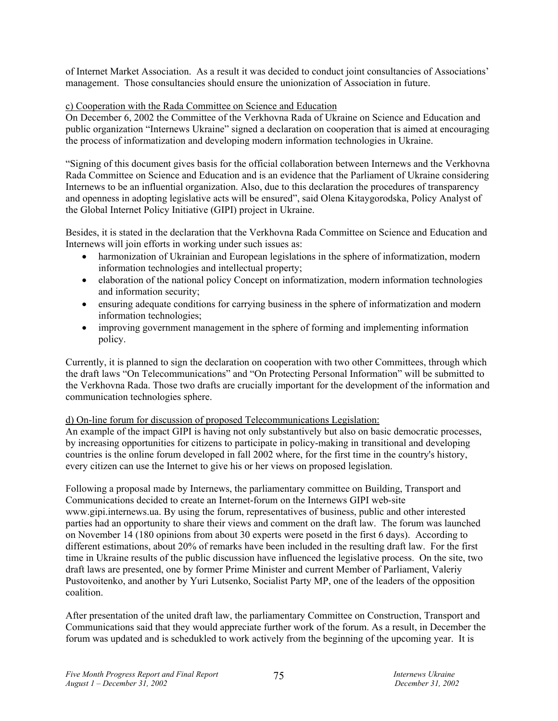of Internet Market Association. As a result it was decided to conduct joint consultancies of Associations' management. Those consultancies should ensure the unionization of Association in future.

#### c) Cooperation with the Rada Committee on Science and Education

On December 6, 2002 the Committee of the Verkhovna Rada of Ukraine on Science and Education and public organization "Internews Ukraine" signed a declaration on cooperation that is aimed at encouraging the process of informatization and developing modern information technologies in Ukraine.

"Signing of this document gives basis for the official collaboration between Internews and the Verkhovna Rada Committee on Science and Education and is an evidence that the Parliament of Ukraine considering Internews to be an influential organization. Also, due to this declaration the procedures of transparency and openness in adopting legislative acts will be ensured", said Olena Kitaygorodska, Policy Analyst of the Global Internet Policy Initiative (GIPI) project in Ukraine.

Besides, it is stated in the declaration that the Verkhovna Rada Committee on Science and Education and Internews will join efforts in working under such issues as:

- harmonization of Ukrainian and European legislations in the sphere of informatization, modern information technologies and intellectual property;
- elaboration of the national policy Concept on informatization, modern information technologies and information security;
- ensuring adequate conditions for carrying business in the sphere of informatization and modern information technologies;
- improving government management in the sphere of forming and implementing information policy.

Currently, it is planned to sign the declaration on cooperation with two other Committees, through which the draft laws "On Telecommunications" and "On Protecting Personal Information" will be submitted to the Verkhovna Rada. Those two drafts are crucially important for the development of the information and communication technologies sphere.

#### d) On-line forum for discussion of proposed Telecommunications Legislation:

An example of the impact GIPI is having not only substantively but also on basic democratic processes, by increasing opportunities for citizens to participate in policy-making in transitional and developing countries is the online forum developed in fall 2002 where, for the first time in the country's history, every citizen can use the Internet to give his or her views on proposed legislation.

Following a proposal made by Internews, the parliamentary committee on Building, Transport and Communications decided to create an Internet-forum on the Internews GIPI web-site www.gipi.internews.ua. By using the forum, representatives of business, public and other interested parties had an opportunity to share their views and comment on the draft law. The forum was launched on November 14 (180 opinions from about 30 experts were posetd in the first 6 days). According to different estimations, about 20% of remarks have been included in the resulting draft law. For the first time in Ukraine results of the public discussion have influenced the legislative process. On the site, two draft laws are presented, one by former Prime Minister and current Member of Parliament, Valeriy Pustovoitenko, and another by Yuri Lutsenko, Socialist Party MP, one of the leaders of the opposition coalition.

After presentation of the united draft law, the parliamentary Committee on Construction, Transport and Communications said that they would appreciate further work of the forum. As a result, in December the forum was updated and is schedukled to work actively from the beginning of the upcoming year. It is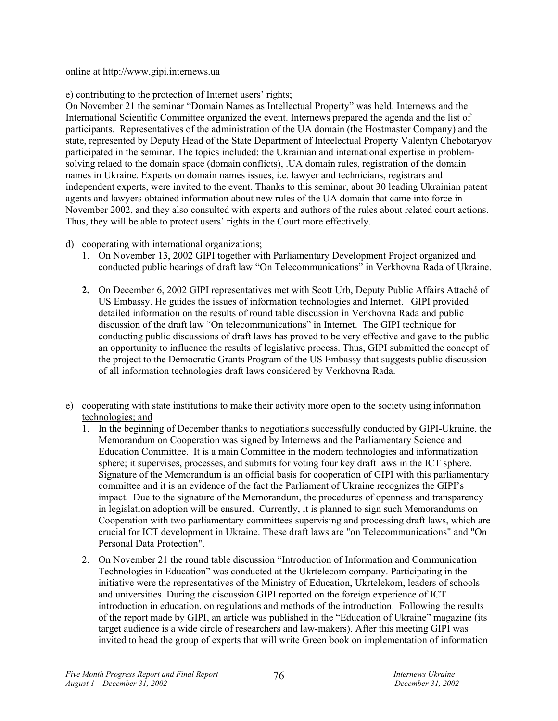online at http://www.gipi.internews.ua

# e) contributing to the protection of Internet users' rights;

On November 21 the seminar "Domain Names as Intellectual Property" was held. Internews and the International Scientific Committee organized the event. Internews prepared the agenda and the list of participants. Representatives of the administration of the UA domain (the Hostmaster Company) and the state, represented by Deputy Head of the State Department of Inteelectual Property Valentyn Chebotaryov participated in the seminar. The topics included: the Ukrainian and international expertise in problemsolving relaed to the domain space (domain conflicts), .UA domain rules, registration of the domain names in Ukraine. Experts on domain names issues, i.e. lawyer and technicians, registrars and independent experts, were invited to the event. Thanks to this seminar, about 30 leading Ukrainian patent agents and lawyers obtained information about new rules of the UA domain that came into force in November 2002, and they also consulted with experts and authors of the rules about related court actions. Thus, they will be able to protect users' rights in the Court more effectively.

- d) cooperating with international organizations;
	- 1. On November 13, 2002 GIPI together with Parliamentary Development Project organized and conducted public hearings of draft law "On Telecommunications" in Verkhovna Rada of Ukraine.
	- **2.** On December 6, 2002 GIPI representatives met with Scott Urb, Deputy Public Affairs Attaché of US Embassy. He guides the issues of information technologies and Internet. GIPI provided detailed information on the results of round table discussion in Verkhovna Rada and public discussion of the draft law "On telecommunications" in Internet. The GIPI technique for conducting public discussions of draft laws has proved to be very effective and gave to the public an opportunity to influence the results of legislative process. Thus, GIPI submitted the concept of the project to the Democratic Grants Program of the US Embassy that suggests public discussion of all information technologies draft laws considered by Verkhovna Rada.
- e) cooperating with state institutions to make their activity more open to the society using information technologies; and
	- 1. In the beginning of December thanks to negotiations successfully conducted by GIPI-Ukraine, the Memorandum on Cooperation was signed by Internews and the Parliamentary Science and Education Committee. It is a main Committee in the modern technologies and informatization sphere; it supervises, processes, and submits for voting four key draft laws in the ICT sphere. Signature of the Memorandum is an official basis for cooperation of GIPI with this parliamentary committee and it is an evidence of the fact the Parliament of Ukraine recognizes the GIPI's impact. Due to the signature of the Memorandum, the procedures of openness and transparency in legislation adoption will be ensured. Currently, it is planned to sign such Memorandums on Cooperation with two parliamentary committees supervising and processing draft laws, which are crucial for ICT development in Ukraine. These draft laws are "on Telecommunications" and "On Personal Data Protection".
	- 2. On November 21 the round table discussion "Introduction of Information and Communication Technologies in Education" was conducted at the Ukrtelecom company. Participating in the initiative were the representatives of the Ministry of Education, Ukrtelekom, leaders of schools and universities. During the discussion GIPI reported on the foreign experience of ICT introduction in education, on regulations and methods of the introduction. Following the results of the report made by GIPI, an article was published in the "Education of Ukraine" magazine (its target audience is a wide circle of researchers and law-makers). After this meeting GIPI was invited to head the group of experts that will write Green book on implementation of information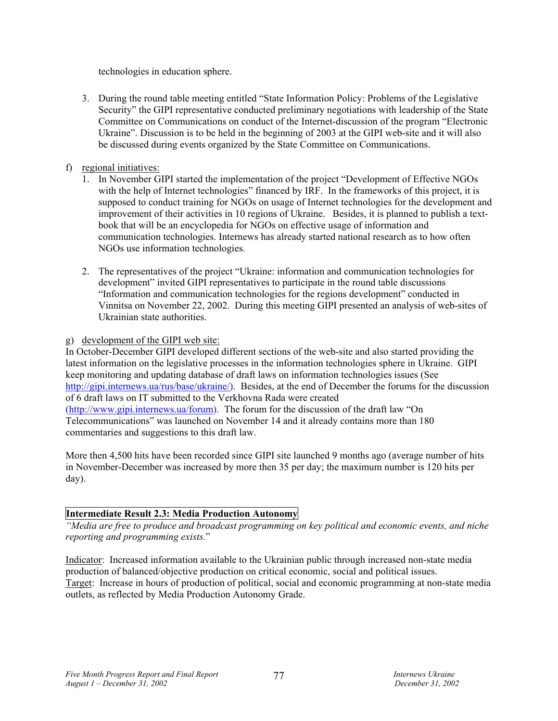technologies in education sphere.

3. During the round table meeting entitled "State Information Policy: Problems of the Legislative Security" the GIPI representative conducted preliminary negotiations with leadership of the State Committee on Communications on conduct of the Internet-discussion of the program "Electronic Ukraine". Discussion is to be held in the beginning of 2003 at the GIPI web-site and it will also be discussed during events organized by the State Committee on Communications.

# f) regional initiatives:

- 1. In November GIPI started the implementation of the project "Development of Effective NGOs with the help of Internet technologies" financed by IRF. In the frameworks of this project, it is supposed to conduct training for NGOs on usage of Internet technologies for the development and improvement of their activities in 10 regions of Ukraine. Besides, it is planned to publish a textbook that will be an encyclopedia for NGOs on effective usage of information and communication technologies. Internews has already started national research as to how often NGOs use information technologies.
- 2. The representatives of the project "Ukraine: information and communication technologies for development" invited GIPI representatives to participate in the round table discussions "Information and communication technologies for the regions development" conducted in Vinnitsa on November 22, 2002. During this meeting GIPI presented an analysis of web-sites of Ukrainian state authorities.

#### g) development of the GIPI web site:

In October-December GIPI developed different sections of the web-site and also started providing the latest information on the legislative processes in the information technologies sphere in Ukraine. GIPI keep monitoring and updating database of draft laws on information technologies issues (See http://gipi.internews.ua/rus/base/ukraine/). Besides, at the end of December the forums for the discussion of 6 draft laws on IT submitted to the Verkhovna Rada were created (http://www.gipi.internews.ua/forum). The forum for the discussion of the draft law "On Telecommunications" was launched on November 14 and it already contains more than 180 commentaries and suggestions to this draft law.

More then 4,500 hits have been recorded since GIPI site launched 9 months ago (average number of hits in November-December was increased by more then 35 per day; the maximum number is 120 hits per day).

# **Intermediate Result 2.3: Media Production Autonomy**

*"Media are free to produce and broadcast programming on key political and economic events, and niche reporting and programming exists.*"

Indicator: Increased information available to the Ukrainian public through increased non-state media production of balanced/objective production on critical economic, social and political issues. Target: Increase in hours of production of political, social and economic programming at non-state media outlets, as reflected by Media Production Autonomy Grade.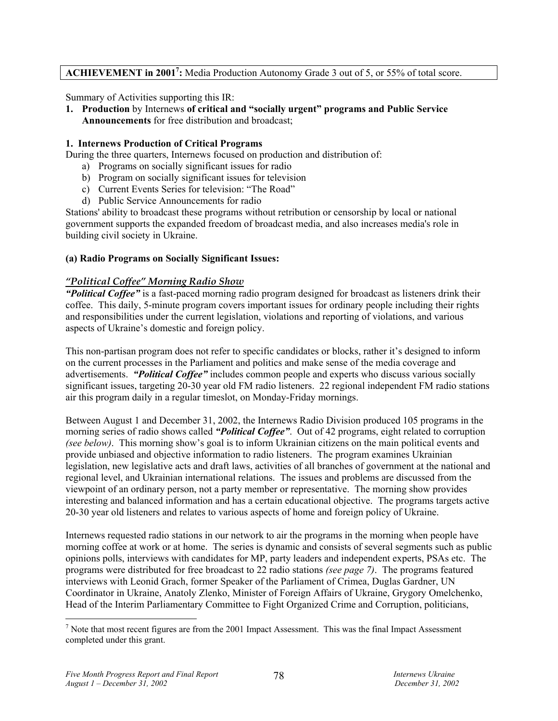# ACHIEVEMENT in 2001<sup>7</sup>: Media Production Autonomy Grade 3 out of 5, or 55% of total score.

Summary of Activities supporting this IR:

**1. Production** by Internews **of critical and "socially urgent" programs and Public Service Announcements** for free distribution and broadcast;

#### **1. Internews Production of Critical Programs**

During the three quarters, Internews focused on production and distribution of:

- a) Programs on socially significant issues for radio
- b) Program on socially significant issues for television
- c) Current Events Series for television: "The Road"
- d) Public Service Announcements for radio

Stations' ability to broadcast these programs without retribution or censorship by local or national government supports the expanded freedom of broadcast media, and also increases media's role in building civil society in Ukraine.

#### **(a) Radio Programs on Socially Significant Issues:**

#### *"Political Coffee" Morning Radio Show*

*"Political Coffee"* is a fast-paced morning radio program designed for broadcast as listeners drink their coffee. This daily, 5-minute program covers important issues for ordinary people including their rights and responsibilities under the current legislation, violations and reporting of violations, and various aspects of Ukraine's domestic and foreign policy.

This non-partisan program does not refer to specific candidates or blocks, rather it's designed to inform on the current processes in the Parliament and politics and make sense of the media coverage and advertisements. *"Political Coffee"* includes common people and experts who discuss various socially significant issues, targeting 20-30 year old FM radio listeners. 22 regional independent FM radio stations air this program daily in a regular timeslot, on Monday-Friday mornings.

Between August 1 and December 31, 2002, the Internews Radio Division produced 105 programs in the morning series of radio shows called *"Political Coffee"*. Out of 42 programs, eight related to corruption *(see below)*. This morning show's goal is to inform Ukrainian citizens on the main political events and provide unbiased and objective information to radio listeners. The program examines Ukrainian legislation, new legislative acts and draft laws, activities of all branches of government at the national and regional level, and Ukrainian international relations. The issues and problems are discussed from the viewpoint of an ordinary person, not a party member or representative. The morning show provides interesting and balanced information and has a certain educational objective. The programs targets active 20-30 year old listeners and relates to various aspects of home and foreign policy of Ukraine.

Internews requested radio stations in our network to air the programs in the morning when people have morning coffee at work or at home. The series is dynamic and consists of several segments such as public opinions polls, interviews with candidates for MP, party leaders and independent experts, PSAs etc. The programs were distributed for free broadcast to 22 radio stations *(see page 7)*. The programs featured interviews with Leonid Grach, former Speaker of the Parliament of Crimea, Duglas Gardner, UN Coordinator in Ukraine, Anatoly Zlenko, Minister of Foreign Affairs of Ukraine, Grygory Omelchenko, Head of the Interim Parliamentary Committee to Fight Organized Crime and Corruption, politicians,

 $\overline{a}$ 

 $<sup>7</sup>$  Note that most recent figures are from the 2001 Impact Assessment. This was the final Impact Assessment</sup> completed under this grant.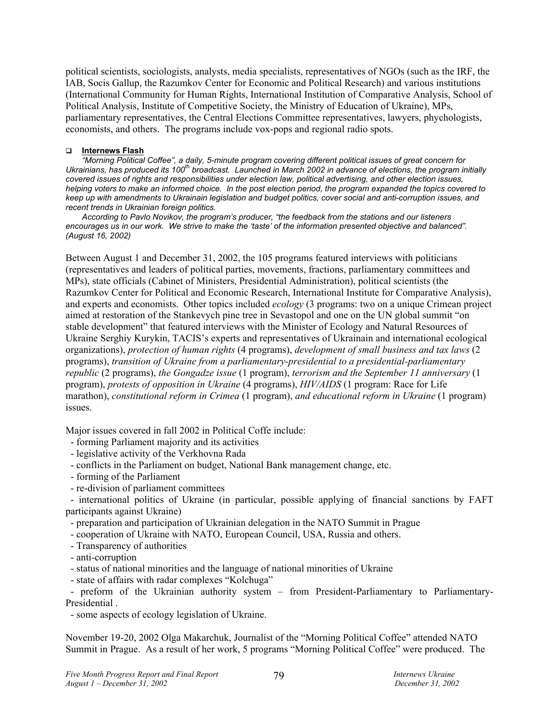political scientists, sociologists, analysts, media specialists, representatives of NGOs (such as the IRF, the IAB, Socis Gallup, the Razumkov Center for Economic and Political Research) and various institutions (International Community for Human Rights, International Institution of Comparative Analysis, School of Political Analysis, Institute of Competitive Society, the Ministry of Education of Ukraine), MPs, parliamentary representatives, the Central Elections Committee representatives, lawyers, phychologists, economists, and others. The programs include vox-pops and regional radio spots.

#### **Internews Flash**

*"Morning Political Coffee", a daily, 5-minute program covering different political issues of great concern for*  Ukrainians, has produced its 100<sup>th</sup> broadcast. Launched in March 2002 in advance of elections, the program initially *covered issues of rights and responsibilities under election law, political advertising, and other election issues, helping voters to make an informed choice. In the post election period, the program expanded the topics covered to keep up with amendments to Ukrainain legislation and budget politics, cover social and anti-corruption issues, and recent trends in Ukrainian foreign politics.* 

*According to Pavlo Novikov, the program's producer, "the feedback from the stations and our listeners encourages us in our work. We strive to make the 'taste' of the information presented objective and balanced". (August 16, 2002)* 

Between August 1 and December 31, 2002, the 105 programs featured interviews with politicians (representatives and leaders of political parties, movements, fractions, parliamentary committees and MPs), state officials (Cabinet of Ministers, Presidential Administration), political scientists (the Razumkov Center for Political and Economic Research, International Institute for Comparative Analysis), and experts and economists. Other topics included *ecology* (3 programs: two on a unique Crimean project aimed at restoration of the Stankevych pine tree in Sevastopol and one on the UN global summit "on stable development" that featured interviews with the Minister of Ecology and Natural Resources of Ukraine Serghiy Kurykin, TACIS's experts and representatives of Ukrainain and international ecological organizations), *protection of human rights* (4 programs), *development of small business and tax laws* (2 programs), *transition of Ukraine from a parliamentary-presidential to a presidential-parliamentary republic* (2 programs), *the Gongadze issue* (1 program), *terrorism and the September 11 anniversary* (1 program), *protests of opposition in Ukraine* (4 programs), *HIV/AIDS* (1 program: Race for Life marathon), *constitutional reform in Crimea* (1 program), *and educational reform in Ukraine* (1 program) issues.

Major issues covered in fall 2002 in Political Coffe include:

- forming Parliament majority and its activities
- legislative activity of the Verkhovna Rada
- conflicts in the Parliament on budget, National Bank management change, etc.
- forming of the Parliament
- re-division of parliament committees

 - international politics of Ukraine (in particular, possible applying of financial sanctions by FAFT participants against Ukraine)

- preparation and participation of Ukrainian delegation in the NATO Summit in Prague

- cooperation of Ukraine with NATO, European Council, USA, Russia and others.

- Transparency of authorities

- anti-corruption

- status of national minorities and the language of national minorities of Ukraine

- state of affairs with radar complexes "Kolchuga"

 - рreform of the Ukrainian authority system – from President-Parliamentary to Parliamentary-Presidential .

- some aspects of ecology legislation of Ukraine.

November 19-20, 2002 Olga Makarchuk, Journalist of the "Morning Political Coffee" attended NATO Summit in Prague. As a result of her work, 5 programs "Morning Political Coffee" were produced. The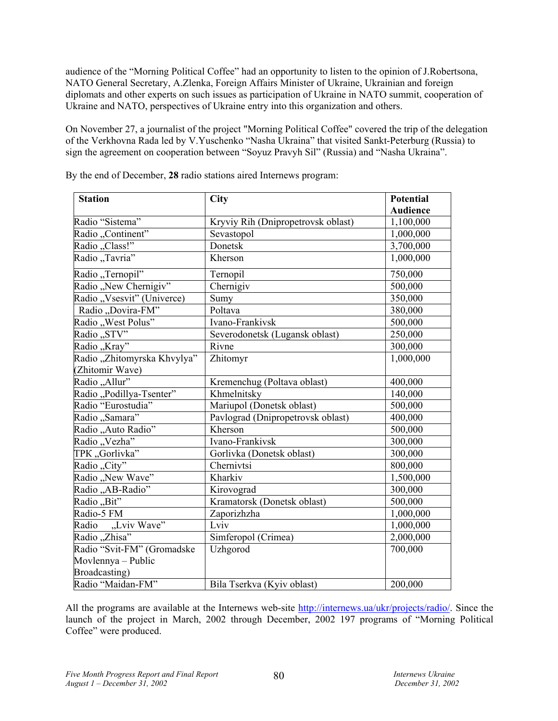audience of the "Morning Political Coffee" had an opportunity to listen to the opinion of J.Robertsona, NATO General Secretary, A.Zlenka, Foreign Affairs Minister of Ukraine, Ukrainian and foreign diplomats and other experts on such issues as participation of Ukraine in NATO summit, cooperation of Ukraine and NATO, perspectives of Ukraine entry into this organization and others.

On November 27, a journalist of the project "Morning Political Coffee" covered the trip of the delegation of the Verkhovna Rada led by V.Yuschenko "Nasha Ukraina" that visited Sankt-Peterburg (Russia) to sign the agreement on cooperation between "Soyuz Pravyh Sil" (Russia) and "Nasha Ukraina".

| <b>Station</b>              | <b>City</b>                        | <b>Potential</b> |
|-----------------------------|------------------------------------|------------------|
|                             |                                    | <b>Audience</b>  |
| Radio "Sistema"             | Kryviy Rih (Dnipropetrovsk oblast) | 1,100,000        |
| Radio "Continent"           | Sevastopol                         | 1,000,000        |
| Radio "Class!"              | Donetsk                            | 3,700,000        |
| Radio "Tavria"              | Kherson                            | 1,000,000        |
| Radio "Ternopil"            | Ternopil                           | 750,000          |
| Radio "New Chernigiv"       | Chernigiv                          | 500,000          |
| Radio "Vsesvit" (Univerce)  | Sumy                               | 350,000          |
| Radio "Dovira-FM"           | Poltava                            | 380,000          |
| Radio "West Polus"          | Ivano-Frankivsk                    | 500,000          |
| Radio "STV"                 | Severodonetsk (Lugansk oblast)     | 250,000          |
| Radio "Kray"                | Rivne                              | 300,000          |
| Radio "Zhitomyrska Khvylya" | Zhitomyr                           | 1,000,000        |
| (Zhitomir Wave)             |                                    |                  |
| Radio "Allur"               | Kremenchug (Poltava oblast)        | 400,000          |
| Radio "Podillya-Tsenter"    | Khmelnitsky                        | 140,000          |
| Radio "Eurostudia"          | Mariupol (Donetsk oblast)          | 500,000          |
| Radio "Samara"              | Pavlograd (Dnipropetrovsk oblast)  | 400,000          |
| Radio "Auto Radio"          | Kherson                            | 500,000          |
| Radio "Vezha"               | Ivano-Frankivsk                    | 300,000          |
| TPK "Gorlivka"              | Gorlivka (Donetsk oblast)          | 300,000          |
| Radio "City"                | Chernivtsi                         | 800,000          |
| Radio "New Wave"            | Kharkiv                            | 1,500,000        |
| Radio "AB-Radio"            | Kirovograd                         | 300,000          |
| Radio "Bit"                 | Kramatorsk (Donetsk oblast)        | 500,000          |
| Radio-5 FM                  | Zaporizhzha                        | 1,000,000        |
| Radio "Lviv Wave"           | Lviv                               | 1,000,000        |
| Radio "Zhisa"               | Simferopol (Crimea)                | 2,000,000        |
| Radio "Svit-FM" (Gromadske  | Uzhgorod                           | 700,000          |
| Movlennya - Public          |                                    |                  |
| Broadcasting)               |                                    |                  |
| Radio "Maidan-FM"           | Bila Tserkva (Kyiv oblast)         | 200,000          |

By the end of December, **28** radio stations aired Internews program:

All the programs are available at the Internews web-site http://internews.ua/ukr/projects/radio/. Since the launch of the project in March, 2002 through December, 2002 197 programs of "Morning Political Coffee" were produced.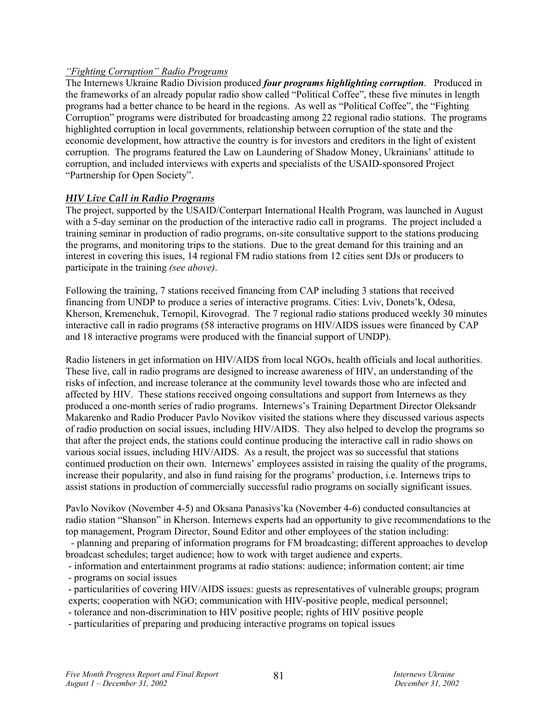#### *"Fighting Corruption" Radio Programs*

The Internews Ukraine Radio Division produced *four programs highlighting corruption*. Produced in the frameworks of an already popular radio show called "Political Coffee", these five minutes in length programs had a better chance to be heard in the regions. As well as "Political Coffee", the "Fighting Corruption" programs were distributed for broadcasting among 22 regional radio stations. The programs highlighted corruption in local governments, relationship between corruption of the state and the economic development, how attractive the country is for investors and creditors in the light of existent corruption. The programs featured the Law on Laundering of Shadow Money, Ukrainians' attitude to corruption, and included interviews with experts and specialists of the USAID-sponsored Project "Partnership for Open Society".

# *HIV Live Call in Radio Programs*

The project, supported by the USAID/Conterpart International Health Program, was launched in August with a 5-day seminar on the production of the interactive radio call in programs. The project included a training seminar in production of radio programs, on-site consultative support to the stations producing the programs, and monitoring trips to the stations. Due to the great demand for this training and an interest in covering this isues, 14 regional FM radio stations from 12 cities sent DJs or producers to participate in the training *(see above)*.

Following the training, 7 stations received financing from CAP including 3 stations that received financing from UNDP to produce a series of interactive programs. Cities: Lviv, Donets'k, Odesa, Kherson, Kremenchuk, Ternopil, Kirovograd. The 7 regional radio stations produced weekly 30 minutes interactive call in radio programs (58 interactive programs on HIV/AIDS issues were financed by CAP and 18 interactive programs were produced with the financial support of UNDP).

Radio listeners in get information on HIV/AIDS from local NGOs, health officials and local authorities. These live, call in radio programs are designed to increase awareness of HIV, an understanding of the risks of infection, and increase tolerance at the community level towards those who are infected and affected by HIV. These stations received ongoing consultations and support from Internews as they produced a one-month series of radio programs. Internews's Training Department Director Oleksandr Makarenko and Radio Producer Pavlo Novikov visited the stations where they discussed various aspects of radio production on social issues, including HIV/AIDS. They also helped to develop the programs so that after the project ends, the stations could continue producing the interactive call in radio shows on various social issues, including HIV/AIDS. As a result, the project was so successful that stations continued production on their own. Internews' employees assisted in raising the quality of the programs, increase their popularity, and also in fund raising for the programs' production, i.e. Internews trips to assist stations in production of commercially successful radio programs on socially significant issues.

Pavlo Novikov (November 4-5) and Oksana Panasivs'ka (November 4-6) conducted consultancies at radio station "Shanson" in Kherson. Internews experts had an opportunity to give recommendations to the top management, Program Director, Sound Editor and other employees of the station including:

- planning and preparing of information programs for FM broadcasting; different approaches to develop broadcast schedules; target audience; how to work with target audience and experts.

- information and entertainment programs at radio stations: audience; information content; air time

- programs on social issues

- particularities of covering HIV/AIDS issues: guests as representatives of vulnerable groups; program

experts; cooperation with NGO; communication with HIV-positive people, medical personnel;

- tolerance and non-discrimination to HIV positive people; rights of HIV positive people

- particularities of preparing and producing interactive programs on topical issues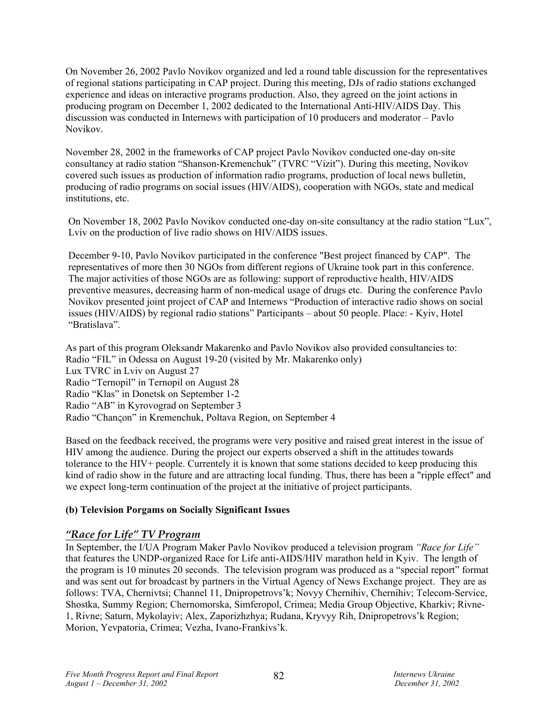On November 26, 2002 Pavlo Novikov organized and led a round table discussion for the representatives of regional stations participating in CAP project. During this meeting, DJs of radio stations exchanged experience and ideas on interactive programs production. Also, they agreed on the joint actions in producing program on December 1, 2002 dedicated to the International Anti-HIV/AIDS Day. This discussion was conducted in Internews with participation of 10 producers and moderator – Pavlo Novikov.

November 28, 2002 in the frameworks of CAP project Pavlo Novikov conducted one-day on-site consultancy at radio station "Shanson-Kremenchuk" (TVRC "Vizit"). During this meeting, Novikov covered such issues as production of information radio programs, production of local news bulletin, producing of radio programs on social issues (HIV/AIDS), cooperation with NGOs, state and medical institutions, etc.

On November 18, 2002 Pavlo Novikov conducted one-day on-site consultancy at the radio station "Lux", Lviv on the production of live radio shows on HIV/AIDS issues.

December 9-10, Pavlo Novikov participated in the conference "Best project financed by CAP". The representatives of more then 30 NGOs from different regions of Ukraine took part in this conference. The major activities of those NGOs are as following: support of reproductive health, HIV/AIDS preventive measures, decreasing harm of non-medical usage of drugs etc. During the conference Pavlo Novikov presented joint project of CAP and Internews "Production of interactive radio shows on social issues (HIV/AIDS) by regional radio stations" Participants – about 50 people. Place: - Kyiv, Hotel "Bratislava".

As part of this program Oleksandr Makarenko and Pavlo Novikov also provided consultancies to: Radio "FIL" in Odessa on August 19-20 (visited by Mr. Makarenko only) Lux TVRC in Lviv on August 27 Radio "Ternopil" in Ternopil on August 28 Radio "Klas" in Donetsk on September 1-2 Radio "AB" in Kyrovograd on September 3 Radio "Chanςon" in Kremenchuk, Poltava Region, on September 4

Based on the feedback received, the programs were very positive and raised great interest in the issue of HIV among the audience. During the project our experts observed a shift in the attitudes towards tolerance to the HIV+ people. Currentely it is known that some stations decided to keep producing this kind of radio show in the future and are attracting local funding. Thus, there has been a "ripple effect" and we expect long-term continuation of the project at the initiative of project participants.

# **(b) Television Porgams on Socially Significant Issues**

# *"Race for Life" TV Program*

In September, the I/UA Program Maker Pavlo Novikov produced a television program *"Race for Life"* that features the UNDP-organized Race for Life anti-AIDS/HIV marathon held in Kyiv. The length of the program is 10 minutes 20 seconds. The television program was produced as a "special report" format and was sent out for broadcast by partners in the Virtual Agency of News Exchange project. They are as follows: TVA, Chernivtsi; Channel 11, Dnipropetrovs'k; Novyy Chernihiv, Chernihiv; Telecom-Service, Shostka, Summy Region; Chernomorska, Simferopol, Crimea; Media Group Objective, Kharkiv; Rivne-1, Rivne; Saturn, Mykolayiv; Alex, Zaporizhzhya; Rudana, Kryvyy Rih, Dnipropetrovs'k Region; Morion, Yevpatoria, Crimea; Vezha, Ivano-Frankivs'k.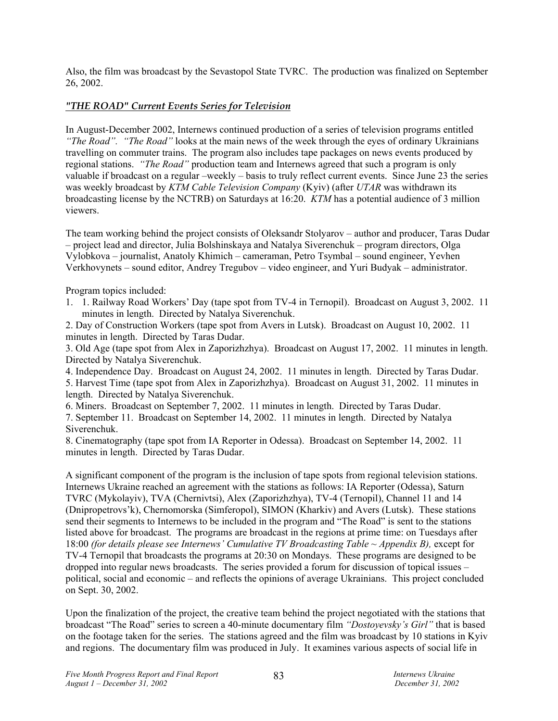Also, the film was broadcast by the Sevastopol State TVRC. The production was finalized on September 26, 2002.

# *"THE ROAD" Current Events Series for Television*

In August-December 2002, Internews continued production of a series of television programs entitled *"The Road". "The Road"* looks at the main news of the week through the eyes of ordinary Ukrainians travelling on commuter trains. The program also includes tape packages on news events produced by regional stations. *"The Road"* production team and Internews agreed that such a program is only valuable if broadcast on a regular –weekly – basis to truly reflect current events. Since June 23 the series was weekly broadcast by *KTM Cable Television Company* (Kyiv) (after *UTAR* was withdrawn its broadcasting license by the NCTRB) on Saturdays at 16:20. *KTM* has a potential audience of 3 million viewers.

The team working behind the project consists of Oleksandr Stolyarov – author and producer, Taras Dudar – project lead and director, Julia Bolshinskaya and Natalya Siverenchuk – program directors, Olga Vylobkova – journalist, Anatoly Khimich – cameraman, Petro Tsymbal – sound engineer, Yevhen Verkhovynets – sound editor, Andrey Tregubov – video engineer, and Yuri Budyak – administrator.

Program topics included:

1. 1. Railway Road Workers' Day (tape spot from TV-4 in Ternopil). Broadcast on August 3, 2002. 11 minutes in length. Directed by Natalya Siverenchuk.

2. Day of Construction Workers (tape spot from Avers in Lutsk). Broadcast on August 10, 2002. 11 minutes in length. Directed by Taras Dudar.

3. Old Age (tape spot from Alex in Zaporizhzhya). Broadcast on August 17, 2002. 11 minutes in length. Directed by Natalya Siverenchuk.

4. Independence Day. Broadcast on August 24, 2002. 11 minutes in length. Directed by Taras Dudar.

5. Harvest Time (tape spot from Alex in Zaporizhzhya). Broadcast on August 31, 2002. 11 minutes in length. Directed by Natalya Siverenchuk.

6. Miners. Broadcast on September 7, 2002. 11 minutes in length. Directed by Taras Dudar.

7. September 11. Broadcast on September 14, 2002. 11 minutes in length. Directed by Natalya Siverenchuk.

8. Cinematography (tape spot from IA Reporter in Odessa). Broadcast on September 14, 2002. 11 minutes in length. Directed by Taras Dudar.

A significant component of the program is the inclusion of tape spots from regional television stations. Internews Ukraine reached an agreement with the stations as follows: IA Reporter (Odessa), Saturn TVRC (Mykolayiv), TVA (Chernivtsi), Alex (Zaporizhzhya), TV-4 (Ternopil), Channel 11 and 14 (Dnipropetrovs'k), Chernomorska (Simferopol), SIMON (Kharkiv) and Avers (Lutsk). These stations send their segments to Internews to be included in the program and "The Road" is sent to the stations listed above for broadcast. The programs are broadcast in the regions at prime time: on Tuesdays after 18:00 *(for details please see Internews' Cumulative TV Broadcasting Table ~ Appendix B)*, except for TV-4 Ternopil that broadcasts the programs at 20:30 on Mondays. These programs are designed to be dropped into regular news broadcasts. The series provided a forum for discussion of topical issues – political, social and economic – and reflects the opinions of average Ukrainians. This project concluded on Sept. 30, 2002.

Upon the finalization of the project, the creative team behind the project negotiated with the stations that broadcast "The Road" series to screen a 40-minute documentary film *"Dostoyevsky's Girl"* that is based on the footage taken for the series. The stations agreed and the film was broadcast by 10 stations in Kyiv and regions. The documentary film was produced in July. It examines various aspects of social life in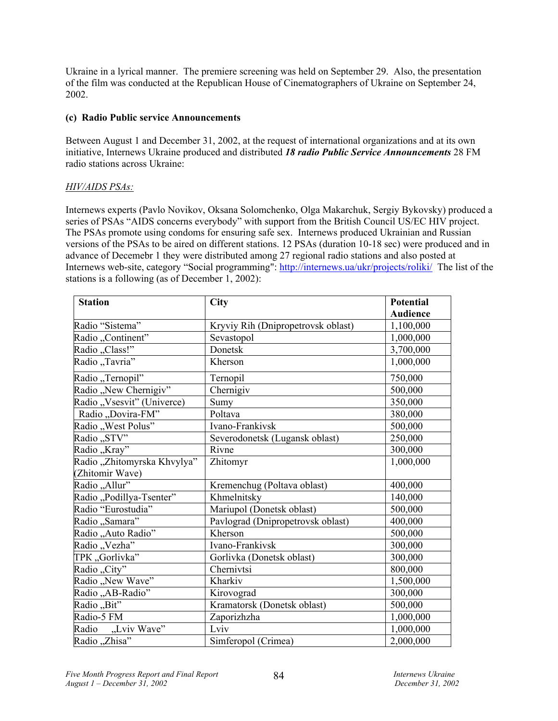Ukraine in a lyrical manner. The premiere screening was held on September 29. Also, the presentation of the film was conducted at the Republican House of Cinematographers of Ukraine on September 24, 2002.

#### **(c) Radio Public service Announcements**

Between August 1 and December 31, 2002, at the request of international organizations and at its own initiative, Internews Ukraine produced and distributed *18 radio Public Service Announcements* 28 FM radio stations across Ukraine:

# *HIV/AIDS PSAs:*

Internews experts (Pavlo Novikov, Oksana Solomchenko, Olga Makarchuk, Sergiy Bykovsky) produced a series of PSAs "AIDS concerns everybody" with support from the British Council US/EC HIV project. The PSAs promote using condoms for ensuring safe sex. Internews produced Ukrainian and Russian versions of the PSAs to be aired on different stations. 12 PSAs (duration 10-18 sec) were produced and in advance of Decemebr 1 they were distributed among 27 regional radio stations and also posted at Internews web-site, category "Social programming": http://internews.ua/ukr/projects/roliki/ The list of the stations is a following (as of December 1, 2002):

| <b>Station</b>              | City                               | <b>Potential</b> |
|-----------------------------|------------------------------------|------------------|
|                             |                                    | <b>Audience</b>  |
| Radio "Sistema"             | Kryviy Rih (Dnipropetrovsk oblast) | 1,100,000        |
| Radio "Continent"           | Sevastopol                         | 1,000,000        |
| Radio "Class!"              | Donetsk                            | 3,700,000        |
| Radio "Tavria"              | Kherson                            | 1,000,000        |
| Radio "Ternopil"            | Ternopil                           | 750,000          |
| Radio "New Chernigiv"       | Chernigiv                          | 500,000          |
| Radio "Vsesvit" (Univerce)  | Sumy                               | 350,000          |
| Radio "Dovira-FM"           | Poltava                            | 380,000          |
| Radio "West Polus"          | Ivano-Frankivsk                    | 500,000          |
| Radio "STV"                 | Severodonetsk (Lugansk oblast)     | 250,000          |
| Radio "Kray"                | Rivne                              | 300,000          |
| Radio "Zhitomyrska Khvylya" | Zhitomyr                           | 1,000,000        |
| Zhitomir Wave)              |                                    |                  |
| Radio "Allur"               | Kremenchug (Poltava oblast)        | 400,000          |
| Radio "Podillya-Tsenter"    | Khmelnitsky                        | 140,000          |
| Radio "Eurostudia"          | Mariupol (Donetsk oblast)          | 500,000          |
| Radio "Samara"              | Pavlograd (Dnipropetrovsk oblast)  | 400,000          |
| Radio "Auto Radio"          | Kherson                            | 500,000          |
| Radio "Vezha"               | Ivano-Frankivsk                    | 300,000          |
| TPK, Gorlivka"              | Gorlivka (Donetsk oblast)          | 300,000          |
| Radio "City"                | Chernivtsi                         | 800,000          |
| Radio "New Wave"            | Kharkiv                            | 1,500,000        |
| Radio "AB-Radio"            | Kirovograd                         | 300,000          |
| Radio "Bit"                 | Kramatorsk (Donetsk oblast)        | 500,000          |
| Radio-5 FM                  | Zaporizhzha                        | 1,000,000        |
| Radio<br>"Lviv Wave"        | Lviv                               | 1,000,000        |
| Radio "Zhisa"               | Simferopol (Crimea)                | 2,000,000        |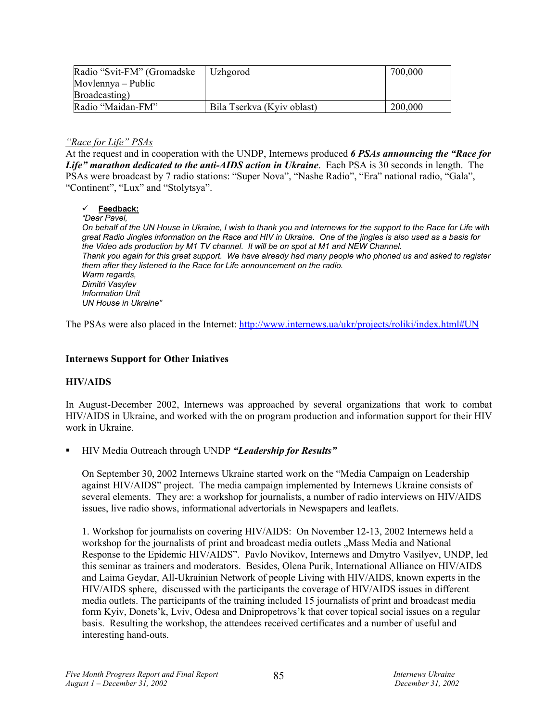| Radio "Svit-FM" (Gromadske | Uzhgorod                   | 700,000 |
|----------------------------|----------------------------|---------|
| Movlennya – Public         |                            |         |
| Broadcasting)              |                            |         |
| Radio "Maidan-FM"          | Bila Tserkva (Kyiv oblast) | 200,000 |

#### *"Race for Life" PSAs*

At the request and in cooperation with the UNDP, Internews produced *6 PSAs announcing the "Race for Life" marathon dedicated to the anti-AIDS action in Ukraine*. Each PSA is 30 seconds in length. The PSAs were broadcast by 7 radio stations: "Super Nova", "Nashe Radio", "Era" national radio, "Gala", "Continent", "Lux" and "Stolytsya".

#### 9 **Feedback:**

*"Dear Pavel,* 

*On behalf of the UN House in Ukraine, I wish to thank you and Internews for the support to the Race for Life with great Radio Jingles information on the Race and HIV in Ukraine. One of the jingles is also used as a basis for the Video ads production by M1 TV channel. It will be on spot at M1 and NEW Channel. Thank you again for this great support. We have already had many people who phoned us and asked to register them after they listened to the Race for Life announcement on the radio. Warm regards, Dimitri Vasylev Information Unit UN House in Ukraine"* 

The PSAs were also placed in the Internet: http://www.internews.ua/ukr/projects/roliki/index.html#UN

#### **Internews Support for Other Iniatives**

#### **HIV/AIDS**

In August-December 2002, Internews was approached by several organizations that work to combat HIV/AIDS in Ukraine, and worked with the on program production and information support for their HIV work in Ukraine.

HIV Media Outreach through UNDP *"Leadership for Results"*

On September 30, 2002 Internews Ukraine started work on the "Media Campaign on Leadership against HIV/AIDS" project. The media campaign implemented by Internews Ukraine consists of several elements. They are: a workshop for journalists, a number of radio interviews on HIV/AIDS issues, live radio shows, informational advertorials in Newspapers and leaflets.

1. Workshop for journalists on covering HIV/AIDS: On November 12-13, 2002 Internews held a workshop for the journalists of print and broadcast media outlets . Mass Media and National Response to the Epidemic HIV/AIDS". Pavlo Novikov, Internews and Dmytro Vasilyev, UNDP, led this seminar as trainers and moderators. Besides, Olena Purik, International Alliance on HIV/AIDS and Laima Geydar, All-Ukrainian Network of people Living with HIV/AIDS, known experts in the HIV/AIDS sphere, discussed with the participants the coverage of HIV/AIDS issues in different media outlets. The participants of the training included 15 journalists of print and broadcast media form Kyiv, Donets'k, Lviv, Odesa and Dnipropetrovs'k that cover topical social issues on a regular basis. Resulting the workshop, the attendees received certificates and a number of useful and interesting hand-outs.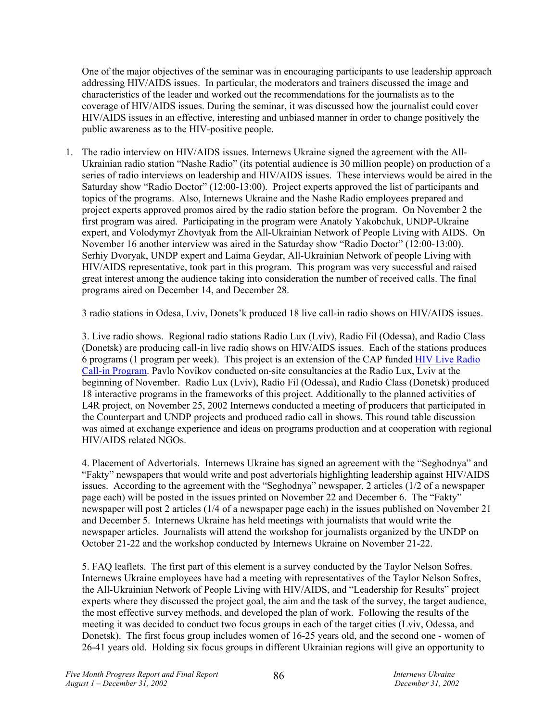One of the major objectives of the seminar was in encouraging participants to use leadership approach addressing HIV/AIDS issues. In particular, the moderators and trainers discussed the image and characteristics of the leader and worked out the recommendations for the journalists as to the coverage of HIV/AIDS issues. During the seminar, it was discussed how the journalist could cover HIV/AIDS issues in an effective, interesting and unbiased manner in order to change positively the public awareness as to the HIV-positive people.

1. The radio interview on HIV/AIDS issues. Internews Ukraine signed the agreement with the All-Ukrainian radio station "Nashe Radio" (its potential audience is 30 million people) on production of a series of radio interviews on leadership and HIV/AIDS issues. These interviews would be aired in the Saturday show "Radio Doctor" (12:00-13:00). Project experts approved the list of participants and topics of the programs. Also, Internews Ukraine and the Nashe Radio employees prepared and project experts approved promos aired by the radio station before the program. On November 2 the first program was aired. Participating in the program were Anatoly Yakobchuk, UNDP-Ukraine expert, and Volodymyr Zhovtyak from the All-Ukrainian Network of People Living with AIDS. On November 16 another interview was aired in the Saturday show "Radio Doctor" (12:00-13:00). Serhiy Dvoryak, UNDP expert and Laima Geydar, All-Ukrainian Network of people Living with HIV/AIDS representative, took part in this program. This program was very successful and raised great interest among the audience taking into consideration the number of received calls. The final programs aired on December 14, and December 28.

3 radio stations in Odesa, Lviv, Donets'k produced 18 live call-in radio shows on HIV/AIDS issues.

3. Live radio shows. Regional radio stations Radio Lux (Lviv), Radio Fil (Odessa), and Radio Class (Donetsk) are producing call-in live radio shows on HIV/AIDS issues. Each of the stations produces 6 programs (1 program per week). This project is an extension of the CAP funded HIV Live Radio Call-in Program. Pavlo Novikov conducted on-site consultancies at the Radio Lux, Lviv at the beginning of November. Radio Lux (Lviv), Radio Fil (Odessa), and Radio Class (Donetsk) produced 18 interactive programs in the frameworks of this project. Additionally to the planned activities of L4R project, on November 25, 2002 Internews conducted a meeting of producers that participated in the Counterpart and UNDP projects and produced radio call in shows. This round table discussion was aimed at exchange experience and ideas on programs production and at cooperation with regional HIV/AIDS related NGOs.

4. Placement of Advertorials. Internews Ukraine has signed an agreement with the "Seghodnya" and "Fakty" newspapers that would write and post advertorials highlighting leadership against HIV/AIDS issues. According to the agreement with the "Seghodnya" newspaper, 2 articles (1/2 of a newspaper page each) will be posted in the issues printed on November 22 and December 6. The "Fakty" newspaper will post 2 articles (1/4 of a newspaper page each) in the issues published on November 21 and December 5. Internews Ukraine has held meetings with journalists that would write the newspaper articles. Journalists will attend the workshop for journalists organized by the UNDP on October 21-22 and the workshop conducted by Internews Ukraine on November 21-22.

5. FAQ leaflets. The first part of this element is a survey conducted by the Taylor Nelson Sofres. Internews Ukraine employees have had a meeting with representatives of the Taylor Nelson Sofres, the All-Ukrainian Network of People Living with HIV/AIDS, and "Leadership for Results" project experts where they discussed the project goal, the aim and the task of the survey, the target audience, the most effective survey methods, and developed the plan of work. Following the results of the meeting it was decided to conduct two focus groups in each of the target cities (Lviv, Odessa, and Donetsk). The first focus group includes women of 16-25 years old, and the second one - women of 26-41 years old. Holding six focus groups in different Ukrainian regions will give an opportunity to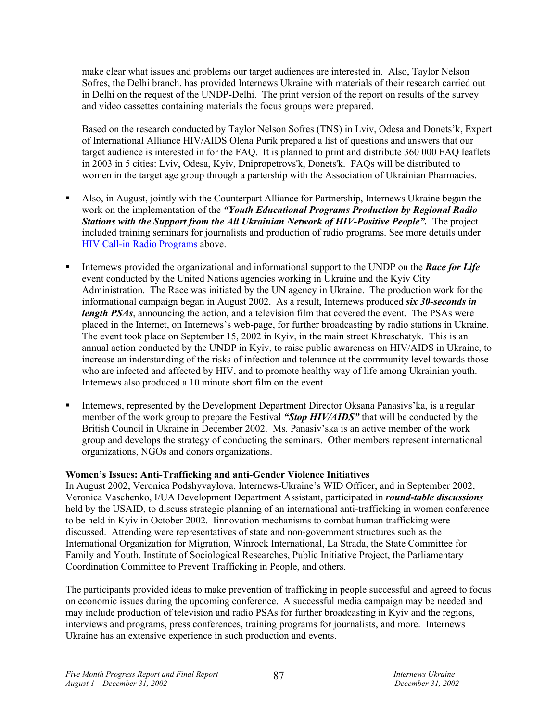make clear what issues and problems our target audiences are interested in. Also, Taylor Nelson Sofres, the Delhi branch, has provided Internews Ukraine with materials of their research carried out in Delhi on the request of the UNDP-Delhi. The print version of the report on results of the survey and video cassettes containing materials the focus groups were prepared.

Based on the research conducted by Taylor Nelson Sofres (TNS) in Lviv, Odesa and Donets'k, Expert of International Alliance HIV/AIDS Olena Purik prepared a list of questions and answers that our target audience is interested in for the FAQ. It is planned to print and distribute 360 000 FAQ leaflets in 2003 in 5 cities: Lviv, Odesa, Kyiv, Dnipropetrovs'k, Donets'k. FAQs will be distributed to women in the target age group through a partership with the Association of Ukrainian Pharmacies.

- Also, in August, jointly with the Counterpart Alliance for Partnership, Internews Ukraine began the work on the implementation of the *"Youth Educational Programs Production by Regional Radio Stations with the Support from the All Ukrainian Network of HIV-Positive People".* The project included training seminars for journalists and production of radio programs. See more details under HIV Call-in Radio Programs above.
- Internews provided the organizational and informational support to the UNDP on the *Race for Life* event conducted by the United Nations agencies working in Ukraine and the Kyiv City Administration. The Race was initiated by the UN agency in Ukraine. The production work for the informational campaign began in August 2002. As a result, Internews produced *six 30-seconds in length PSAs*, announcing the action, and a television film that covered the event. The PSAs were placed in the Internet, on Internews's web-page, for further broadcasting by radio stations in Ukraine. The event took place on September 15, 2002 in Kyiv, in the main street Khreschatyk. This is an annual action conducted by the UNDP in Kyiv, to raise public awareness on HIV/AIDS in Ukraine, to increase an inderstanding of the risks of infection and tolerance at the community level towards those who are infected and affected by HIV, and to promote healthy way of life among Ukrainian youth. Internews also produced a 10 minute short film on the event
- Internews, represented by the Development Department Director Oksana Panasivs'ka, is a regular member of the work group to prepare the Festival *"Stop HIV/AIDS"* that will be conducted by the British Council in Ukraine in December 2002. Ms. Panasiv'ska is an active member of the work group and develops the strategy of conducting the seminars. Other members represent international organizations, NGOs and donors organizations.

# **Women's Issues: Anti-Trafficking and anti-Gender Violence Initiatives**

In August 2002, Veronica Podshyvaylova, Internews-Ukraine's WID Officer, and in September 2002, Veronica Vaschenko, I/UA Development Department Assistant, participated in *round-table discussions* held by the USAID, to discuss strategic planning of an international anti-trafficking in women conference to be held in Kyiv in October 2002. Iinnovation mechanisms to combat human trafficking were discussed. Attending were representatives of state and non-government structures such as the International Organization for Migration, Winrock International, La Strada, the State Committee for Family and Youth, Institute of Sociological Researches, Public Initiative Project, the Parliamentary Coordination Committee to Prevent Trafficking in People, and others.

The participants provided ideas to make prevention of trafficking in people successful and agreed to focus on economic issues during the upcoming conference. A successful media campaign may be needed and may include production of television and radio PSAs for further broadcasting in Kyiv and the regions, interviews and programs, press conferences, training programs for journalists, and more. Internews Ukraine has an extensive experience in such production and events.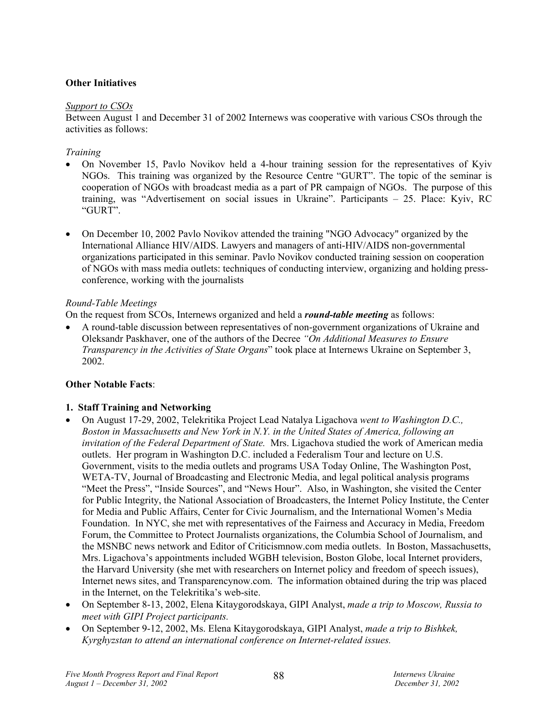# **Other Initiatives**

#### *Support to CSOs*

Between August 1 and December 31 of 2002 Internews was cooperative with various CSOs through the activities as follows:

### *Training*

- On November 15, Pavlo Novikov held a 4-hour training session for the representatives of Kyiv NGOs. This training was organized by the Resource Centre "GURT". The topic of the seminar is cooperation of NGOs with broadcast media as a part of PR campaign of NGOs. The purpose of this training, was "Advertisement on social issues in Ukraine". Participants – 25. Place: Kyiv, RC "GURT".
- On December 10, 2002 Pavlo Novikov attended the training "NGO Advocacy" organized by the International Alliance HIV/AIDS. Lawyers and managers of anti-HIV/AIDS non-governmental organizations participated in this seminar. Pavlo Novikov conducted training session on cooperation of NGOs with mass media outlets: techniques of conducting interview, organizing and holding pressconference, working with the journalists

# *Round-Table Meetings*

On the request from SCOs, Internews organized and held a *round-table meeting* as follows:

• A round-table discussion between representatives of non-government organizations of Ukraine and Oleksandr Paskhaver, one of the authors of the Decree *"On Additional Measures to Ensure Transparency in the Activities of State Organs*" took place at Internews Ukraine on September 3, 2002.

# **Other Notable Facts**:

# **1. Staff Training and Networking**

- On August 17-29, 2002, Telekritika Project Lead Natalya Ligachova *went to Washington D.C., Boston in Massachusetts and New York in N.Y. in the United States of America, following an invitation of the Federal Department of State.* Mrs. Ligachova studied the work of American media outlets. Her program in Washington D.C. included a Federalism Tour and lecture on U.S. Government, visits to the media outlets and programs USA Today Online, The Washington Post, WETA-TV, Journal of Broadcasting and Electronic Media, and legal political analysis programs "Meet the Press", "Inside Sources", and "News Hour". Also, in Washington, she visited the Center for Public Integrity, the National Association of Broadcasters, the Internet Policy Institute, the Center for Media and Public Affairs, Center for Civic Journalism, and the International Women's Media Foundation. In NYC, she met with representatives of the Fairness and Accuracy in Media, Freedom Forum, the Committee to Protect Journalists organizations, the Columbia School of Journalism, and the MSNBC news network and Editor of Criticismnow.com media outlets. In Boston, Massachusetts, Mrs. Ligachova's appointments included WGBH television, Boston Globe, local Internet providers, the Harvard University (she met with researchers on Internet policy and freedom of speech issues), Internet news sites, and Transparencynow.com. The information obtained during the trip was placed in the Internet, on the Telekritika's web-site.
- On September 8-13, 2002, Elena Kitaygorodskaya, GIPI Analyst, *made a trip to Moscow, Russia to meet with GIPI Project participants.*
- On September 9-12, 2002, Ms. Elena Kitaygorodskaya, GIPI Analyst, *made a trip to Bishkek, Kyrghyzstan to attend an international conference on Internet-related issues.*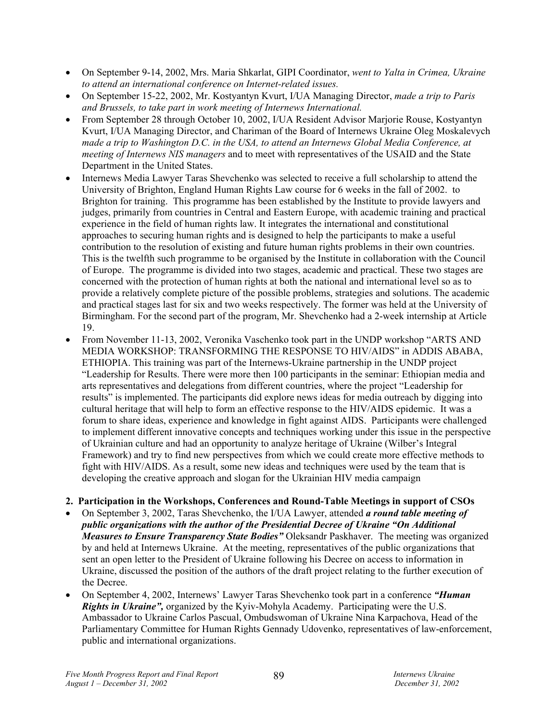- On September 9-14, 2002, Mrs. Maria Shkarlat, GIPI Coordinator, *went to Yalta in Crimea, Ukraine to attend an international conference on Internet-related issues.*
- On September 15-22, 2002, Mr. Kostyantyn Kvurt, I/UA Managing Director, *made a trip to Paris and Brussels, to take part in work meeting of Internews International.*
- From September 28 through October 10, 2002, I/UA Resident Advisor Marjorie Rouse, Kostyantyn Kvurt, I/UA Managing Director, and Chariman of the Board of Internews Ukraine Oleg Moskalevych *made a trip to Washington D.C. in the USA, to attend an Internews Global Media Conference, at meeting of Internews NIS managers* and to meet with representatives of the USAID and the State Department in the United States.
- Internews Media Lawyer Taras Shevchenko was selected to receive a full scholarship to attend the University of Brighton, England Human Rights Law course for 6 weeks in the fall of 2002. to Brighton for training. This programme has been established by the Institute to provide lawyers and judges, primarily from countries in Central and Eastern Europe, with academic training and practical experience in the field of human rights law. It integrates the international and constitutional approaches to securing human rights and is designed to help the participants to make a useful contribution to the resolution of existing and future human rights problems in their own countries. This is the twelfth such programme to be organised by the Institute in collaboration with the Council of Europe. The programme is divided into two stages, academic and practical. These two stages are concerned with the protection of human rights at both the national and international level so as to provide a relatively complete picture of the possible problems, strategies and solutions. The academic and practical stages last for six and two weeks respectively. The former was held at the University of Birmingham. For the second part of the program, Mr. Shevchenko had a 2-week internship at Article 19.
- From November 11-13, 2002, Veronika Vaschenko took part in the UNDP workshop "ARTS AND MEDIA WORKSHOP: TRANSFORMING THE RESPONSE TO HIV/AIDS" in ADDIS ABABA, ETHIOPIA. This training was part of the Internews-Ukraine partnership in the UNDP project "Leadership for Results. There were more then 100 participants in the seminar: Ethiopian media and arts representatives and delegations from different countries, where the project "Leadership for results" is implemented. The participants did explore news ideas for media outreach by digging into cultural heritage that will help to form an effective response to the HIV/AIDS epidemic. It was a forum to share ideas, experience and knowledge in fight against AIDS. Participants were challenged to implement different innovative concepts and techniques working under this issue in the perspective of Ukrainian culture and had an opportunity to analyze heritage of Ukraine (Wilber's Integral Framework) and try to find new perspectives from which we could create more effective methods to fight with HIV/AIDS. As a result, some new ideas and techniques were used by the team that is developing the creative approach and slogan for the Ukrainian HIV media campaign

# **2. Participation in the Workshops, Conferences and Round-Table Meetings in support of CSOs**

- On September 3, 2002, Taras Shevchenko, the I/UA Lawyer, attended *a round table meeting of public organizations with the author of the Presidential Decree of Ukraine "On Additional Measures to Ensure Transparency State Bodies"* Oleksandr Paskhaver. The meeting was organized by and held at Internews Ukraine. At the meeting, representatives of the public organizations that sent an open letter to the President of Ukraine following his Decree on access to information in Ukraine, discussed the position of the authors of the draft project relating to the further execution of the Decree.
- On September 4, 2002, Internews' Lawyer Taras Shevchenko took part in a conference *"Human Rights in Ukraine",* organized by the Kyiv-Mohyla Academy. Participating were the U.S. Ambassador to Ukraine Carlos Pascual, Ombudswoman of Ukraine Nina Karpachova, Head of the Parliamentary Committee for Human Rights Gennady Udovenko, representatives of law-enforcement, public and international organizations.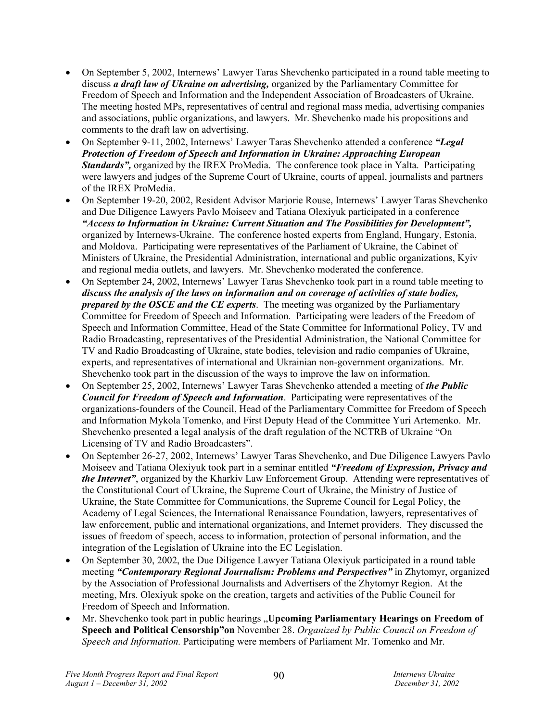- On September 5, 2002, Internews' Lawyer Taras Shevchenko participated in a round table meeting to discuss *a draft law of Ukraine on advertising,* organized by the Parliamentary Committee for Freedom of Speech and Information and the Independent Association of Broadcasters of Ukraine. The meeting hosted MPs, representatives of central and regional mass media, advertising companies and associations, public organizations, and lawyers. Mr. Shevchenko made his propositions and comments to the draft law on advertising.
- On September 9-11, 2002, Internews' Lawyer Taras Shevchenko attended a conference *"Legal Protection of Freedom of Speech and Information in Ukraine: Approaching European Standards",* organized by the IREX ProMedia. The conference took place in Yalta. Participating were lawyers and judges of the Supreme Court of Ukraine, courts of appeal, journalists and partners of the IREX ProMedia.
- On September 19-20, 2002, Resident Advisor Marjorie Rouse, Internews' Lawyer Taras Shevchenko and Due Diligence Lawyers Pavlo Moiseev and Tatiana Olexiyuk participated in a conference *"Access to Information in Ukraine: Current Situation and The Possibilities for Development",* organized by Internews-Ukraine. The conference hosted experts from England, Hungary, Estonia, and Moldova. Participating were representatives of the Parliament of Ukraine, the Cabinet of Ministers of Ukraine, the Presidential Administration, international and public organizations, Kyiv and regional media outlets, and lawyers. Mr. Shevchenko moderated the conference.
- On September 24, 2002, Internews' Lawyer Taras Shevchenko took part in a round table meeting to *discuss the analysis of the laws on information and on coverage of activities of state bodies, prepared by the OSCE and the CE experts*. The meeting was organized by the Parliamentary Committee for Freedom of Speech and Information. Participating were leaders of the Freedom of Speech and Information Committee, Head of the State Committee for Informational Policy, TV and Radio Broadcasting, representatives of the Presidential Administration, the National Committee for TV and Radio Broadcasting of Ukraine, state bodies, television and radio companies of Ukraine, experts, and representatives of international and Ukrainian non-government organizations. Mr. Shevchenko took part in the discussion of the ways to improve the law on information.
- On September 25, 2002, Internews' Lawyer Taras Shevchenko attended a meeting of *the Public Council for Freedom of Speech and Information*. Participating were representatives of the organizations-founders of the Council, Head of the Parliamentary Committee for Freedom of Speech and Information Mykola Tomenko, and First Deputy Head of the Committee Yuri Artemenko. Mr. Shevchenko presented a legal analysis of the draft regulation of the NCTRB of Ukraine "On Licensing of TV and Radio Broadcasters".
- On September 26-27, 2002, Internews' Lawyer Taras Shevchenko, and Due Diligence Lawyers Pavlo Moiseev and Tatiana Olexiyuk took part in a seminar entitled *"Freedom of Expression, Privacy and the Internet"*, organized by the Kharkiv Law Enforcement Group. Attending were representatives of the Constitutional Court of Ukraine, the Supreme Court of Ukraine, the Ministry of Justice of Ukraine, the State Committee for Communications, the Supreme Council for Legal Policy, the Academy of Legal Sciences, the International Renaissance Foundation, lawyers, representatives of law enforcement, public and international organizations, and Internet providers. They discussed the issues of freedom of speech, access to information, protection of personal information, and the integration of the Legislation of Ukraine into the EC Legislation.
- On September 30, 2002, the Due Diligence Lawyer Tatiana Olexiyuk participated in a round table meeting *"Contemporary Regional Journalism: Problems and Perspectives"* in Zhytomyr, organized by the Association of Professional Journalists and Advertisers of the Zhytomyr Region. At the meeting, Mrs. Olexiyuk spoke on the creation, targets and activities of the Public Council for Freedom of Speech and Information.
- Mr. Shevchenko took part in public hearings "**Upcoming Parliamentary Hearings on Freedom of Speech and Political Censorship"on** November 28. *Organized by Public Council on Freedom of Speech and Information.* Participating were members of Parliament Mr. Tomenko and Mr.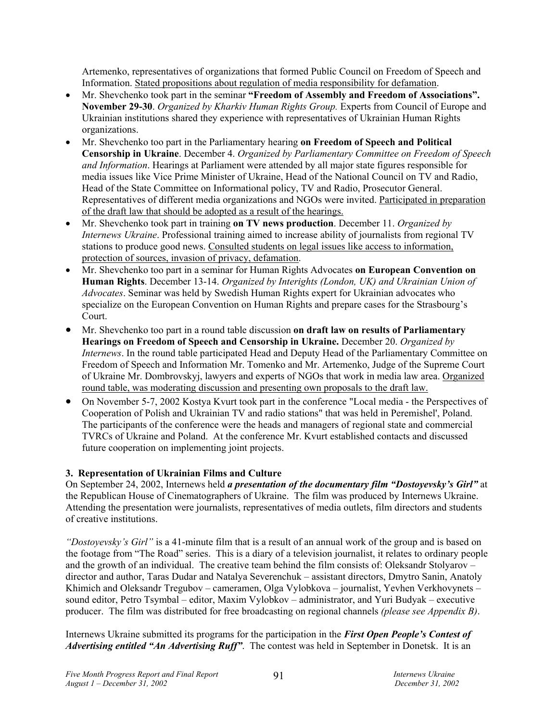Artemenko, representatives of organizations that formed Public Council on Freedom of Speech and Information. Stated propositions about regulation of media responsibility for defamation.

- Mr. Shevchenko took part in the seminar **"Freedom of Assembly and Freedom of Associations". November 29-30**. *Organized by Kharkiv Human Rights Group.* Experts from Council of Europe and Ukrainian institutions shared they experience with representatives of Ukrainian Human Rights organizations.
- Mr. Shevchenko too part in the Parliamentary hearing **on Freedom of Speech and Political Censorship in Ukraine**. December 4. *Organized by Parliamentary Committee on Freedom of Speech and Information*. Hearings at Parliament were attended by all major state figures responsible for media issues like Vice Prime Minister of Ukraine, Head of the National Council on TV and Radio, Head of the State Committee on Informational policy, TV and Radio, Prosecutor General. Representatives of different media organizations and NGOs were invited. Participated in preparation of the draft law that should be adopted as a result of the hearings.
- Mr. Shevchenko took part in training **on TV news production**. December 11. *Organized by Internews Ukraine*. Professional training aimed to increase ability of journalists from regional TV stations to produce good news. Consulted students on legal issues like access to information, protection of sources, invasion of privacy, defamation.
- Mr. Shevchenko too part in a seminar for Human Rights Advocates **on European Convention on Human Rights**. December 13-14. *Organized by Interights (London, UK) and Ukrainian Union of Advocates*. Seminar was held by Swedish Human Rights expert for Ukrainian advocates who specialize on the European Convention on Human Rights and prepare cases for the Strasbourg's Court.
- Mr. Shevchenko too part in a round table discussion **on draft law on results of Parliamentary Hearings on Freedom of Speech and Censorship in Ukraine.** December 20. *Organized by Internews*. In the round table participated Head and Deputy Head of the Parliamentary Committee on Freedom of Speech and Information Mr. Tomenko and Mr. Artemenko, Judge of the Supreme Court of Ukraine Mr. Dombrovskyj, lawyers and experts of NGOs that work in media law area. Organized round table, was moderating discussion and presenting own proposals to the draft law.
- On November 5-7, 2002 Kostya Kvurt took part in the conference "Local media the Perspectives of Cooperation of Polish and Ukrainian TV and radio stations" that was held in Peremishel', Poland. The participants of the conference were the heads and managers of regional state and commercial TVRCs of Ukraine and Poland. At the conference Mr. Kvurt established contacts and discussed future cooperation on implementing joint projects.

# **3. Representation of Ukrainian Films and Culture**

On September 24, 2002, Internews held *a presentation of the documentary film "Dostoyevsky's Girl"* at the Republican House of Cinematographers of Ukraine. The film was produced by Internews Ukraine. Attending the presentation were journalists, representatives of media outlets, film directors and students of creative institutions.

*"Dostoyevsky's Girl"* is a 41-minute film that is a result of an annual work of the group and is based on the footage from "The Road" series. This is a diary of a television journalist, it relates to ordinary people and the growth of an individual. The creative team behind the film consists of: Oleksandr Stolyarov – director and author, Taras Dudar and Natalya Severenchuk – assistant directors, Dmytro Sanin, Anatoly Khimich and Oleksandr Tregubov – cameramen, Olga Vylobkova – journalist, Yevhen Verkhovynets – sound editor, Petro Tsymbal – editor, Maxim Vylobkov – administrator, and Yuri Budyak – executive producer. The film was distributed for free broadcasting on regional channels *(please see Appendix B)*.

Internews Ukraine submitted its programs for the participation in the *First Open People's Contest of Advertising entitled "An Advertising Ruff"*. The contest was held in September in Donetsk. It is an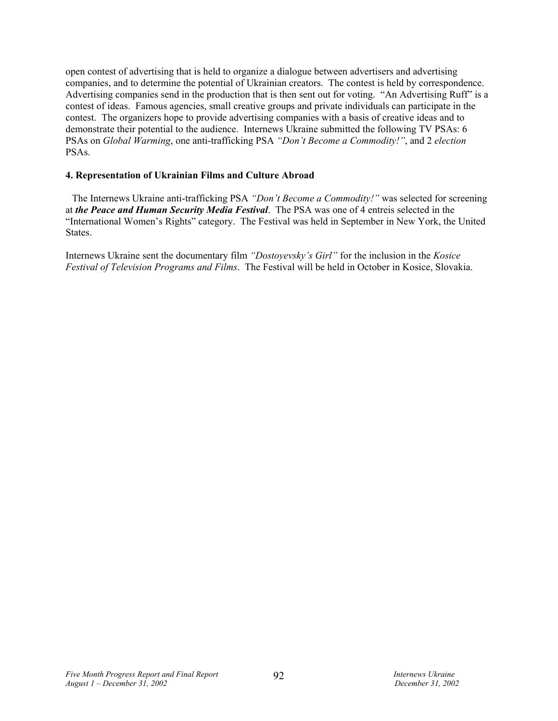open contest of advertising that is held to organize a dialogue between advertisers and advertising companies, and to determine the potential of Ukrainian creators. The contest is held by correspondence. Advertising companies send in the production that is then sent out for voting. "An Advertising Ruff" is a contest of ideas. Famous agencies, small creative groups and private individuals can participate in the contest. The organizers hope to provide advertising companies with a basis of creative ideas and to demonstrate their potential to the audience. Internews Ukraine submitted the following TV PSAs: 6 PSAs on *Global Warming*, one anti-trafficking PSA *"Don't Become a Commodity!"*, and 2 *election* PSAs.

#### **4. Representation of Ukrainian Films and Culture Abroad**

The Internews Ukraine anti-trafficking PSA *"Don't Become a Commodity!"* was selected for screening at *the Peace and Human Security Media Festival*. The PSA was one of 4 entreis selected in the "International Women's Rights" category. The Festival was held in September in New York, the United States.

Internews Ukraine sent the documentary film *"Dostoyevsky's Girl"* for the inclusion in the *Kosice Festival of Television Programs and Films*. The Festival will be held in October in Kosice, Slovakia.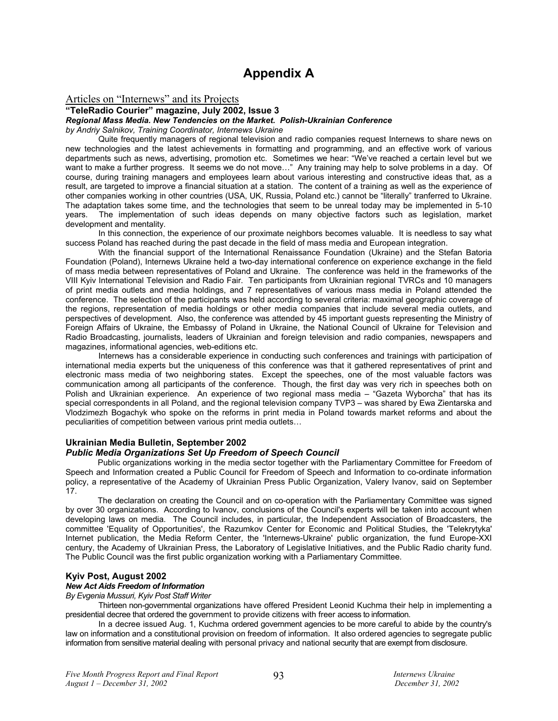# **Appendix A**

#### Articles on "Internews" and its Projects

#### **"TeleRadio Courier" magazine, July 2002, Issue 3**

#### *Regional Mass Media. New Tendencies on the Market. Polish-Ukrainian Conference*

*by Andriy Salnikov, Training Coordinator, Internews Ukraine* 

Quite frequently managers of regional television and radio companies request Internews to share news on new technologies and the latest achievements in formatting and programming, and an effective work of various departments such as news, advertising, promotion etc. Sometimes we hear: "We've reached a certain level but we want to make a further progress. It seems we do not move..." Any training may help to solve problems in a day. Of course, during training managers and employees learn about various interesting and constructive ideas that, as a result, are targeted to improve a financial situation at a station. The content of a training as well as the experience of other companies working in other countries (USA, UK, Russia, Poland etc.) cannot be "literally" tranferred to Ukraine. The adaptation takes some time, and the technologies that seem to be unreal today may be implemented in 5-10 years. The implementation of such ideas depends on many objective factors such as legislation. market The implementation of such ideas depends on many objective factors such as legislation, market development and mentality.

In this connection, the experience of our proximate neighbors becomes valuable. It is needless to say what success Poland has reached during the past decade in the field of mass media and European integration.

With the financial support of the International Renaissance Foundation (Ukraine) and the Stefan Batoria Foundation (Poland), Internews Ukraine held a two-day international conference on experience exchange in the field of mass media between representatives of Poland and Ukraine. The conference was held in the frameworks of the VIII Kyiv International Television and Radio Fair. Ten participants from Ukrainian regional TVRCs and 10 managers of print media outlets and media holdings, and 7 representatives of various mass media in Poland attended the conference. The selection of the participants was held according to several criteria: maximal geographic coverage of the regions, representation of media holdings or other media companies that include several media outlets, and perspectives of development. Also, the conference was attended by 45 important guests representing the Ministry of Foreign Affairs of Ukraine, the Embassy of Poland in Ukraine, the National Council of Ukraine for Television and Radio Broadcasting, journalists, leaders of Ukrainian and foreign television and radio companies, newspapers and magazines, informational agencies, web-editions etc.

Internews has a considerable experience in conducting such conferences and trainings with participation of international media experts but the uniqueness of this conference was that it gathered representatives of print and electronic mass media of two neighboring states. Except the speeches, one of the most valuable factors was communication among all participants of the conference. Though, the first day was very rich in speeches both on Polish and Ukrainian experience. An experience of two regional mass media – "Gazeta Wyborcha" that has its special correspondents in all Poland, and the regional television company TVP3 – was shared by Ewa Zientarska and Vlodzimezh Bogachyk who spoke on the reforms in print media in Poland towards market reforms and about the peculiarities of competition between various print media outlets…

#### **Ukrainian Media Bulletin, September 2002**

#### *Public Media Organizations Set Up Freedom of Speech Council*

Public organizations working in the media sector together with the Parliamentary Committee for Freedom of Speech and Information created a Public Council for Freedom of Speech and Information to co-ordinate information policy, a representative of the Academy of Ukrainian Press Public Organization, Valery Ivanov, said on September 17.

The declaration on creating the Council and on co-operation with the Parliamentary Committee was signed by over 30 organizations. According to Ivanov, conclusions of the Council's experts will be taken into account when developing laws on media. The Council includes, in particular, the Independent Association of Broadcasters, the committee 'Equality of Opportunities', the Razumkov Center for Economic and Political Studies, the 'Telekrytyka' Internet publication, the Media Reform Center, the 'Internews-Ukraine' public organization, the fund Europe-XXI century, the Academy of Ukrainian Press, the Laboratory of Legislative Initiatives, and the Public Radio charity fund. The Public Council was the first public organization working with a Parliamentary Committee.

#### **Kyiv Post, August 2002**

#### *New Act Aids Freedom of Information*

*By Evgenia Mussuri, Kyiv Post Staff Writer* 

Thirteen non-governmental organizations have offered President Leonid Kuchma their help in implementing a presidential decree that ordered the government to provide citizens with freer access to information.

In a decree issued Aug. 1, Kuchma ordered government agencies to be more careful to abide by the country's law on information and a constitutional provision on freedom of information. It also ordered agencies to segregate public information from sensitive material dealing with personal privacy and national security that are exempt from disclosure.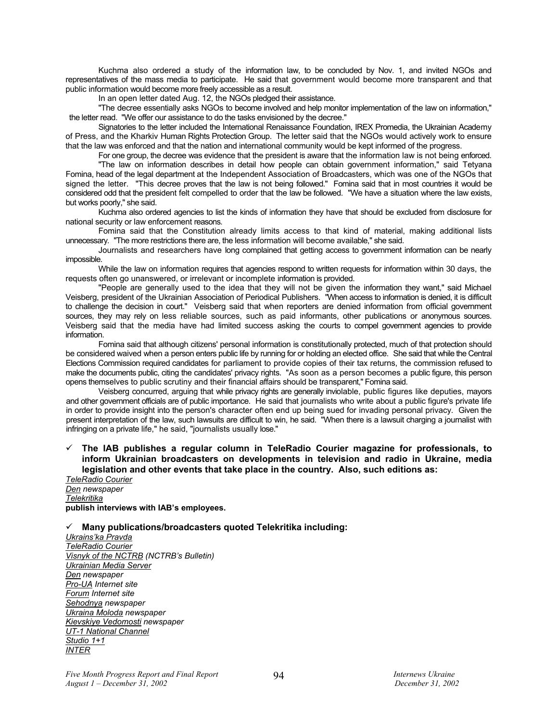Kuchma also ordered a study of the information law, to be concluded by Nov. 1, and invited NGOs and representatives of the mass media to participate. He said that government would become more transparent and that public information would become more freely accessible as a result.

In an open letter dated Aug. 12, the NGOs pledged their assistance.

"The decree essentially asks NGOs to become involved and help monitor implementation of the law on information," the letter read. "We offer our assistance to do the tasks envisioned by the decree."

Signatories to the letter included the International Renaissance Foundation, IREX Promedia, the Ukrainian Academy of Press, and the Kharkiv Human Rights Protection Group. The letter said that the NGOs would actively work to ensure that the law was enforced and that the nation and international community would be kept informed of the progress.

For one group, the decree was evidence that the president is aware that the information law is not being enforced.

"The law on information describes in detail how people can obtain government information," said Tetyana Fomina, head of the legal department at the Independent Association of Broadcasters, which was one of the NGOs that signed the letter. "This decree proves that the law is not being followed." Fomina said that in most countries it would be considered odd that the president felt compelled to order that the law be followed. "We have a situation where the law exists, but works poorly," she said.

Kuchma also ordered agencies to list the kinds of information they have that should be excluded from disclosure for national security or law enforcement reasons.

Fomina said that the Constitution already limits access to that kind of material, making additional lists unnecessary. "The more restrictions there are, the less information will become available," she said.

Journalists and researchers have long complained that getting access to government information can be nearly impossible.

While the law on information requires that agencies respond to written requests for information within 30 days, the requests often go unanswered, or irrelevant or incomplete information is provided.

"People are generally used to the idea that they will not be given the information they want," said Michael Veisberg, president of the Ukrainian Association of Periodical Publishers. "When access to information is denied, it is difficult to challenge the decision in court." Veisberg said that when reporters are denied information from official government sources, they may rely on less reliable sources, such as paid informants, other publications or anonymous sources. Veisberg said that the media have had limited success asking the courts to compel government agencies to provide information.

Fomina said that although citizens' personal information is constitutionally protected, much of that protection should be considered waived when a person enters public life by running for or holding an elected office. She said that while the Central Elections Commission required candidates for parliament to provide copies of their tax returns, the commission refused to make the documents public, citing the candidates' privacy rights. "As soon as a person becomes a public figure, this person opens themselves to public scrutiny and their financial affairs should be transparent," Fomina said.

Veisberg concurred, arguing that while privacy rights are generally inviolable, public figures like deputies, mayors and other government officials are of public importance. He said that journalists who write about a public figure's private life in order to provide insight into the person's character often end up being sued for invading personal privacy. Given the present interpretation of the law, such lawsuits are difficult to win, he said. "When there is a lawsuit charging a journalist with infringing on a private life," he said, "journalists usually lose."

#### $\checkmark$  The IAB publishes a regular column in TeleRadio Courier magazine for professionals, to **inform Ukrainian broadcasters on developments in television and radio in Ukraine, media legislation and other events that take place in the country. Also, such editions as:**

*TeleRadio Courier Den newspaper Telekritika* **publish interviews with IAB's employees.** 

#### 9 **Many publications/broadcasters quoted Telekritika including:**

*Ukrains'ka Pravda TeleRadio Courier Visnyk of the NCTRB (NCTRB's Bulletin) Ukrainian Media Server Den newspaper Pro-UA Internet site Forum Internet site Sehodnya newspaper Ukraina Moloda newspaper Kievskiye Vedomosti newspaper UT-1 National Channel Studio 1+1 INTER*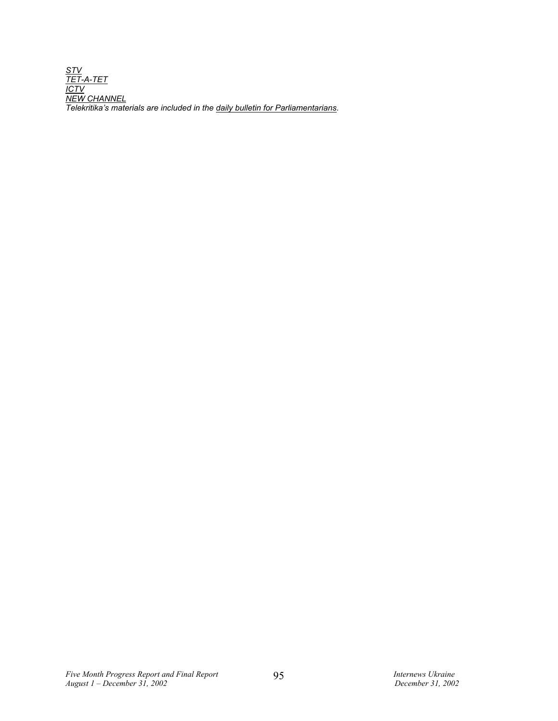*STV TET-A-TET ICTV NEW CHANNEL Telekritika's materials are included in the daily bulletin for Parliamentarians.*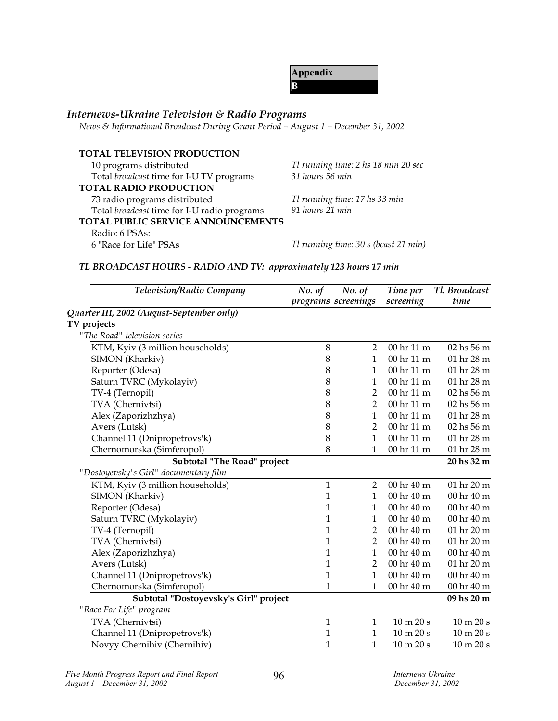**Appendix B**

# *Internews-Ukraine Television & Radio Programs*

*News & Informational Broadcast During Grant Period – August 1 – December 31, 2002*

| <b>TOTAL TELEVISION PRODUCTION</b>          |                                      |
|---------------------------------------------|--------------------------------------|
| 10 programs distributed                     | Tl running time: 2 hs 18 min 20 sec  |
| Total broadcast time for I-U TV programs    | 31 hours 56 min                      |
| <b>TOTAL RADIO PRODUCTION</b>               |                                      |
| 73 radio programs distributed               | Tl running time: 17 hs 33 min        |
| Total broadcast time for I-U radio programs | 91 hours 21 min                      |
| TOTAL PUBLIC SERVICE ANNOUNCEMENTS          |                                      |
| Radio: 6 PSAs:                              |                                      |
| 6 "Race for Life" PSAs                      | Tl running time: 30 s (bcast 21 min) |

# *TL BROADCAST HOURS - RADIO AND TV: approximately 123 hours 17 min*

| Television/Radio Company                  | No. of       | No. of<br>programs screenings | Time per<br>screening            | Tl. Broadcast<br>time        |
|-------------------------------------------|--------------|-------------------------------|----------------------------------|------------------------------|
| Quarter III, 2002 (August-September only) |              |                               |                                  |                              |
| TV projects                               |              |                               |                                  |                              |
| "The Road" television series              |              |                               |                                  |                              |
| KTM, Kyiv (3 million households)          | 8            | $\overline{2}$                | 00 hr 11 m                       | $02$ hs 56 m                 |
| SIMON (Kharkiv)                           | 8            | $\mathbf{1}$                  | 00 hr 11 m                       | 01 hr 28 m                   |
| Reporter (Odesa)                          | 8            | $\mathbf{1}$                  | 00 <sub>hr</sub> 11 <sub>m</sub> | 01 hr 28 m                   |
| Saturn TVRC (Mykolayiv)                   | 8            | $\mathbf{1}$                  | 00 hr 11 m                       | 01 hr 28 m                   |
| TV-4 (Ternopil)                           | 8            | $\overline{2}$                | 00 hr 11 m                       | 02 hs 56 m                   |
| TVA (Chernivtsi)                          | 8            | $\overline{2}$                | 00 hr 11 m                       | 02 hs 56 m                   |
| Alex (Zaporizhzhya)                       | 8            | $\mathbf{1}$                  | 00 hr 11 m                       | 01 hr 28 m                   |
| Avers (Lutsk)                             | 8            | $\overline{2}$                | 00 hr 11 m                       | 02 hs 56 m                   |
| Channel 11 (Dnipropetrovs'k)              | 8            | $\mathbf 1$                   | 00 hr 11 m                       | 01 hr 28 m                   |
| Chernomorska (Simferopol)                 | 8            | $\mathbf 1$                   | 00 hr 11 m                       | 01 hr 28 m                   |
| Subtotal "The Road" project               |              |                               |                                  | 20 hs 32 m                   |
| "Dostoyevsky's Girl" documentary film     |              |                               |                                  |                              |
| KTM, Kyiv (3 million households)          | $\mathbf{1}$ | $\overline{2}$                | 00 hr 40 m                       | 01 hr 20 m                   |
| SIMON (Kharkiv)                           | 1            | $\mathbf{1}$                  | 00 hr 40 m                       | 00 hr 40 m                   |
| Reporter (Odesa)                          | 1            | $\mathbf{1}$                  | 00 hr 40 m                       | 00 hr 40 m                   |
| Saturn TVRC (Mykolayiv)                   | 1            | $\mathbf{1}$                  | 00 hr 40 m                       | 00 hr 40 m                   |
| TV-4 (Ternopil)                           | 1            | $\overline{2}$                | 00 hr 40 m                       | 01 hr 20 m                   |
| TVA (Chernivtsi)                          | 1            | $\overline{2}$                | 00 hr 40 m                       | 01 hr 20 m                   |
| Alex (Zaporizhzhya)                       | 1            | $\mathbf{1}$                  | 00 hr 40 m                       | 00 hr 40 m                   |
| Avers (Lutsk)                             | $\mathbf{1}$ | $\overline{2}$                | 00 hr 40 m                       | 01 hr 20 m                   |
| Channel 11 (Dnipropetrovs'k)              | $\mathbf{1}$ | $\mathbf{1}$                  | 00 hr 40 m                       | 00 hr 40 m                   |
| Chernomorska (Simferopol)                 | 1            | 1                             | 00 hr 40 m                       | 00 hr 40 m                   |
| Subtotal "Dostoyevsky's Girl" project     |              |                               |                                  | 09 hs 20 m                   |
| "Race For Life" program                   |              |                               |                                  |                              |
| TVA (Chernivtsi)                          | $\mathbf{1}$ | $\mathbf{1}$                  | $10 \text{ m } 20 \text{ s}$     | 10 m 20 s                    |
| Channel 11 (Dnipropetrovs'k)              | 1            | 1                             | $10 \text{ m } 20 \text{ s}$     | 10 m 20 s                    |
| Novyy Chernihiv (Chernihiv)               | $\mathbf{1}$ | $\mathbf 1$                   | 10 m 20 s                        | $10 \text{ m } 20 \text{ s}$ |